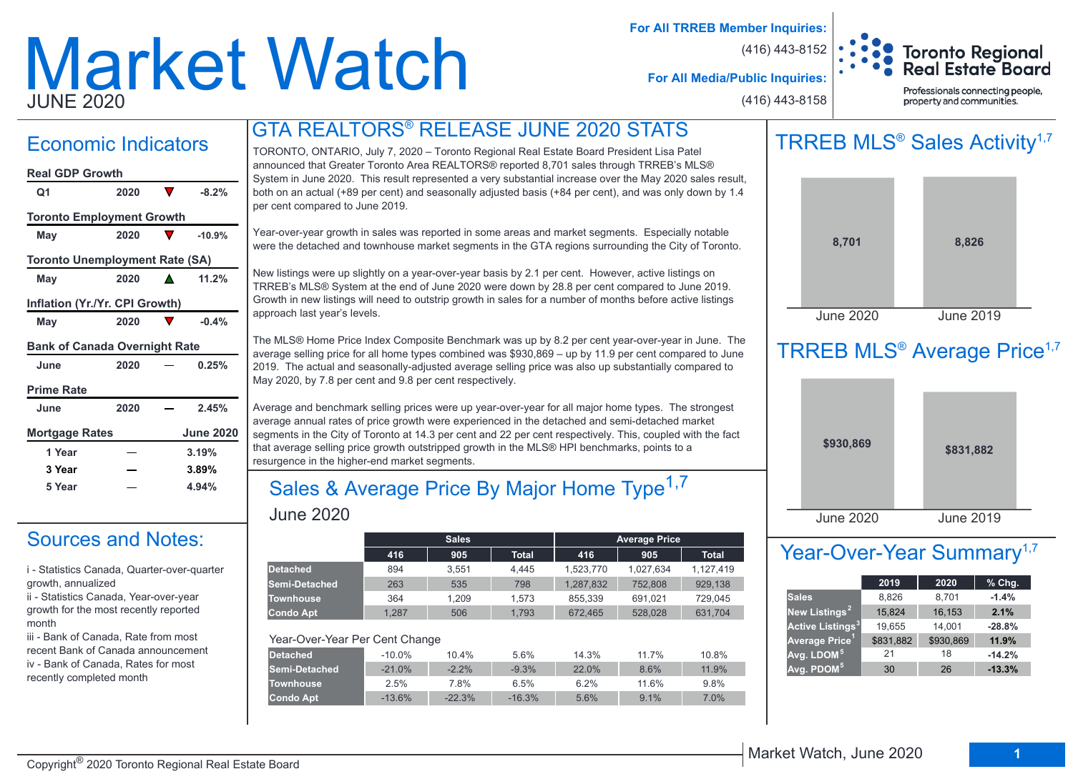# Market Watch JUNE 2020

**For All TRREB Member Inquiries:**

(416) 443-8152



**For All Media/Public Inquiries:**

(416) 443-8158

Professionals connecting people, property and communities.

## Economic Indicators

| <b>Real GDP Growth</b>                |      |                  |
|---------------------------------------|------|------------------|
| Q1                                    | 2020 | $-8.2%$          |
|                                       |      |                  |
| <b>Toronto Employment Growth</b>      |      |                  |
| May                                   | 2020 | $-10.9%$         |
| <b>Toronto Unemployment Rate (SA)</b> |      |                  |
| May                                   | 2020 | 11.2%            |
| Inflation (Yr./Yr. CPI Growth)        |      |                  |
| May                                   | 2020 | $-0.4%$          |
| <b>Bank of Canada Overnight Rate</b>  |      |                  |
| June                                  | 2020 | 0.25%            |
| <b>Prime Rate</b>                     |      |                  |
| June                                  | 2020 | 2.45%            |
| <b>Mortgage Rates</b>                 |      | <b>June 2020</b> |
| 1 Year                                |      | 3.19%            |
| 3 Year                                |      | 3.89%            |
| 5 Year                                |      | 4.94%            |

## Sources and Notes:

i - Statistics Canada, Quarter-over-quarter growth, annualized

ii - Statistics Canada, Year-over-year growth for the most recently reported month

iii - Bank of Canada, Rate from most recent Bank of Canada announcement iv - Bank of Canada, Rates for most recently completed month

## GTA REALTORS® RELEASE JUNE 2020 STATS

TORONTO, ONTARIO, July 7, 2020 – Toronto Regional Real Estate Board President Lisa Patel announced that Greater Toronto Area REALTORS® reported 8,701 sales through TRREB's MLS® System in June 2020. This result represented a very substantial increase over the May 2020 sales result, both on an actual (+89 per cent) and seasonally adjusted basis (+84 per cent), and was only down by 1.4 per cent compared to June 2019.

Year-over-year growth in sales was reported in some areas and market segments. Especially notable were the detached and townhouse market segments in the GTA regions surrounding the City of Toronto.

New listings were up slightly on a year-over-year basis by 2.1 per cent. However, active listings on TRREB's MLS® System at the end of June 2020 were down by 28.8 per cent compared to June 2019. Growth in new listings will need to outstrip growth in sales for a number of months before active listings approach last year's levels.

The MLS® Home Price Index Composite Benchmark was up by 8.2 per cent year-over-year in June. The average selling price for all home types combined was \$930,869 – up by 11.9 per cent compared to June 2019. The actual and seasonally-adjusted average selling price was also up substantially compared to May 2020, by 7.8 per cent and 9.8 per cent respectively.

Average and benchmark selling prices were up year-over-year for all major home types. The strongest average annual rates of price growth were experienced in the detached and semi-detached market segments in the City of Toronto at 14.3 per cent and 22 per cent respectively. This, coupled with the fact that average selling price growth outstripped growth in the MLS® HPI benchmarks, points to a resurgence in the higher-end market segments.

### June 2020 Sales & Average Price By Major Home Type<sup>1,7</sup>

|                                |          | <b>Sales</b> |              |           | <b>Average Price</b> |              |
|--------------------------------|----------|--------------|--------------|-----------|----------------------|--------------|
|                                | 416      | 905          | <b>Total</b> | 416       | 905                  | <b>Total</b> |
| <b>Detached</b>                | 894      | 3.551        | 4.445        | 1,523,770 | 1,027,634            | 1,127,419    |
| Semi-Detached                  | 263      | 535          | 798          | 1,287,832 | 752,808              | 929.138      |
| <b>Townhouse</b>               | 364      | 1.209        | 1.573        | 855.339   | 691.021              | 729.045      |
| <b>Condo Apt</b>               | 1.287    | 506          | 1.793        | 672,465   | 528,028              | 631.704      |
| Year-Over-Year Per Cent Change |          |              |              |           |                      |              |
| <b>Detached</b>                | $-10.0%$ | 10.4%        | 5.6%         | 14.3%     | 11.7%                | 10.8%        |
| Semi-Detached                  | $-21.0%$ | $-2.2%$      | $-9.3%$      | 22.0%     | 8.6%                 | 11.9%        |
| <b>Townhouse</b>               | 2.5%     | 7.8%         | 6.5%         | 6.2%      | 11.6%                | 9.8%         |
| <b>Condo Apt</b>               | $-13.6%$ | $-22.3%$     | $-16.3%$     | 5.6%      | 9.1%                 | 7.0%         |

## TRREB MLS<sup>®</sup> Sales Activity<sup>1,7</sup>



## TRREB MLS<sup>®</sup> Average Price<sup>1,7</sup>



## Year-Over-Year Summary<sup>1,7</sup>

|                                    | 2019      | 2020      | $%$ Chg. |
|------------------------------------|-----------|-----------|----------|
| <b>Sales</b>                       | 8,826     | 8,701     | $-1.4%$  |
| New Listings <sup>2</sup>          | 15,824    | 16,153    | 2.1%     |
| <b>Active Listings<sup>3</sup></b> | 19,655    | 14,001    | $-28.8%$ |
| Average Price <sup>1</sup>         | \$831,882 | \$930,869 | 11.9%    |
| Avg. LDOM <sup>51</sup>            | 21        | 18        | $-14.2%$ |
| Avg. PDOM <sup>5</sup>             | 30        | 26        | $-13.3%$ |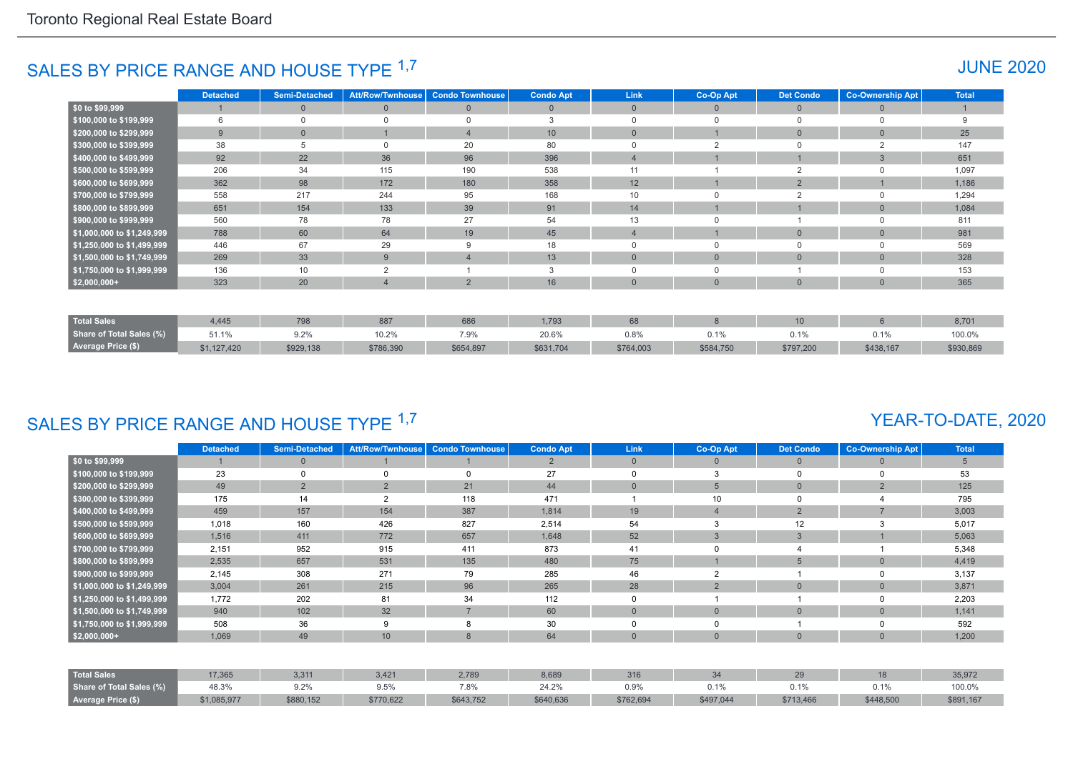## SALES BY PRICE RANGE AND HOUSE TYPE <sup>1,7</sup> And the set of the set of the set of the set of the set of the set of the set of the set of the set of the set of the set of the set of the set of the set of the set of the set of

|                            | <b>Detached</b> | <b>Semi-Detached</b> | <b>Att/Row/Twnhouse</b> | <b>Condo Townhouse</b> | <b>Condo Apt</b> | Link           | Co-Op Apt    | <b>Det Condo</b> | <b>Co-Ownership Apt</b> | <b>Total</b> |
|----------------------------|-----------------|----------------------|-------------------------|------------------------|------------------|----------------|--------------|------------------|-------------------------|--------------|
| $$0$ to \$99,999           |                 | $\Omega$             | $\mathbf{0}$            | $\mathbf{0}$           | $\overline{0}$   | $\overline{0}$ | $\Omega$     | $\overline{0}$   | $\Omega$                |              |
| \$100,000 to \$199,999     | 6               |                      | $\Omega$                | $\Omega$               | 3                | $\Omega$       | $\cap$       | 0                | $\Omega$                | 9            |
| \$200,000 to \$299,999     | 9               | $\Omega$             |                         |                        | 10 <sup>10</sup> | $\Omega$       |              | $\mathbf{0}$     | $\Omega$                | 25           |
| \$300,000 to \$399,999     | 38              |                      | $\Omega$                | 20                     | 80               | $\Omega$       | $\sim$       | $\Omega$         |                         | 147          |
| \$400,000 to \$499,999     | 92              | 22                   | 36                      | 96                     | 396              | $\overline{4}$ |              |                  | 3                       | 651          |
| \$500,000 to \$599,999     | 206             | 34                   | 115                     | 190                    | 538              | 11             |              | $\overline{2}$   |                         | 1,097        |
| \$600,000 to \$699,999     | 362             | 98                   | 172                     | 180                    | 358              | 12             |              | $\overline{2}$   |                         | 1,186        |
| \$700,000 to \$799,999     | 558             | 217                  | 244                     | 95                     | 168              | 10             |              | $\overline{2}$   | $\Omega$                | 1,294        |
| \$800,000 to \$899,999     | 651             | 154                  | 133                     | 39                     | 91               | 14             |              |                  | $\Omega$                | 1,084        |
| \$900,000 to \$999,999     | 560             | 78                   | 78                      | 27                     | 54               | 13             |              |                  | $\Omega$                | 811          |
| \$1,000,000 to \$1,249,999 | 788             | 60                   | 64                      | 19                     | 45               | $\overline{4}$ |              | $\mathbf{0}$     | $\Omega$                | 981          |
| \$1,250,000 to \$1,499,999 | 446             | 67                   | 29                      | 9                      | 18               | 0              | $\Omega$     | 0                | $\Omega$                | 569          |
| \$1,500,000 to \$1,749,999 | 269             | 33                   | 9                       |                        | 13               | $\mathbf{0}$   | $\mathbf{0}$ | $\mathbf{0}$     | $\mathbf{0}$            | 328          |
| \$1,750,000 to \$1,999,999 | 136             | 10                   | $\overline{2}$          |                        | -3               | $\Omega$       | $\Omega$     |                  | $\Omega$                | 153          |
| $$2,000,000+$              | 323             | 20                   | 4                       | $\overline{2}$         | 16               | $\mathbf{0}$   | $\mathbf{0}$ | $\overline{0}$   | $\mathbf{0}$            | 365          |
|                            |                 |                      |                         |                        |                  |                |              |                  |                         |              |
| <b>Total Sales</b>         | 4,445           | 798                  | 887                     | 686                    | 1,793            | 68             | 8            | 10               | $6 \overline{6}$        | 8,701        |
| Share of Total Sales (%)   | 51.1%           | 9.2%                 | 10.2%                   | 7.9%                   | 20.6%            | 0.8%           | 0.1%         | 0.1%             | 0.1%                    | 100.0%       |
| <b>Average Price (\$)</b>  | \$1,127,420     | \$929,138            | \$786,390               | \$654,897              | \$631,704        | \$764,003      | \$584,750    | \$797,200        | \$438,167               | \$930,869    |

## SALES BY PRICE RANGE AND HOUSE TYPE 1,7

#### YEAR-TO-DATE, 2020

|                            | <b>Detached</b> | <b>Semi-Detached</b> | <b>Att/Row/Twnhouse</b> | <b>Condo Townhouse</b> | <b>Condo Apt</b> | <b>Link</b>  | Co-Op Apt      | <b>Det Condo</b> | <b>Co-Ownership Apt</b> | <b>Total</b> |
|----------------------------|-----------------|----------------------|-------------------------|------------------------|------------------|--------------|----------------|------------------|-------------------------|--------------|
| \$0 to \$99,999            |                 | $\mathbf{0}$         |                         |                        | $\overline{2}$   | $\mathbf{0}$ | 0              | $\mathbf{0}$     | $\Omega$                | 5            |
| \$100,000 to \$199,999     | 23              | $\Omega$             | 0                       |                        | 27               | $\Omega$     | 3              |                  | 0                       | 53           |
| \$200,000 to \$299,999     | 49              | $\overline{2}$       | 2                       | 21                     | 44               | $\mathbf{0}$ | 5              | $\overline{0}$   | $\overline{2}$          | 125          |
| \$300,000 to \$399,999     | 175             | 14                   | $\overline{2}$          | 118                    | 471              |              | 10             |                  |                         | 795          |
| \$400,000 to \$499,999     | 459             | 157                  | 154                     | 387                    | 1,814            | 19           | 4              | $\overline{2}$   | $\overline{ }$          | 3,003        |
| \$500,000 to \$599,999     | 1,018           | 160                  | 426                     | 827                    | 2,514            | 54           | 3              | 12               | 3                       | 5,017        |
| \$600,000 to \$699,999     | 1,516           | 411                  | 772                     | 657                    | 1,648            | 52           | 3              | 3                |                         | 5,063        |
| \$700,000 to \$799,999     | 2,151           | 952                  | 915                     | 411                    | 873              | 41           |                |                  |                         | 5,348        |
| \$800,000 to \$899,999     | 2,535           | 657                  | 531                     | 135                    | 480              | 75           |                | 5                | $\overline{0}$          | 4,419        |
| \$900,000 to \$999,999     | 2,145           | 308                  | 271                     | 79                     | 285              | 46           | $\overline{2}$ |                  | $\Omega$                | 3,137        |
| \$1,000,000 to \$1,249,999 | 3,004           | 261                  | 215                     | 96                     | 265              | 28           | $\overline{2}$ | $\overline{0}$   | $\Omega$                | 3,871        |
| \$1,250,000 to \$1,499,999 | 1,772           | 202                  | 81                      | 34                     | 112              | $\Omega$     |                |                  | 0                       | 2,203        |
| \$1,500,000 to \$1,749,999 | 940             | 102                  | 32                      | $\overline{7}$         | 60               | $\mathbf{0}$ | $\overline{0}$ | $\mathbf{0}$     | $\overline{0}$          | 1,141        |
| \$1,750,000 to \$1,999,999 | 508             | 36                   | 9                       | 8                      | 30               | 0            |                |                  | 0                       | 592          |
| $$2,000,000+$              | 1,069           | 49                   | 10                      | 8                      | 64               | $\mathbf{0}$ | $\overline{0}$ | $\Omega$         | $\Omega$                | 1,200        |
|                            |                 |                      |                         |                        |                  |              |                |                  |                         |              |
| <b>Total Sales</b>         | 17,365          | 3,311                | 3,421                   | 2,789                  | 8,689            | 316          | 34             | 29               | 18                      | 35,972       |
| Share of Total Sales (%)   | 48.3%           | 9.2%                 | 9.5%                    | 7.8%                   | 24.2%            | 0.9%         | 0.1%           | 0.1%             | 0.1%                    | 100.0%       |
| Average Price (\$)         | \$1,085,977     | \$880,152            | \$770,622               | \$643,752              | \$640,636        | \$762,694    | \$497,044      | \$713,466        | \$448,500               | \$891,167    |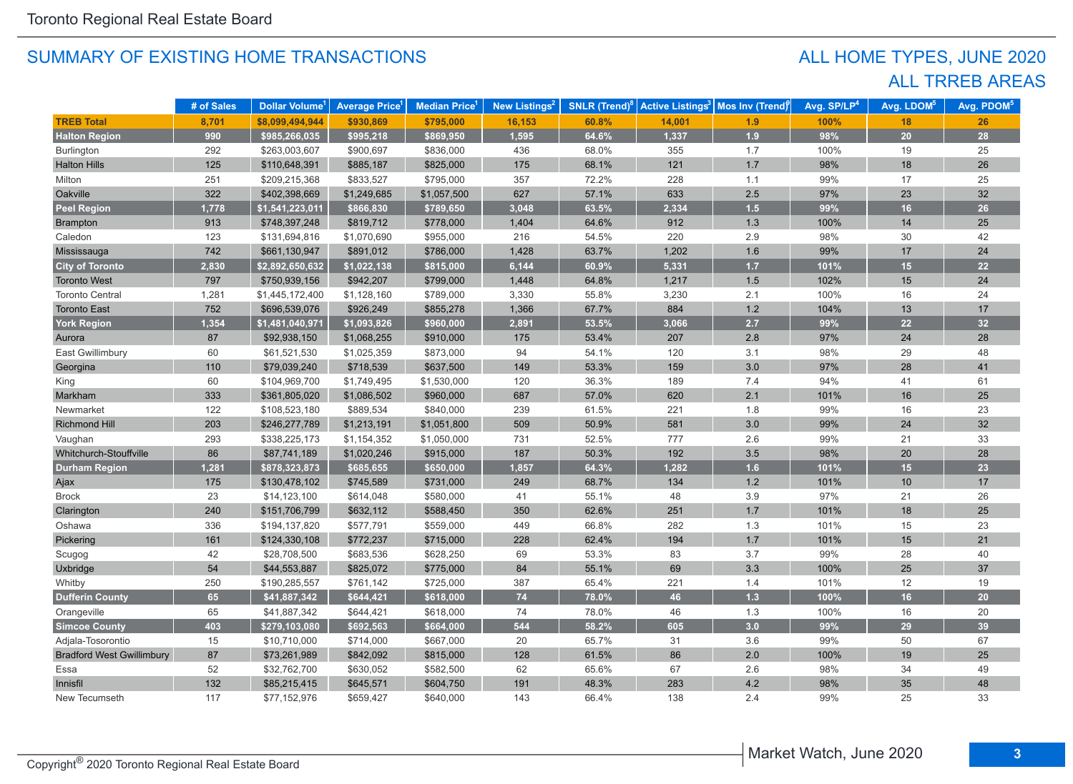## ALL TRREB AREAS ALL HOME TYPES, JUNE 2020

|                                  | # of Sales | Dollar Volume <sup>1</sup> | <b>Average Price</b> <sup>1</sup> | Median Price <sup>1</sup> | New Listings <sup>2</sup> | <b>SNLR (Trend)<sup>8</sup></b> |        | Active Listings <sup>3</sup> Mos Inv (Trend) | Avg. SP/LP <sup>4</sup> | Avg. LDOM <sup>5</sup> | Avg. PDOM <sup>5</sup> |
|----------------------------------|------------|----------------------------|-----------------------------------|---------------------------|---------------------------|---------------------------------|--------|----------------------------------------------|-------------------------|------------------------|------------------------|
| <b>TREB Total</b>                | 8,701      | \$8,099,494,944            | \$930,869                         | \$795,000                 | 16,153                    | 60.8%                           | 14,001 | 1.9                                          | 100%                    | 18                     | 26                     |
| <b>Halton Region</b>             | 990        | \$985,266,035              | \$995,218                         | \$869,950                 | 1,595                     | 64.6%                           | 1,337  | 1.9                                          | 98%                     | 20                     | 28                     |
| <b>Burlington</b>                | 292        | \$263,003,607              | \$900,697                         | \$836,000                 | 436                       | 68.0%                           | 355    | 1.7                                          | 100%                    | 19                     | 25                     |
| <b>Halton Hills</b>              | 125        | \$110,648,391              | \$885,187                         | \$825,000                 | 175                       | 68.1%                           | $121$  | 1.7                                          | 98%                     | 18                     | 26                     |
| Milton                           | 251        | \$209,215,368              | \$833,527                         | \$795,000                 | 357                       | 72.2%                           | 228    | 1.1                                          | 99%                     | 17                     | 25                     |
| Oakville                         | 322        | \$402,398,669              | \$1,249,685                       | \$1,057,500               | 627                       | 57.1%                           | 633    | $2.5\,$                                      | 97%                     | 23                     | 32                     |
| <b>Peel Region</b>               | 1,778      | \$1,541,223,011            | \$866,830                         | \$789,650                 | 3,048                     | 63.5%                           | 2,334  | $1.5$                                        | 99%                     | 16                     | 26                     |
| Brampton                         | 913        | \$748,397,248              | \$819,712                         | \$778,000                 | 1,404                     | 64.6%                           | 912    | 1.3                                          | 100%                    | 14                     | 25                     |
| Caledon                          | 123        | \$131,694,816              | \$1,070,690                       | \$955,000                 | 216                       | 54.5%                           | 220    | 2.9                                          | 98%                     | 30                     | 42                     |
| Mississauga                      | 742        | \$661,130,947              | \$891,012                         | \$786,000                 | 1,428                     | 63.7%                           | 1,202  | 1.6                                          | 99%                     | 17                     | 24                     |
| <b>City of Toronto</b>           | 2,830      | \$2,892,650,632            | \$1,022,138                       | \$815,000                 | 6,144                     | 60.9%                           | 5,331  | $1.7$                                        | 101%                    | 15                     | 22                     |
| <b>Toronto West</b>              | 797        | \$750,939,156              | \$942,207                         | \$799,000                 | 1,448                     | 64.8%                           | 1,217  | $1.5$                                        | 102%                    | 15                     | 24                     |
| <b>Toronto Central</b>           | 1,281      | \$1,445,172,400            | \$1,128,160                       | \$789,000                 | 3,330                     | 55.8%                           | 3,230  | 2.1                                          | 100%                    | 16                     | 24                     |
| <b>Toronto East</b>              | 752        | \$696,539,076              | \$926,249                         | \$855,278                 | 1,366                     | 67.7%                           | 884    | $1.2$                                        | 104%                    | 13                     | 17                     |
| York Region                      | 1,354      | \$1,481,040,971            | \$1,093,826                       | \$960,000                 | 2,891                     | 53.5%                           | 3,066  | 2.7                                          | 99%                     | 22                     | 32                     |
| Aurora                           | 87         | \$92,938,150               | \$1,068,255                       | \$910,000                 | 175                       | 53.4%                           | 207    | 2.8                                          | 97%                     | 24                     | 28                     |
| East Gwillimbury                 | 60         | \$61,521,530               | \$1,025,359                       | \$873,000                 | 94                        | 54.1%                           | 120    | 3.1                                          | 98%                     | 29                     | 48                     |
| Georgina                         | 110        | \$79,039,240               | \$718,539                         | \$637,500                 | 149                       | 53.3%                           | 159    | 3.0                                          | 97%                     | 28                     | 41                     |
| King                             | 60         | \$104,969,700              | \$1,749,495                       | \$1,530,000               | 120                       | 36.3%                           | 189    | 7.4                                          | 94%                     | 41                     | 61                     |
| Markham                          | 333        | \$361,805,020              | \$1,086,502                       | \$960,000                 | 687                       | 57.0%                           | 620    | 2.1                                          | 101%                    | 16                     | 25                     |
| Newmarket                        | 122        | \$108,523,180              | \$889,534                         | \$840,000                 | 239                       | 61.5%                           | 221    | 1.8                                          | 99%                     | 16                     | 23                     |
| Richmond Hill                    | 203        | \$246,277,789              | \$1,213,191                       | \$1,051,800               | 509                       | 50.9%                           | 581    | 3.0                                          | 99%                     | 24                     | 32                     |
| Vaughan                          | 293        | \$338,225,173              | \$1,154,352                       | \$1,050,000               | 731                       | 52.5%                           | 777    | 2.6                                          | 99%                     | 21                     | 33                     |
| Whitchurch-Stouffville           | 86         | \$87,741,189               | \$1,020,246                       | \$915,000                 | 187                       | 50.3%                           | 192    | $3.5\,$                                      | 98%                     | 20                     | 28                     |
| <b>Durham Region</b>             | 1,281      | \$878,323,873              | \$685,655                         | \$650,000                 | 1,857                     | 64.3%                           | 1,282  | 1.6                                          | 101%                    | 15                     | 23                     |
| Ajax                             | 175        | \$130,478,102              | \$745,589                         | \$731,000                 | 249                       | 68.7%                           | 134    | $1.2$                                        | 101%                    | 10                     | 17                     |
| <b>Brock</b>                     | 23         | \$14,123,100               | \$614,048                         | \$580,000                 | 41                        | 55.1%                           | 48     | $3.9\,$                                      | 97%                     | 21                     | 26                     |
| Clarington                       | 240        | \$151,706,799              | \$632,112                         | \$588,450                 | 350                       | 62.6%                           | 251    | 1.7                                          | 101%                    | 18                     | 25                     |
| Oshawa                           | 336        | \$194,137,820              | \$577,791                         | \$559,000                 | 449                       | 66.8%                           | 282    | $1.3$                                        | 101%                    | 15                     | 23                     |
| Pickering                        | 161        | \$124,330,108              | \$772,237                         | \$715,000                 | 228                       | 62.4%                           | 194    | 1.7                                          | 101%                    | 15                     | 21                     |
| Scugog                           | 42         | \$28,708,500               | \$683,536                         | \$628,250                 | 69                        | 53.3%                           | 83     | 3.7                                          | 99%                     | 28                     | 40                     |
| Uxbridge                         | 54         | \$44,553,887               | \$825,072                         | \$775,000                 | 84                        | 55.1%                           | 69     | 3.3                                          | 100%                    | 25                     | 37                     |
| Whitby                           | 250        | \$190,285,557              | \$761,142                         | \$725,000                 | 387                       | 65.4%                           | 221    | 1.4                                          | 101%                    | 12                     | 19                     |
| <b>Dufferin County</b>           | 65         | \$41,887,342               | \$644,421                         | \$618,000                 | $74$                      | 78.0%                           | 46     | $1.3$                                        | 100%                    | 16                     | 20                     |
| Orangeville                      | 65         | \$41,887,342               | \$644,421                         | \$618,000                 | 74                        | 78.0%                           | 46     | 1.3                                          | 100%                    | 16                     | 20                     |
| <b>Simcoe County</b>             | 403        | \$279,103,080              | \$692,563                         | \$664,000                 | 544                       | 58.2%                           | 605    | 3.0                                          | 99%                     | 29                     | 39                     |
| Adjala-Tosorontio                | 15         | \$10,710,000               | \$714,000                         | \$667,000                 | 20                        | 65.7%                           | 31     | 3.6                                          | 99%                     | 50                     | 67                     |
| <b>Bradford West Gwillimbury</b> | 87         | \$73,261,989               | \$842,092                         | \$815,000                 | 128                       | 61.5%                           | 86     | 2.0                                          | 100%                    | 19                     | 25                     |
| Essa                             | 52         | \$32,762,700               | \$630,052                         | \$582,500                 | 62                        | 65.6%                           | 67     | 2.6                                          | 98%                     | 34                     | 49                     |
| Innisfil                         | 132        | \$85,215,415               | \$645,571                         | \$604,750                 | 191                       | 48.3%                           | 283    | 4.2                                          | 98%                     | 35                     | 48                     |
| New Tecumseth                    | 117        | \$77,152,976               | \$659,427                         | \$640,000                 | 143                       | 66.4%                           | 138    | 2.4                                          | 99%                     | 25                     | 33                     |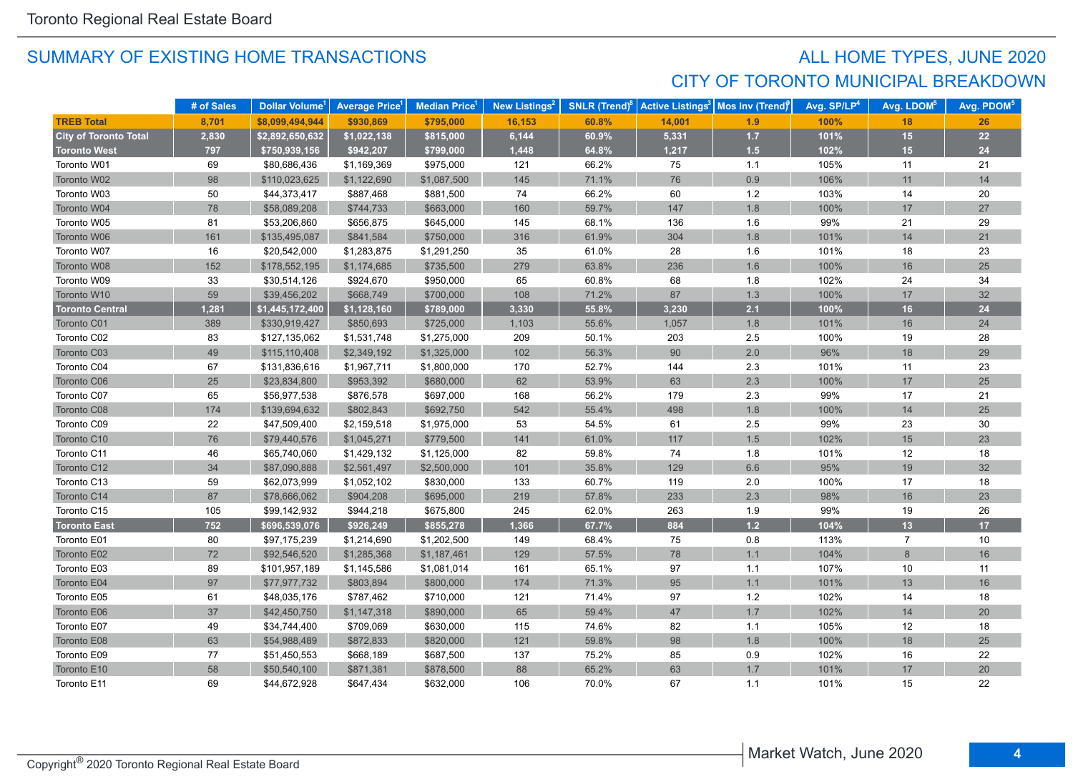## SUMMARY OF EXISTING HOME TRANSACTIONS **ALL HOME TYPES, JUNE 2020** CITY OF TORONTO MUNICIPAL BREAKDOWN

|                              | # of Sales | Dollar Volume <sup>1</sup> | <b>Average Price</b> <sup>1</sup> | Median Price <sup>1</sup> | New Listings <sup>2</sup> | <b>SNLR</b> (Trend) $8$ | <b>Active Listings<sup>3</sup></b> | Mos Inv (Trend) | Avg. SP/LP <sup>4</sup> | Avg. LDOM <sup>5</sup> | Avg. PDOM <sup>5</sup> |
|------------------------------|------------|----------------------------|-----------------------------------|---------------------------|---------------------------|-------------------------|------------------------------------|-----------------|-------------------------|------------------------|------------------------|
| <b>TREB Total</b>            | 8,701      | \$8,099,494,944            | \$930,869                         | \$795,000                 | 16,153                    | 60.8%                   | 14,001                             | 1.9             | 100%                    | 18                     | 26                     |
| <b>City of Toronto Total</b> | 2,830      | \$2,892,650,632            | \$1,022,138                       | \$815,000                 | 6,144                     | 60.9%                   | 5,331                              | $1.7$           | 101%                    | 15                     | 22                     |
| <b>Toronto West</b>          | 797        | \$750,939,156              | \$942,207                         | \$799,000                 | 1,448                     | 64.8%                   | 1,217                              | 1.5             | 102%                    | 15                     | 24                     |
| Toronto W01                  | 69         | \$80,686,436               | \$1,169,369                       | \$975,000                 | 121                       | 66.2%                   | 75                                 | 1.1             | 105%                    | 11                     | 21                     |
| Toronto W02                  | 98         | \$110,023,625              | \$1,122,690                       | \$1,087,500               | 145                       | 71.1%                   | 76                                 | 0.9             | 106%                    | 11                     | 14                     |
| Toronto W03                  | 50         | \$44,373,417               | \$887,468                         | \$881,500                 | 74                        | 66.2%                   | 60                                 | $1.2$           | 103%                    | 14                     | 20                     |
| Toronto W04                  | 78         | \$58,089,208               | \$744,733                         | \$663,000                 | 160                       | 59.7%                   | 147                                | 1.8             | 100%                    | 17                     | 27                     |
| Toronto W05                  | 81         | \$53,206,860               | \$656,875                         | \$645,000                 | 145                       | 68.1%                   | 136                                | 1.6             | 99%                     | 21                     | 29                     |
| Toronto W06                  | 161        | \$135,495,087              | \$841,584                         | \$750,000                 | 316                       | 61.9%                   | 304                                | 1.8             | 101%                    | 14                     | 21                     |
| Toronto W07                  | 16         | \$20,542,000               | \$1,283,875                       | \$1,291,250               | 35                        | 61.0%                   | 28                                 | 1.6             | 101%                    | 18                     | 23                     |
| Toronto W08                  | 152        | \$178,552,195              | \$1,174,685                       | \$735,500                 | 279                       | 63.8%                   | 236                                | 1.6             | 100%                    | 16                     | 25                     |
| Toronto W09                  | 33         | \$30,514,126               | \$924,670                         | \$950,000                 | 65                        | 60.8%                   | 68                                 | 1.8             | 102%                    | 24                     | 34                     |
| Toronto W10                  | 59         | \$39,456,202               | \$668,749                         | \$700,000                 | 108                       | 71.2%                   | 87                                 | 1.3             | 100%                    | 17                     | 32                     |
| <b>Toronto Central</b>       | 1,281      | \$1,445,172,400            | \$1,128,160                       | \$789,000                 | 3,330                     | 55.8%                   | 3,230                              | 2.1             | 100%                    | 16                     | 24                     |
| Toronto C01                  | 389        | \$330,919,427              | \$850,693                         | \$725,000                 | 1,103                     | 55.6%                   | 1,057                              | 1.8             | 101%                    | 16                     | 24                     |
| Toronto C02                  | 83         | \$127,135,062              | \$1,531,748                       | \$1,275,000               | 209                       | 50.1%                   | 203                                | 2.5             | 100%                    | 19                     | 28                     |
| Toronto C03                  | 49         | \$115,110,408              | \$2,349,192                       | \$1,325,000               | 102                       | 56.3%                   | 90                                 | 2.0             | 96%                     | 18                     | 29                     |
| Toronto C04                  | 67         | \$131,836,616              | \$1,967,711                       | \$1,800,000               | 170                       | 52.7%                   | 144                                | 2.3             | 101%                    | 11                     | 23                     |
| Toronto C06                  | 25         | \$23,834,800               | \$953,392                         | \$680,000                 | 62                        | 53.9%                   | 63                                 | 2.3             | 100%                    | 17                     | 25                     |
| Toronto C07                  | 65         | \$56,977,538               | \$876,578                         | \$697,000                 | 168                       | 56.2%                   | 179                                | 2.3             | 99%                     | 17                     | 21                     |
| Toronto C08                  | 174        | \$139,694,632              | \$802,843                         | \$692,750                 | 542                       | 55.4%                   | 498                                | 1.8             | 100%                    | 14                     | 25                     |
| Toronto C09                  | 22         | \$47,509,400               | \$2,159,518                       | \$1,975,000               | 53                        | 54.5%                   | 61                                 | 2.5             | 99%                     | 23                     | 30                     |
| Toronto C10                  | 76         | \$79,440,576               | \$1,045,271                       | \$779,500                 | 141                       | 61.0%                   | 117                                | 1.5             | 102%                    | 15                     | 23                     |
| Toronto C11                  | 46         | \$65,740,060               | \$1,429,132                       | \$1,125,000               | 82                        | 59.8%                   | $74\,$                             | 1.8             | 101%                    | $12$                   | 18                     |
| Toronto C12                  | 34         | \$87,090,888               | \$2,561,497                       | \$2,500,000               | 101                       | 35.8%                   | 129                                | 6.6             | 95%                     | 19                     | 32                     |
| Toronto C13                  | 59         | \$62,073,999               | \$1,052,102                       | \$830,000                 | 133                       | 60.7%                   | 119                                | 2.0             | 100%                    | 17                     | 18                     |
| Toronto C14                  | 87         | \$78,666,062               | \$904,208                         | \$695,000                 | 219                       | 57.8%                   | 233                                | 2.3             | 98%                     | $16$                   | 23                     |
| Toronto C15                  | 105        | \$99,142,932               | \$944,218                         | \$675,800                 | 245                       | 62.0%                   | 263                                | 1.9             | 99%                     | 19                     | 26                     |
| <b>Toronto East</b>          | 752        | \$696,539,076              | \$926,249                         | \$855,278                 | 1,366                     | 67.7%                   | 884                                | 1.2             | 104%                    | 13                     | 17                     |
| Toronto E01                  | 80         | \$97,175,239               | \$1,214,690                       | \$1,202,500               | 149                       | 68.4%                   | 75                                 | 0.8             | 113%                    | $\overline{7}$         | 10                     |
| Toronto E02                  | 72         | \$92,546,520               | \$1,285,368                       | \$1,187,461               | 129                       | 57.5%                   | 78                                 | 1.1             | 104%                    | $\boldsymbol{8}$       | 16                     |
| Toronto E03                  | 89         | \$101,957,189              | \$1,145,586                       | \$1,081,014               | 161                       | 65.1%                   | 97                                 | 1.1             | 107%                    | 10                     | 11                     |
| Toronto E04                  | 97         | \$77,977,732               | \$803,894                         | \$800,000                 | 174                       | 71.3%                   | 95                                 | 1.1             | 101%                    | 13                     | 16                     |
| Toronto E05                  | 61         | \$48,035,176               | \$787,462                         | \$710,000                 | 121                       | 71.4%                   | 97                                 | 1.2             | 102%                    | 14                     | 18                     |
| Toronto E06                  | 37         | \$42,450,750               | \$1,147,318                       | \$890,000                 | 65                        | 59.4%                   | 47                                 | 1.7             | 102%                    | 14                     | 20                     |
| Toronto E07                  | 49         | \$34,744,400               | \$709,069                         | \$630,000                 | 115                       | 74.6%                   | 82                                 | 1.1             | 105%                    | 12                     | 18                     |
| Toronto E08                  | 63         | \$54,988,489               | \$872,833                         | \$820,000                 | 121                       | 59.8%                   | 98                                 | 1.8             | 100%                    | 18                     | 25                     |
| Toronto E09                  | 77         | \$51,450,553               | \$668,189                         | \$687,500                 | 137                       | 75.2%                   | 85                                 | 0.9             | 102%                    | 16                     | 22                     |
| Toronto E10                  | 58         | \$50,540,100               | \$871,381                         | \$878,500                 | 88                        | 65.2%                   | 63                                 | 1.7             | 101%                    | 17                     | 20                     |
| Toronto E11                  | 69         | \$44,672,928               | \$647.434                         | \$632,000                 | 106                       | 70.0%                   | 67                                 | 1.1             | 101%                    | 15                     | 22                     |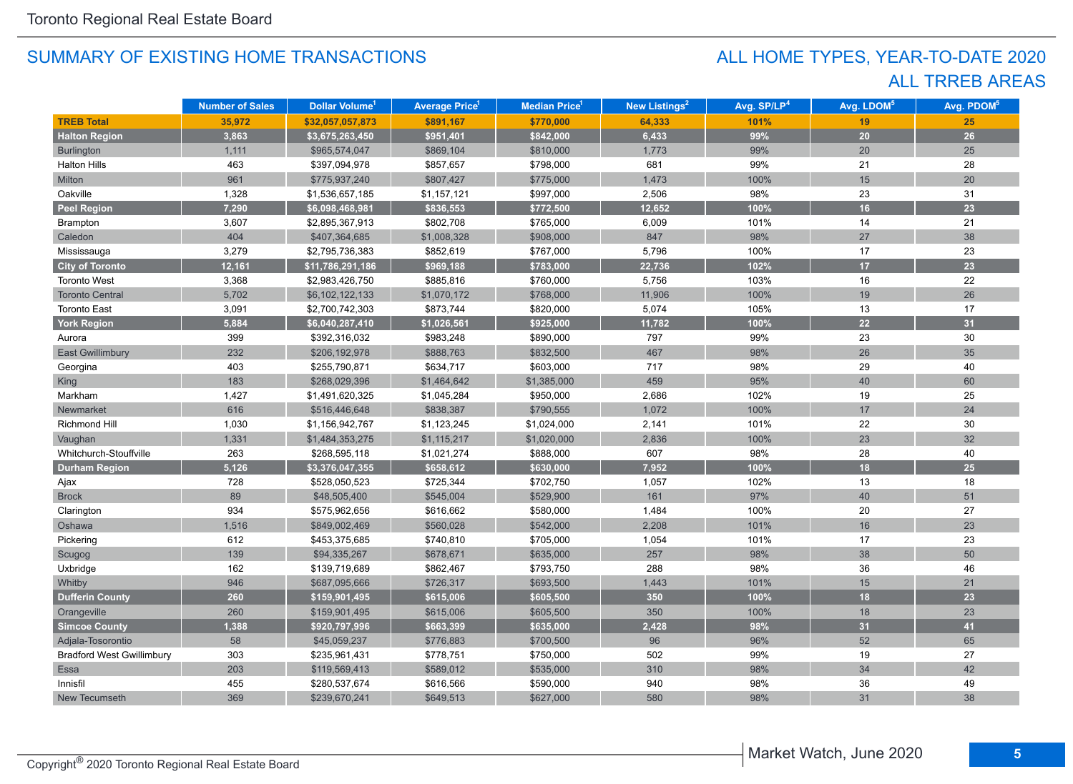## ALL TRREB AREAS ALL HOME TYPES, YEAR-TO-DATE 2020

|                                  | <b>Number of Sales</b> | Dollar Volume <sup>1</sup> | <b>Average Price<sup>1</sup></b> | Median Price <sup>1</sup> | New Listings <sup>2</sup> | Avg. SP/LP <sup>4</sup> | Avg. LDOM <sup>5</sup> | Avg. PDOM <sup>5</sup> |
|----------------------------------|------------------------|----------------------------|----------------------------------|---------------------------|---------------------------|-------------------------|------------------------|------------------------|
| <b>TREB Total</b>                | 35,972                 | \$32,057,057,873           | \$891,167                        | \$770,000                 | 64,333                    | 101%                    | 19                     | 25                     |
| <b>Halton Region</b>             | 3,863                  | \$3,675,263,450            | \$951,401                        | \$842,000                 | 6,433                     | 99%                     | 20                     | 26                     |
| Burlington                       | 1,111                  | \$965,574,047              | \$869,104                        | \$810,000                 | 1,773                     | 99%                     | 20                     | 25                     |
| <b>Halton Hills</b>              | 463                    | \$397,094,978              | \$857,657                        | \$798,000                 | 681                       | 99%                     | $21$                   | 28                     |
| Milton                           | 961                    | \$775,937,240              | \$807,427                        | \$775,000                 | 1,473                     | 100%                    | 15                     | 20                     |
| Oakville                         | 1,328                  | \$1,536,657,185            | \$1,157,121                      | \$997,000                 | 2,506                     | 98%                     | 23                     | 31                     |
| <b>Peel Region</b>               | 7,290                  | \$6,098,468,981            | \$836,553                        | \$772,500                 | 12,652                    | 100%                    | 16                     | 23                     |
| Brampton                         | 3,607                  | \$2,895,367,913            | \$802,708                        | \$765,000                 | 6,009                     | 101%                    | 14                     | 21                     |
| Caledon                          | 404                    | \$407,364,685              | \$1,008,328                      | \$908,000                 | 847                       | 98%                     | 27                     | 38                     |
| Mississauga                      | 3,279                  | \$2,795,736,383            | \$852,619                        | \$767,000                 | 5,796                     | 100%                    | 17                     | 23                     |
| <b>City of Toronto</b>           | 12,161                 | \$11,786,291,186           | \$969,188                        | \$783,000                 | 22,736                    | 102%                    | 17                     | 23                     |
| <b>Toronto West</b>              | 3,368                  | \$2,983,426,750            | \$885,816                        | \$760,000                 | 5,756                     | 103%                    | 16                     | 22                     |
| <b>Toronto Central</b>           | 5,702                  | \$6,102,122,133            | \$1,070,172                      | \$768,000                 | 11,906                    | 100%                    | 19                     | 26                     |
| <b>Toronto East</b>              | 3,091                  | \$2,700,742,303            | \$873,744                        | \$820,000                 | 5,074                     | 105%                    | 13                     | 17                     |
| <b>York Region</b>               | 5,884                  | \$6,040,287,410            | \$1,026,561                      | \$925,000                 | 11,782                    | 100%                    | 22                     | 31                     |
| Aurora                           | 399                    | \$392,316,032              | \$983,248                        | \$890,000                 | 797                       | 99%                     | 23                     | 30                     |
| <b>East Gwillimbury</b>          | 232                    | \$206,192,978              | \$888,763                        | \$832,500                 | 467                       | 98%                     | 26                     | 35                     |
| Georgina                         | 403                    | \$255,790,871              | \$634,717                        | \$603,000                 | 717                       | 98%                     | 29                     | 40                     |
| <b>King</b>                      | 183                    | \$268,029,396              | \$1,464,642                      | \$1,385,000               | 459                       | 95%                     | 40                     | 60                     |
| Markham                          | 1,427                  | \$1,491,620,325            | \$1,045,284                      | \$950,000                 | 2,686                     | 102%                    | 19                     | 25                     |
| Newmarket                        | 616                    | \$516,446,648              | \$838,387                        | \$790,555                 | 1,072                     | 100%                    | 17                     | 24                     |
| Richmond Hill                    | 1,030                  | \$1,156,942,767            | \$1,123,245                      | \$1,024,000               | 2,141                     | 101%                    | 22                     | 30                     |
| Vaughan                          | 1,331                  | \$1,484,353,275            | \$1,115,217                      | \$1,020,000               | 2,836                     | 100%                    | 23                     | 32                     |
| Whitchurch-Stouffville           | 263                    | \$268,595,118              | \$1,021,274                      | \$888,000                 | 607                       | 98%                     | 28                     | 40                     |
| <b>Durham Region</b>             | 5,126                  | \$3,376,047,355            | \$658,612                        | \$630,000                 | 7,952                     | 100%                    | 18                     | 25                     |
| Ajax                             | 728                    | \$528,050,523              | \$725,344                        | \$702,750                 | 1,057                     | 102%                    | 13                     | 18                     |
| <b>Brock</b>                     | 89                     | \$48,505,400               | \$545,004                        | \$529,900                 | 161                       | 97%                     | 40                     | 51                     |
| Clarington                       | 934                    | \$575,962,656              | \$616,662                        | \$580,000                 | 1,484                     | 100%                    | 20                     | 27                     |
| Oshawa                           | 1,516                  | \$849,002,469              | \$560,028                        | \$542,000                 | 2,208                     | 101%                    | 16                     | 23                     |
| Pickering                        | 612                    | \$453,375,685              | \$740,810                        | \$705,000                 | 1,054                     | 101%                    | 17                     | 23                     |
| Scugog                           | 139                    | \$94,335,267               | \$678,671                        | \$635,000                 | 257                       | 98%                     | 38                     | 50                     |
| Uxbridge                         | 162                    | \$139,719,689              | \$862,467                        | \$793,750                 | 288                       | 98%                     | 36                     | 46                     |
| Whitby                           | 946                    | \$687,095,666              | \$726,317                        | \$693,500                 | 1,443                     | 101%                    | 15                     | 21                     |
| <b>Dufferin County</b>           | 260                    | \$159,901,495              | \$615,006                        | \$605,500                 | 350                       | 100%                    | 18                     | 23                     |
| Orangeville                      | 260                    | \$159,901,495              | \$615,006                        | \$605,500                 | 350                       | 100%                    | 18                     | 23                     |
| <b>Simcoe County</b>             | 1,388                  | \$920,797,996              | \$663,399                        | \$635,000                 | 2,428                     | 98%                     | 31                     | 41                     |
| Adjala-Tosorontio                | 58                     | \$45,059,237               | \$776,883                        | \$700,500                 | 96                        | 96%                     | 52                     | 65                     |
| <b>Bradford West Gwillimbury</b> | 303                    | \$235,961,431              | \$778,751                        | \$750,000                 | 502                       | 99%                     | 19                     | 27                     |
| <b>Essa</b>                      | 203                    | \$119,569,413              | \$589,012                        | \$535,000                 | 310                       | 98%                     | 34                     | 42                     |
| Innisfil                         | 455                    | \$280,537,674              | \$616,566                        | \$590,000                 | 940                       | 98%                     | 36                     | 49                     |
| New Tecumseth                    | 369                    | \$239,670,241              | \$649,513                        | \$627,000                 | 580                       | 98%                     | 31                     | 38                     |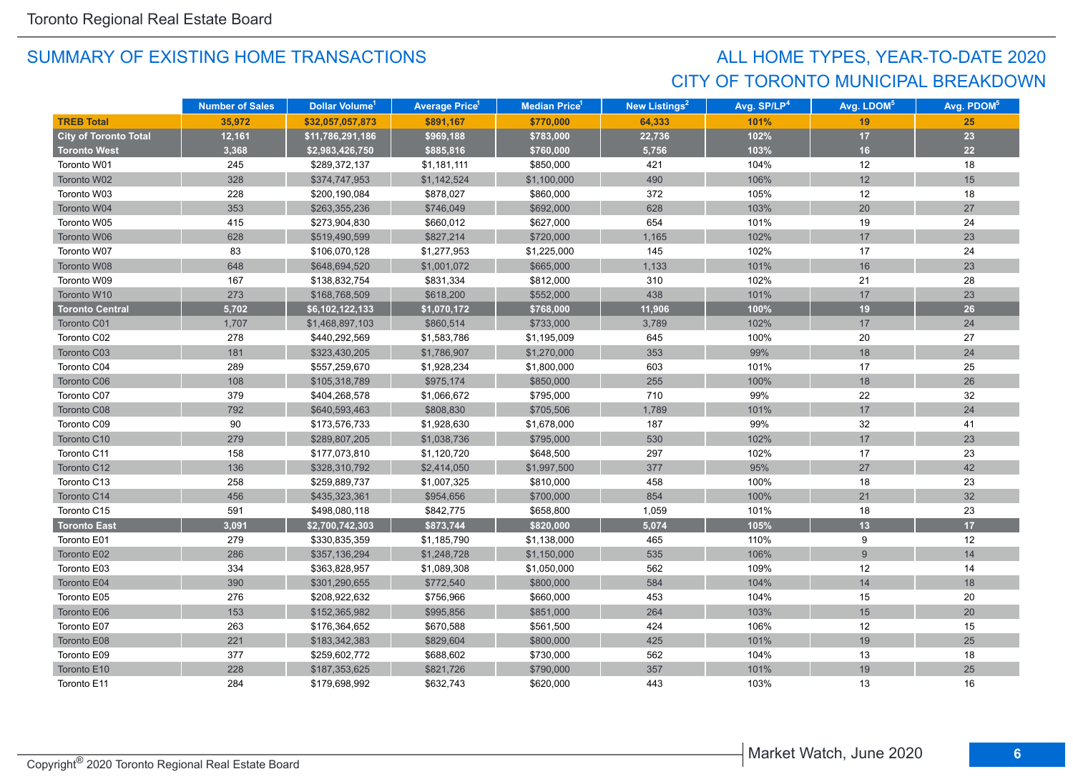## CITY OF TORONTO MUNICIPAL BREAKDOWN ALL HOME TYPES, YEAR-TO-DATE 2020

|                              | <b>Number of Sales</b> | Dollar Volume <sup>1</sup> | <b>Average Price</b> | <b>Median Price</b> <sup>1</sup> | <b>New Listings<sup>2</sup></b> | Avg. SP/LP <sup>4</sup> | Avg. LDOM <sup>5</sup> | Avg. PDOM <sup>5</sup> |
|------------------------------|------------------------|----------------------------|----------------------|----------------------------------|---------------------------------|-------------------------|------------------------|------------------------|
| <b>TREB Total</b>            | 35,972                 | \$32,057,057,873           | \$891.167            | \$770,000                        | 64,333                          | 101%                    | 19                     | 25                     |
| <b>City of Toronto Total</b> | 12,161                 | \$11,786,291,186           | \$969,188            | \$783,000                        | 22,736                          | 102%                    | 17                     | 23                     |
| <b>Toronto West</b>          | 3,368                  | \$2,983,426,750            | \$885,816            | \$760,000                        | 5,756                           | 103%                    | 16                     | 22                     |
| Toronto W01                  | 245                    | \$289,372,137              | \$1,181,111          | \$850,000                        | 421                             | 104%                    | 12                     | 18                     |
| Toronto W02                  | 328                    | \$374,747,953              | \$1,142,524          | \$1,100,000                      | 490                             | 106%                    | 12                     | 15                     |
| Toronto W03                  | 228                    | \$200,190,084              | \$878,027            | \$860,000                        | 372                             | 105%                    | 12                     | 18                     |
| Toronto W04                  | 353                    | \$263,355,236              | \$746,049            | \$692,000                        | 628                             | 103%                    | 20                     | 27                     |
| Toronto W05                  | 415                    | \$273,904,830              | \$660,012            | \$627,000                        | 654                             | 101%                    | 19                     | 24                     |
| Toronto W06                  | 628                    | \$519,490,599              | \$827,214            | \$720,000                        | 1,165                           | 102%                    | 17                     | 23                     |
| Toronto W07                  | 83                     | \$106,070,128              | \$1,277,953          | \$1,225,000                      | 145                             | 102%                    | 17                     | 24                     |
| Toronto W08                  | 648                    | \$648,694,520              | \$1,001,072          | \$665,000                        | 1,133                           | 101%                    | 16                     | 23                     |
| Toronto W09                  | 167                    | \$138,832,754              | \$831,334            | \$812,000                        | 310                             | 102%                    | 21                     | 28                     |
| Toronto W10                  | 273                    | \$168,768,509              | \$618,200            | \$552,000                        | 438                             | 101%                    | 17                     | 23                     |
| <b>Toronto Central</b>       | 5,702                  | \$6,102,122,133            | \$1,070,172          | \$768,000                        | 11,906                          | 100%                    | 19                     | 26                     |
| Toronto C01                  | 1,707                  | \$1,468,897,103            | \$860,514            | \$733,000                        | 3,789                           | 102%                    | 17                     | 24                     |
| Toronto C02                  | 278                    | \$440,292,569              | \$1,583,786          | \$1,195,009                      | 645                             | 100%                    | 20                     | 27                     |
| Toronto C03                  | 181                    | \$323,430,205              | \$1,786,907          | \$1,270,000                      | 353                             | 99%                     | 18                     | 24                     |
| Toronto C04                  | 289                    | \$557,259,670              | \$1,928,234          | \$1,800,000                      | 603                             | 101%                    | 17                     | 25                     |
| Toronto C06                  | 108                    | \$105,318,789              | \$975,174            | \$850,000                        | 255                             | 100%                    | 18                     | 26                     |
| Toronto C07                  | 379                    | \$404,268,578              | \$1,066,672          | \$795,000                        | 710                             | 99%                     | 22                     | 32                     |
| Toronto C08                  | 792                    | \$640,593,463              | \$808,830            | \$705,506                        | 1,789                           | 101%                    | 17                     | 24                     |
| Toronto C09                  | 90                     | \$173,576,733              | \$1,928,630          | \$1,678,000                      | 187                             | 99%                     | 32                     | 41                     |
| Toronto C10                  | 279                    | \$289,807,205              | \$1,038,736          | \$795,000                        | 530                             | 102%                    | 17                     | 23                     |
| Toronto C11                  | 158                    | \$177,073,810              | \$1,120,720          | \$648,500                        | 297                             | 102%                    | 17                     | 23                     |
| Toronto C12                  | 136                    | \$328,310,792              | \$2,414,050          | \$1,997,500                      | 377                             | 95%                     | 27                     | 42                     |
| Toronto C13                  | 258                    | \$259,889,737              | \$1,007,325          | \$810,000                        | 458                             | 100%                    | 18                     | 23                     |
| Toronto C14                  | 456                    | \$435,323,361              | \$954,656            | \$700,000                        | 854                             | 100%                    | 21                     | 32                     |
| Toronto C15                  | 591                    | \$498,080,118              | \$842,775            | \$658,800                        | 1,059                           | 101%                    | 18                     | 23                     |
| <b>Toronto East</b>          | 3,091                  | \$2,700,742,303            | \$873,744            | \$820,000                        | 5,074                           | 105%                    | 13                     | 17                     |
| Toronto E01                  | 279                    | \$330,835,359              | \$1,185,790          | \$1,138,000                      | 465                             | 110%                    | 9                      | 12                     |
| Toronto E02                  | 286                    | \$357,136,294              | \$1,248,728          | \$1,150,000                      | 535                             | 106%                    | 9                      | 14                     |
| Toronto E03                  | 334                    | \$363,828,957              | \$1,089,308          | \$1,050,000                      | 562                             | 109%                    | 12                     | 14                     |
| Toronto E04                  | 390                    | \$301,290,655              | \$772,540            | \$800,000                        | 584                             | 104%                    | 14                     | 18                     |
| Toronto E05                  | 276                    | \$208,922,632              | \$756,966            | \$660,000                        | 453                             | 104%                    | 15                     | 20                     |
| Toronto E06                  | 153                    | \$152,365,982              | \$995,856            | \$851,000                        | 264                             | 103%                    | 15                     | 20                     |
| Toronto E07                  | 263                    | \$176,364,652              | \$670,588            | \$561,500                        | 424                             | 106%                    | 12                     | 15                     |
| Toronto E08                  | 221                    | \$183,342,383              | \$829,604            | \$800,000                        | 425                             | 101%                    | 19                     | 25                     |
| Toronto E09                  | 377                    | \$259,602,772              | \$688,602            | \$730,000                        | 562                             | 104%                    | 13                     | 18                     |
| Toronto E10                  | 228                    | \$187,353,625              | \$821,726            | \$790,000                        | 357                             | 101%                    | 19                     | 25                     |
| Toronto E11                  | 284                    | \$179,698,992              | \$632,743            | \$620,000                        | 443                             | 103%                    | 13                     | 16                     |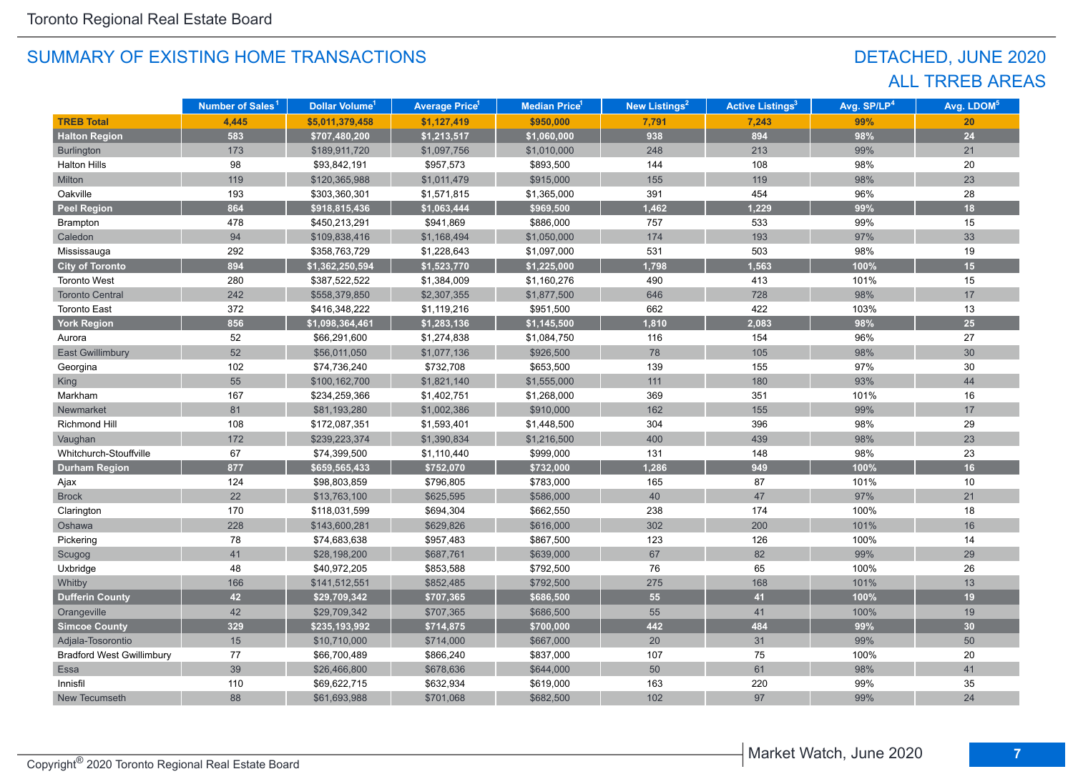## DETACHED, JUNE 2020 ALL TRREB AREAS

|                                  | Number of Sales <sup>1</sup> | Dollar Volume <sup>1</sup> | <b>Average Price<sup>1</sup></b> | Median Price <sup>1</sup> | New Listings <sup>2</sup> | <b>Active Listings<sup>3</sup></b> | Avg. SP/LP <sup>4</sup> | Avg. LDOM <sup>5</sup> |
|----------------------------------|------------------------------|----------------------------|----------------------------------|---------------------------|---------------------------|------------------------------------|-------------------------|------------------------|
| <b>TREB Total</b>                | 4,445                        | \$5,011,379,458            | \$1,127,419                      | \$950,000                 | 7,791                     | 7,243                              | 99%                     | 20                     |
| <b>Halton Region</b>             | 583                          | \$707,480,200              | \$1,213,517                      | \$1,060,000               | 938                       | 894                                | 98%                     | 24                     |
| Burlington                       | 173                          | \$189,911,720              | \$1,097,756                      | \$1,010,000               | 248                       | 213                                | 99%                     | 21                     |
| <b>Halton Hills</b>              | 98                           | \$93,842,191               | \$957,573                        | \$893,500                 | 144                       | 108                                | 98%                     | 20                     |
| Milton                           | 119                          | \$120,365,988              | \$1,011,479                      | \$915,000                 | 155                       | 119                                | 98%                     | 23                     |
| Oakville                         | 193                          | \$303,360,301              | \$1,571,815                      | \$1,365,000               | 391                       | 454                                | 96%                     | 28                     |
| <b>Peel Region</b>               | 864                          | \$918,815,436              | \$1,063,444                      | \$969,500                 | 1,462                     | 1,229                              | 99%                     | 18                     |
| Brampton                         | 478                          | \$450,213,291              | \$941,869                        | \$886,000                 | 757                       | 533                                | 99%                     | 15                     |
| Caledon                          | 94                           | \$109,838,416              | \$1,168,494                      | \$1,050,000               | 174                       | 193                                | 97%                     | 33                     |
| Mississauga                      | 292                          | \$358,763,729              | \$1,228,643                      | \$1,097,000               | 531                       | 503                                | 98%                     | 19                     |
| <b>City of Toronto</b>           | 894                          | \$1,362,250,594            | \$1,523,770                      | \$1,225,000               | 1,798                     | 1,563                              | 100%                    | 15                     |
| <b>Toronto West</b>              | 280                          | \$387,522,522              | \$1,384,009                      | \$1,160,276               | 490                       | 413                                | 101%                    | 15                     |
| <b>Toronto Central</b>           | 242                          | \$558,379,850              | \$2,307,355                      | \$1,877,500               | 646                       | 728                                | 98%                     | 17                     |
| <b>Toronto East</b>              | 372                          | \$416,348,222              | \$1,119,216                      | \$951,500                 | 662                       | 422                                | 103%                    | 13                     |
| <b>York Region</b>               | 856                          | \$1,098,364,461            | \$1,283,136                      | \$1,145,500               | 1,810                     | 2,083                              | 98%                     | 25                     |
| Aurora                           | 52                           | \$66,291,600               | \$1,274,838                      | \$1,084,750               | 116                       | 154                                | 96%                     | 27                     |
| <b>East Gwillimbury</b>          | 52                           | \$56,011,050               | \$1,077,136                      | \$926,500                 | 78                        | 105                                | 98%                     | 30                     |
| Georgina                         | 102                          | \$74,736,240               | \$732,708                        | \$653,500                 | 139                       | 155                                | 97%                     | 30                     |
| King                             | 55                           | \$100,162,700              | \$1,821,140                      | \$1,555,000               | 111                       | 180                                | 93%                     | 44                     |
| Markham                          | 167                          | \$234,259,366              | \$1,402,751                      | \$1,268,000               | 369                       | 351                                | 101%                    | 16                     |
| Newmarket                        | 81                           | \$81,193,280               | \$1,002,386                      | \$910,000                 | 162                       | 155                                | 99%                     | 17                     |
| Richmond Hill                    | 108                          | \$172,087,351              | \$1,593,401                      | \$1,448,500               | 304                       | 396                                | 98%                     | 29                     |
| Vaughan                          | 172                          | \$239,223,374              | \$1,390,834                      | \$1,216,500               | 400                       | 439                                | 98%                     | 23                     |
| Whitchurch-Stouffville           | 67                           | \$74,399,500               | \$1,110,440                      | \$999,000                 | 131                       | 148                                | 98%                     | 23                     |
| <b>Durham Region</b>             | 877                          | \$659,565,433              | \$752,070                        | \$732,000                 | 1,286                     | 949                                | 100%                    | 16                     |
| Ajax                             | 124                          | \$98,803,859               | \$796,805                        | \$783,000                 | 165                       | 87                                 | 101%                    | 10                     |
| <b>Brock</b>                     | 22                           | \$13,763,100               | \$625,595                        | \$586,000                 | 40                        | 47                                 | 97%                     | 21                     |
| Clarington                       | 170                          | \$118,031,599              | \$694,304                        | \$662,550                 | 238                       | 174                                | 100%                    | 18                     |
| Oshawa                           | 228                          | \$143,600,281              | \$629,826                        | \$616,000                 | 302                       | 200                                | 101%                    | 16                     |
| Pickering                        | 78                           | \$74,683,638               | \$957,483                        | \$867,500                 | 123                       | 126                                | 100%                    | 14                     |
| Scugog                           | 41                           | \$28,198,200               | \$687,761                        | \$639,000                 | 67                        | 82                                 | 99%                     | 29                     |
| Uxbridge                         | 48                           | \$40,972,205               | \$853,588                        | \$792,500                 | 76                        | 65                                 | 100%                    | 26                     |
| Whitby                           | 166                          | \$141,512,551              | \$852,485                        | \$792,500                 | 275                       | 168                                | 101%                    | 13                     |
| <b>Dufferin County</b>           | 42                           | \$29,709,342               | \$707,365                        | \$686,500                 | 55                        | 41                                 | 100%                    | 19                     |
| Orangeville                      | 42                           | \$29,709,342               | \$707,365                        | \$686,500                 | 55                        | 41                                 | 100%                    | 19                     |
| <b>Simcoe County</b>             | 329                          | \$235,193,992              | \$714,875                        | \$700,000                 | 442                       | 484                                | 99%                     | 30                     |
| Adjala-Tosorontio                | 15                           | \$10,710,000               | \$714,000                        | \$667,000                 | 20                        | 31                                 | 99%                     | 50                     |
| <b>Bradford West Gwillimbury</b> | 77                           | \$66,700,489               | \$866,240                        | \$837,000                 | 107                       | 75                                 | 100%                    | 20                     |
| Essa                             | 39                           | \$26,466,800               | \$678,636                        | \$644,000                 | 50                        | 61                                 | 98%                     | 41                     |
| Innisfil                         | 110                          | \$69,622,715               | \$632,934                        | \$619,000                 | 163                       | 220                                | 99%                     | 35                     |
| New Tecumseth                    | 88                           | \$61,693,988               | \$701,068                        | \$682,500                 | 102                       | 97                                 | 99%                     | 24                     |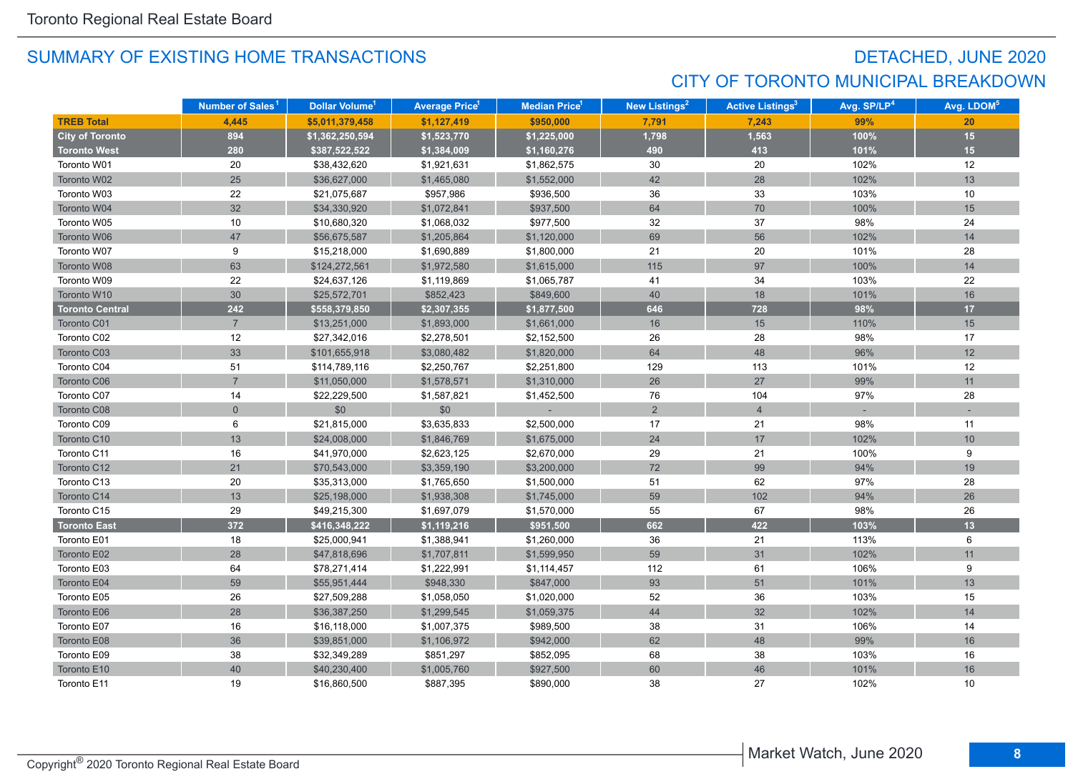## DETACHED, JUNE 2020 CITY OF TORONTO MUNICIPAL BREAKDOWN

|                        | Number of Sales <sup>1</sup> | Dollar Volume <sup>1</sup> | <b>Average Price</b> <sup>1</sup> | <b>Median Price</b> <sup>1</sup> | New Listings <sup>2</sup> | <b>Active Listings<sup>3</sup></b> | Avg. SP/LP <sup>4</sup> | Avg. LDOM <sup>5</sup> |
|------------------------|------------------------------|----------------------------|-----------------------------------|----------------------------------|---------------------------|------------------------------------|-------------------------|------------------------|
| <b>TREB Total</b>      | 4.445                        | \$5,011,379,458            | \$1,127,419                       | \$950,000                        | 7,791                     | 7,243                              | 99%                     | 20                     |
| <b>City of Toronto</b> | 894                          | \$1,362,250,594            | \$1,523,770                       | \$1,225,000                      | 1,798                     | 1,563                              | 100%                    | 15                     |
| <b>Toronto West</b>    | 280                          | \$387,522,522              | \$1,384,009                       | \$1,160,276                      | 490                       | 413                                | 101%                    | 15                     |
| Toronto W01            | 20                           | \$38,432,620               | \$1,921,631                       | \$1,862,575                      | 30                        | 20                                 | 102%                    | 12                     |
| Toronto W02            | 25                           | \$36,627,000               | \$1,465,080                       | \$1,552,000                      | 42                        | 28                                 | 102%                    | 13                     |
| Toronto W03            | 22                           | \$21,075,687               | \$957,986                         | \$936,500                        | 36                        | 33                                 | 103%                    | 10                     |
| Toronto W04            | 32                           | \$34,330,920               | \$1,072,841                       | \$937,500                        | 64                        | 70                                 | 100%                    | 15                     |
| Toronto W05            | 10                           | \$10,680,320               | \$1,068,032                       | \$977,500                        | 32                        | 37                                 | 98%                     | 24                     |
| Toronto W06            | 47                           | \$56,675,587               | \$1,205,864                       | \$1,120,000                      | 69                        | 56                                 | 102%                    | 14                     |
| Toronto W07            | 9                            | \$15,218,000               | \$1,690,889                       | \$1,800,000                      | 21                        | 20                                 | 101%                    | 28                     |
| Toronto W08            | 63                           | \$124,272,561              | \$1,972,580                       | \$1,615,000                      | 115                       | 97                                 | 100%                    | 14                     |
| Toronto W09            | 22                           | \$24,637,126               | \$1,119,869                       | \$1,065,787                      | 41                        | 34                                 | 103%                    | 22                     |
| Toronto W10            | 30                           | \$25,572,701               | \$852,423                         | \$849,600                        | 40                        | 18                                 | 101%                    | 16                     |
| <b>Toronto Central</b> | 242                          | \$558,379,850              | \$2,307,355                       | \$1,877,500                      | 646                       | 728                                | 98%                     | 17                     |
| <b>Toronto C01</b>     | $\overline{7}$               | \$13,251,000               | \$1,893,000                       | \$1,661,000                      | 16                        | 15                                 | 110%                    | 15                     |
| Toronto C02            | 12                           | \$27,342,016               | \$2,278,501                       | \$2,152,500                      | 26                        | 28                                 | 98%                     | 17                     |
| Toronto C03            | 33                           | \$101,655,918              | \$3,080,482                       | \$1,820,000                      | 64                        | 48                                 | 96%                     | 12                     |
| Toronto C04            | 51                           | \$114,789,116              | \$2,250,767                       | \$2,251,800                      | 129                       | 113                                | 101%                    | 12                     |
| Toronto C06            | $\overline{7}$               | \$11,050,000               | \$1,578,571                       | \$1,310,000                      | 26                        | 27                                 | 99%                     | 11                     |
| Toronto C07            | 14                           | \$22,229,500               | \$1,587,821                       | \$1,452,500                      | 76                        | 104                                | 97%                     | 28                     |
| Toronto C08            | $\overline{0}$               | \$0                        | \$0                               |                                  | 2                         | $\overline{4}$                     |                         |                        |
| Toronto C09            | 6                            | \$21,815,000               | \$3,635,833                       | \$2,500,000                      | 17                        | 21                                 | 98%                     | 11                     |
| Toronto C10            | 13                           | \$24,008,000               | \$1,846,769                       | \$1,675,000                      | 24                        | $17\,$                             | 102%                    | 10                     |
| Toronto C11            | 16                           | \$41,970,000               | \$2,623,125                       | \$2,670,000                      | 29                        | 21                                 | 100%                    | 9                      |
| Toronto C12            | 21                           | \$70,543,000               | \$3,359,190                       | \$3,200,000                      | $72\,$                    | 99                                 | 94%                     | 19                     |
| Toronto C13            | 20                           | \$35,313,000               | \$1,765,650                       | \$1,500,000                      | 51                        | 62                                 | 97%                     | 28                     |
| Toronto C14            | 13                           | \$25,198,000               | \$1,938,308                       | \$1,745,000                      | 59                        | 102                                | 94%                     | 26                     |
| Toronto C15            | 29                           | \$49,215,300               | \$1,697,079                       | \$1,570,000                      | 55                        | 67                                 | 98%                     | 26                     |
| <b>Toronto East</b>    | 372                          | \$416,348,222              | \$1,119,216                       | \$951,500                        | 662                       | 422                                | 103%                    | 13                     |
| Toronto E01            | 18                           | \$25,000,941               | \$1,388,941                       | \$1,260,000                      | 36                        | 21                                 | 113%                    | 6                      |
| Toronto E02            | 28                           | \$47,818,696               | \$1,707,811                       | \$1,599,950                      | 59                        | 31                                 | 102%                    | 11                     |
| Toronto E03            | 64                           | \$78,271,414               | \$1,222,991                       | \$1,114,457                      | 112                       | 61                                 | 106%                    | 9                      |
| Toronto E04            | 59                           | \$55,951,444               | \$948,330                         | \$847,000                        | 93                        | 51                                 | 101%                    | 13                     |
| Toronto E05            | 26                           | \$27,509,288               | \$1,058,050                       | \$1,020,000                      | 52                        | 36                                 | 103%                    | 15                     |
| Toronto E06            | 28                           | \$36,387,250               | \$1,299,545                       | \$1,059,375                      | 44                        | 32                                 | 102%                    | 14                     |
| Toronto E07            | 16                           | \$16,118,000               | \$1,007,375                       | \$989,500                        | 38                        | 31                                 | 106%                    | 14                     |
| Toronto E08            | 36                           | \$39,851,000               | \$1,106,972                       | \$942,000                        | 62                        | 48                                 | 99%                     | 16                     |
| Toronto E09            | 38                           | \$32,349,289               | \$851,297                         | \$852,095                        | 68                        | 38                                 | 103%                    | 16                     |
| Toronto E10            | 40                           | \$40,230,400               | \$1,005,760                       | \$927,500                        | 60                        | 46                                 | 101%                    | 16                     |
| Toronto E11            | 19                           | \$16,860,500               | \$887,395                         | \$890,000                        | 38                        | 27                                 | 102%                    | 10                     |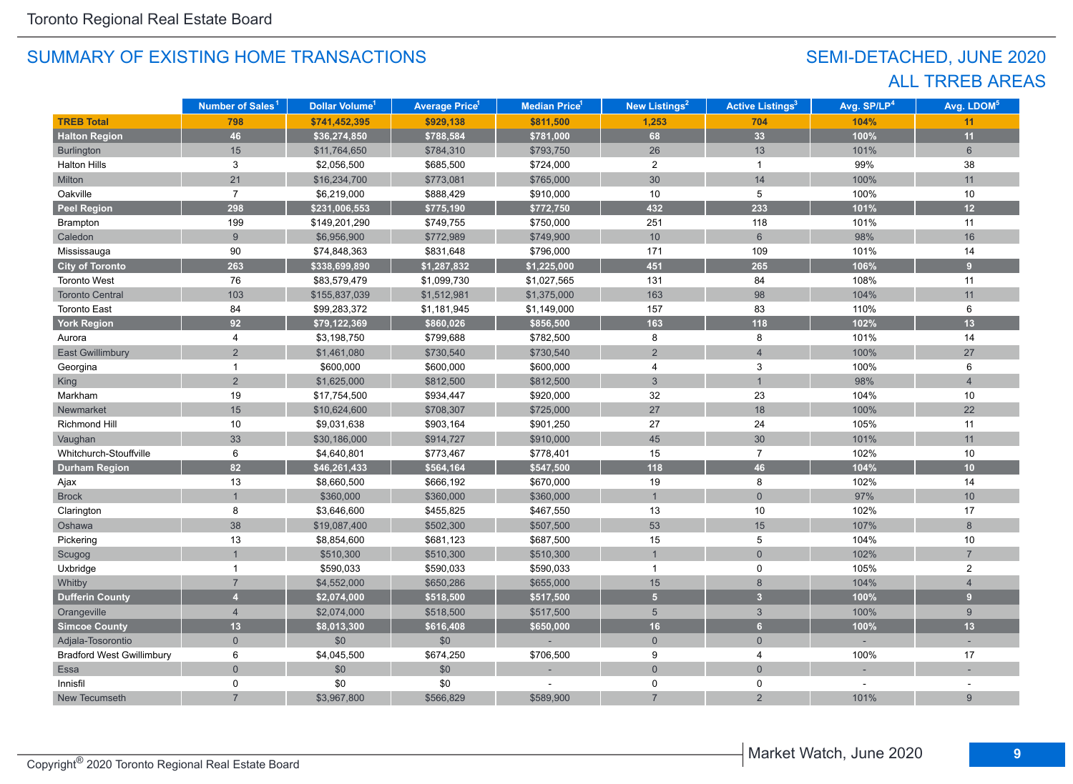## SEMI-DETACHED, JUNE 2020 ALL TRREB AREAS

|                                  | Number of Sales <sup>1</sup> | Dollar Volume <sup>1</sup> | <b>Average Price</b> 1 | Median Price <sup>1</sup> | <b>New Listings<sup>2</sup></b> | <b>Active Listings<sup>3</sup></b> | Avg. SP/LP <sup>4</sup> | Avg. LDOM <sup>5</sup> |
|----------------------------------|------------------------------|----------------------------|------------------------|---------------------------|---------------------------------|------------------------------------|-------------------------|------------------------|
| <b>TREB Total</b>                | 798                          | \$741,452,395              | \$929,138              | \$811,500                 | 1,253                           | 704                                | 104%                    | 11                     |
| <b>Halton Region</b>             | 46                           | \$36,274,850               | \$788,584              | \$781,000                 | 68                              | 33                                 | 100%                    | 11                     |
| <b>Burlington</b>                | 15                           | \$11,764,650               | \$784,310              | \$793,750                 | 26                              | 13                                 | 101%                    | 6                      |
| <b>Halton Hills</b>              | 3                            | \$2,056,500                | \$685,500              | \$724,000                 | $\overline{2}$                  | $\mathbf{1}$                       | 99%                     | 38                     |
| Milton                           | 21                           | \$16,234,700               | \$773,081              | \$765,000                 | 30                              | 14                                 | 100%                    | 11                     |
| Oakville                         | $\overline{7}$               | \$6,219,000                | \$888,429              | \$910,000                 | 10                              | 5                                  | 100%                    | 10                     |
| <b>Peel Region</b>               | 298                          | \$231,006,553              | \$775,190              | \$772,750                 | 432                             | 233                                | 101%                    | 12                     |
| Brampton                         | 199                          | \$149,201,290              | \$749,755              | \$750,000                 | 251                             | 118                                | 101%                    | 11                     |
| Caledon                          | $9\phantom{.}$               | \$6,956,900                | \$772,989              | \$749,900                 | $10$                            | $6\phantom{1}$                     | 98%                     | 16                     |
| Mississauga                      | $90\,$                       | \$74,848,363               | \$831,648              | \$796,000                 | 171                             | 109                                | 101%                    | 14                     |
| <b>City of Toronto</b>           | 263                          | \$338,699,890              | \$1,287,832            | \$1,225,000               | 451                             | 265                                | 106%                    | $\overline{9}$         |
| <b>Toronto West</b>              | 76                           | \$83,579,479               | \$1,099,730            | \$1,027,565               | 131                             | 84                                 | 108%                    | 11                     |
| <b>Toronto Central</b>           | 103                          | \$155,837,039              | \$1,512,981            | \$1,375,000               | 163                             | 98                                 | 104%                    | 11                     |
| <b>Toronto East</b>              | 84                           | \$99,283,372               | \$1,181,945            | \$1,149,000               | 157                             | 83                                 | 110%                    | 6                      |
| York Region                      | 92                           | \$79,122,369               | \$860,026              | \$856,500                 | 163                             | 118                                | 102%                    | 13                     |
| Aurora                           | 4                            | \$3,198,750                | \$799,688              | \$782,500                 | 8                               | 8                                  | 101%                    | 14                     |
| <b>East Gwillimbury</b>          | $\overline{2}$               | \$1,461,080                | \$730,540              | \$730,540                 | $\overline{2}$                  | $\overline{4}$                     | 100%                    | 27                     |
| Georgina                         | 1                            | \$600,000                  | \$600,000              | \$600,000                 | $\overline{4}$                  | 3                                  | 100%                    | 6                      |
| <b>King</b>                      | $\overline{2}$               | \$1,625,000                | \$812,500              | \$812,500                 | $\mathbf{3}$                    | $\overline{1}$                     | 98%                     | $\overline{4}$         |
| Markham                          | $19$                         | \$17,754,500               | \$934,447              | \$920,000                 | 32                              | 23                                 | 104%                    | 10                     |
| Newmarket                        | 15                           | \$10,624,600               | \$708,307              | \$725,000                 | 27                              | 18                                 | 100%                    | 22                     |
| Richmond Hill                    | 10                           | \$9,031,638                | \$903,164              | \$901,250                 | 27                              | 24                                 | 105%                    | 11                     |
| Vaughan                          | 33                           | \$30,186,000               | \$914,727              | \$910,000                 | 45                              | 30                                 | 101%                    | 11                     |
| Whitchurch-Stouffville           | 6                            | \$4,640,801                | \$773,467              | \$778,401                 | 15                              | $\overline{7}$                     | 102%                    | 10                     |
| <b>Durham Region</b>             | 82                           | \$46,261,433               | \$564,164              | \$547,500                 | 118                             | 46                                 | 104%                    | 10                     |
| Ajax                             | 13                           | \$8,660,500                | \$666,192              | \$670,000                 | 19                              | 8                                  | 102%                    | 14                     |
| <b>Brock</b>                     |                              | \$360,000                  | \$360,000              | \$360,000                 | $\mathbf{1}$                    | $\mathbf 0$                        | 97%                     | 10                     |
| Clarington                       | 8                            | \$3,646,600                | \$455,825              | \$467,550                 | 13                              | 10                                 | 102%                    | 17                     |
| Oshawa                           | 38                           | \$19,087,400               | \$502,300              | \$507,500                 | 53                              | 15                                 | 107%                    | 8                      |
| Pickering                        | 13                           | \$8,854,600                | \$681,123              | \$687,500                 | 15                              | 5                                  | 104%                    | 10                     |
| Scugog                           |                              | \$510,300                  | \$510,300              | \$510,300                 |                                 | $\overline{0}$                     | 102%                    | $\overline{7}$         |
| Uxbridge                         | $\mathbf{1}$                 | \$590,033                  | \$590,033              | \$590,033                 | $\mathbf{1}$                    | $\mathbf 0$                        | 105%                    | $\overline{2}$         |
| Whitby                           | $\overline{7}$               | \$4,552,000                | \$650,286              | \$655,000                 | 15                              | 8                                  | 104%                    | $\overline{4}$         |
| <b>Dufferin County</b>           | $\overline{4}$               | \$2,074,000                | \$518,500              | \$517,500                 | 5 <sup>1</sup>                  | $\overline{\mathbf{3}}$            | 100%                    | 9 <sup>1</sup>         |
| Orangeville                      | $\overline{4}$               | \$2,074,000                | \$518,500              | \$517,500                 | $5\overline{)}$                 | $\mathbf{3}$                       | 100%                    | 9                      |
| <b>Simcoe County</b>             | 13                           | \$8,013,300                | \$616,408              | \$650,000                 | 16                              | 6                                  | 100%                    | 13                     |
| Adjala-Tosorontio                | $\overline{0}$               | \$0                        | \$0                    |                           | $\overline{0}$                  | $\overline{0}$                     |                         |                        |
| <b>Bradford West Gwillimbury</b> | 6                            | \$4,045,500                | \$674,250              | \$706,500                 | 9                               | $\overline{4}$                     | 100%                    | 17                     |
| Essa                             | $\overline{0}$               | \$0                        | \$0                    |                           | $\mathbf 0$                     | $\overline{0}$                     |                         |                        |
| Innisfil                         | $\mathbf 0$                  | \$0                        | \$0                    |                           | 0                               | 0                                  |                         |                        |
| New Tecumseth                    |                              | \$3,967,800                | \$566,829              | \$589,900                 |                                 | $\overline{2}$                     | 101%                    | 9                      |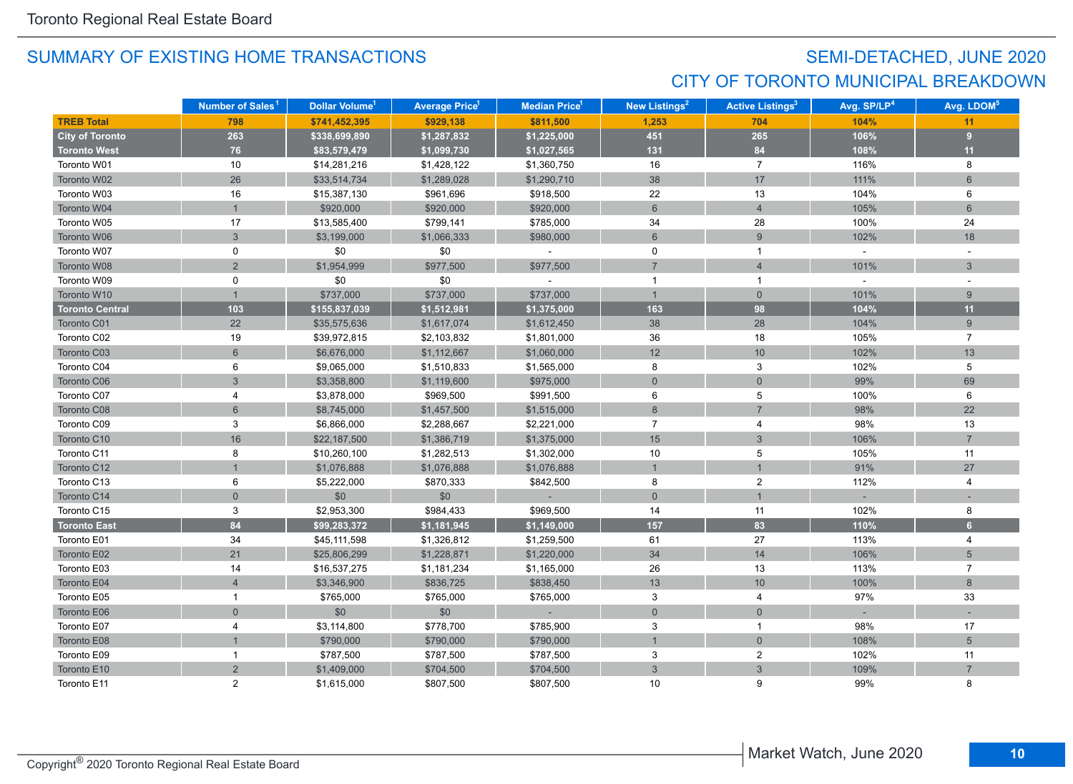## SEMI-DETACHED, JUNE 2020 CITY OF TORONTO MUNICIPAL BREAKDOWN

|                        | Number of Sales <sup>1</sup> | Dollar Volume <sup>1</sup> | <b>Average Price</b> <sup>1</sup> | <b>Median Price<sup>1</sup></b> | New Listings <sup>2</sup> | <b>Active Listings<sup>3</sup></b> | Avg. SP/LP <sup>4</sup> | Avg. LDOM <sup>5</sup> |
|------------------------|------------------------------|----------------------------|-----------------------------------|---------------------------------|---------------------------|------------------------------------|-------------------------|------------------------|
| <b>TREB Total</b>      | 798                          | \$741,452,395              | \$929,138                         | \$811,500                       | 1.253                     | 704                                | 104%                    | 11                     |
| <b>City of Toronto</b> | 263                          | \$338,699,890              | \$1,287,832                       | \$1,225,000                     | 451                       | 265                                | 106%                    | 9                      |
| <b>Toronto West</b>    | 76                           | \$83,579,479               | \$1,099,730                       | \$1,027,565                     | 131                       | 84                                 | 108%                    | 11                     |
| Toronto W01            | 10                           | \$14,281,216               | \$1,428,122                       | \$1,360,750                     | 16                        | $\overline{7}$                     | 116%                    | 8                      |
| Toronto W02            | 26                           | \$33,514,734               | \$1,289,028                       | \$1,290,710                     | 38                        | 17                                 | 111%                    | $6\phantom{1}$         |
| Toronto W03            | 16                           | \$15,387,130               | \$961,696                         | \$918,500                       | 22                        | 13                                 | 104%                    | 6                      |
| Toronto W04            |                              | \$920,000                  | \$920,000                         | \$920,000                       | $6\phantom{1}$            | $\overline{4}$                     | 105%                    | 6                      |
| Toronto W05            | 17                           | \$13,585,400               | \$799,141                         | \$785,000                       | 34                        | 28                                 | 100%                    | 24                     |
| Toronto W06            | $\overline{3}$               | \$3,199,000                | \$1,066,333                       | \$980,000                       | $6\phantom{1}$            | 9                                  | 102%                    | 18                     |
| Toronto W07            | 0                            | \$0                        | \$0                               |                                 | 0                         | $\mathbf{1}$                       | $\sim$                  |                        |
| Toronto W08            | $\overline{2}$               | \$1,954,999                | \$977,500                         | \$977,500                       | $\overline{7}$            | $\overline{4}$                     | 101%                    | 3                      |
| Toronto W09            | 0                            | \$0                        | \$0                               |                                 | $\mathbf{1}$              | $\mathbf{1}$                       | $\sim$                  |                        |
| Toronto W10            | $\mathbf{1}$                 | \$737,000                  | \$737,000                         | \$737,000                       | $\mathbf{1}$              | $\overline{0}$                     | 101%                    | 9                      |
| <b>Toronto Central</b> | 103                          | \$155,837,039              | \$1,512,981                       | \$1,375,000                     | 163                       | 98                                 | 104%                    | 11                     |
| Toronto C01            | 22                           | \$35,575,636               | \$1,617,074                       | \$1,612,450                     | 38                        | 28                                 | 104%                    | 9                      |
| Toronto C02            | 19                           | \$39,972,815               | \$2,103,832                       | \$1,801,000                     | 36                        | 18                                 | 105%                    | $\overline{7}$         |
| Toronto C03            | $6\phantom{a}$               | \$6,676,000                | \$1,112,667                       | \$1,060,000                     | 12                        | 10                                 | 102%                    | 13                     |
| Toronto C04            | 6                            | \$9,065,000                | \$1,510,833                       | \$1,565,000                     | 8                         | 3                                  | 102%                    | 5                      |
| Toronto C06            | 3                            | \$3,358,800                | \$1,119,600                       | \$975,000                       | $\overline{0}$            | $\overline{0}$                     | 99%                     | 69                     |
| Toronto C07            | $\overline{4}$               | \$3,878,000                | \$969,500                         | \$991,500                       | 6                         | 5                                  | 100%                    | 6                      |
| Toronto C08            | 6                            | \$8,745,000                | \$1,457,500                       | \$1,515,000                     | $\boldsymbol{8}$          | $\overline{7}$                     | 98%                     | 22                     |
| Toronto C09            | 3                            | \$6,866,000                | \$2,288,667                       | \$2,221,000                     | $\overline{7}$            | 4                                  | 98%                     | 13                     |
| Toronto C10            | 16                           | \$22,187,500               | \$1,386,719                       | \$1,375,000                     | 15                        | $\mathbf{3}$                       | 106%                    | $\overline{7}$         |
| Toronto C11            | 8                            | \$10,260,100               | \$1,282,513                       | \$1,302,000                     | 10                        | 5                                  | 105%                    | 11                     |
| Toronto C12            |                              | \$1,076,888                | \$1,076,888                       | \$1,076,888                     | $\mathbf{1}$              | $\overline{1}$                     | 91%                     | 27                     |
| Toronto C13            | 6                            | \$5,222,000                | \$870,333                         | \$842,500                       | 8                         | $\overline{c}$                     | 112%                    | $\overline{4}$         |
| Toronto C14            | $\overline{0}$               | \$0                        | \$0                               |                                 | $\overline{0}$            | $\overline{1}$                     |                         |                        |
| Toronto C15            | 3                            | \$2,953,300                | \$984,433                         | \$969,500                       | 14                        | 11                                 | 102%                    | 8                      |
| <b>Toronto East</b>    | 84                           | \$99,283,372               | \$1,181,945                       | \$1,149,000                     | 157                       | 83                                 | 110%                    | 6 <sup>1</sup>         |
| Toronto E01            | 34                           | \$45,111,598               | \$1,326,812                       | \$1,259,500                     | 61                        | 27                                 | 113%                    | $\overline{4}$         |
| Toronto E02            | 21                           | \$25,806,299               | \$1,228,871                       | \$1,220,000                     | 34                        | 14                                 | 106%                    | $5\phantom{.0}$        |
| Toronto E03            | 14                           | \$16,537,275               | \$1,181,234                       | \$1,165,000                     | 26                        | 13                                 | 113%                    | $\overline{7}$         |
| Toronto E04            | $\overline{4}$               | \$3,346,900                | \$836,725                         | \$838,450                       | 13                        | 10                                 | 100%                    | 8                      |
| Toronto E05            | $\mathbf{1}$                 | \$765,000                  | \$765,000                         | \$765,000                       | 3                         | 4                                  | 97%                     | 33                     |
| Toronto E06            | $\overline{0}$               | \$0                        | \$0                               | $\sim$                          | $\mathbf{0}$              | $\overline{0}$                     |                         |                        |
| Toronto E07            | 4                            | \$3,114,800                | \$778,700                         | \$785,900                       | 3                         | $\mathbf{1}$                       | 98%                     | 17                     |
| Toronto E08            |                              | \$790,000                  | \$790,000                         | \$790,000                       | $\overline{1}$            | $\mathbf 0$                        | 108%                    | $5\overline{)}$        |
| Toronto E09            | $\mathbf{1}$                 | \$787,500                  | \$787,500                         | \$787,500                       | 3                         | $\overline{c}$                     | 102%                    | 11                     |
| Toronto E10            | $\overline{2}$               | \$1,409,000                | \$704,500                         | \$704,500                       | 3                         | $\mathfrak{Z}$                     | 109%                    | $\overline{7}$         |
| Toronto E11            | $\overline{2}$               | \$1,615,000                | \$807,500                         | \$807,500                       | 10                        | 9                                  | 99%                     | 8                      |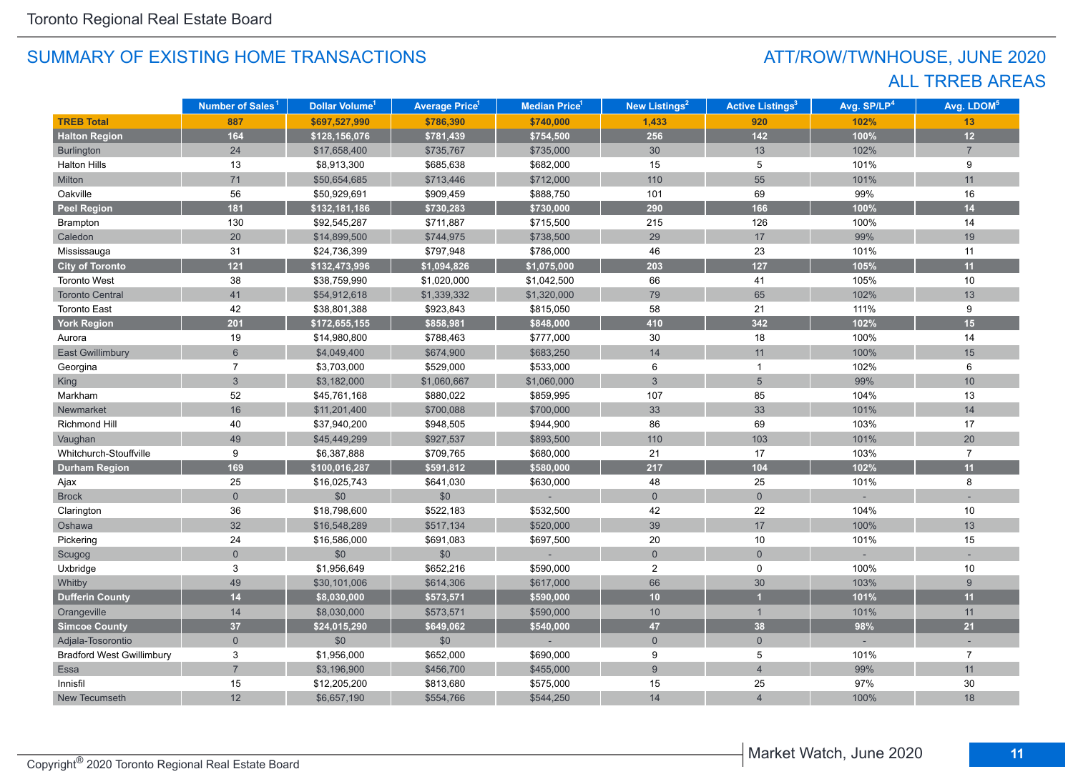## ATT/ROW/TWNHOUSE, JUNE 2020 ALL TRREB AREAS

|                                  | Number of Sales <sup>1</sup> | Dollar Volume <sup>1</sup> | <b>Average Price</b> <sup>1</sup> | Median Price <sup>1</sup> | New Listings <sup>2</sup> | <b>Active Listings<sup>3</sup></b> | Avg. SP/LP <sup>4</sup> | Avg. LDOM <sup>5</sup> |
|----------------------------------|------------------------------|----------------------------|-----------------------------------|---------------------------|---------------------------|------------------------------------|-------------------------|------------------------|
| <b>TREB Total</b>                | 887                          | \$697,527,990              | \$786,390                         | \$740,000                 | 1,433                     | 920                                | 102%                    | 13                     |
| <b>Halton Region</b>             | 164                          | \$128,156,076              | \$781,439                         | \$754,500                 | 256                       | $142$                              | 100%                    | 12                     |
| <b>Burlington</b>                | 24                           | \$17,658,400               | \$735,767                         | \$735,000                 | 30                        | 13                                 | 102%                    | $\overline{7}$         |
| Halton Hills                     | 13                           | \$8,913,300                | \$685,638                         | \$682,000                 | 15                        | 5                                  | 101%                    | 9                      |
| Milton                           | 71                           | \$50,654,685               | \$713,446                         | \$712,000                 | 110                       | 55                                 | 101%                    | 11                     |
| Oakville                         | 56                           | \$50,929,691               | \$909,459                         | \$888,750                 | 101                       | 69                                 | 99%                     | 16                     |
| <b>Peel Region</b>               | 181                          | \$132,181,186              | \$730,283                         | \$730,000                 | 290                       | 166                                | 100%                    | 14                     |
| Brampton                         | 130                          | \$92,545,287               | \$711,887                         | \$715,500                 | 215                       | 126                                | 100%                    | 14                     |
| Caledon                          | 20                           | \$14,899,500               | \$744,975                         | \$738,500                 | 29                        | 17                                 | 99%                     | 19                     |
| Mississauga                      | 31                           | \$24,736,399               | \$797,948                         | \$786,000                 | 46                        | 23                                 | 101%                    | 11                     |
| <b>City of Toronto</b>           | $121$                        | \$132,473,996              | \$1,094,826                       | \$1,075,000               | 203                       | 127                                | 105%                    | 11                     |
| <b>Toronto West</b>              | 38                           | \$38,759,990               | \$1,020,000                       | \$1,042,500               | 66                        | 41                                 | 105%                    | 10                     |
| <b>Toronto Central</b>           | 41                           | \$54,912,618               | \$1,339,332                       | \$1,320,000               | 79                        | 65                                 | 102%                    | 13                     |
| <b>Toronto East</b>              | 42                           | \$38,801,388               | \$923,843                         | \$815,050                 | 58                        | 21                                 | 111%                    | 9                      |
| <b>York Region</b>               | 201                          | \$172,655,155              | \$858,981                         | \$848,000                 | 410                       | 342                                | 102%                    | 15                     |
| Aurora                           | 19                           | \$14,980,800               | \$788,463                         | \$777,000                 | 30                        | 18                                 | 100%                    | 14                     |
| <b>East Gwillimbury</b>          | $6\overline{6}$              | \$4,049,400                | \$674,900                         | \$683,250                 | 14                        | 11                                 | 100%                    | 15                     |
| Georgina                         | $\overline{7}$               | \$3,703,000                | \$529,000                         | \$533,000                 | 6                         | $\overline{1}$                     | 102%                    | 6                      |
| <b>King</b>                      | $\mathbf{3}$                 | \$3,182,000                | \$1,060,667                       | \$1,060,000               | $\mathbf{3}$              | $5\phantom{.}$                     | 99%                     | 10                     |
| Markham                          | 52                           | \$45,761,168               | \$880,022                         | \$859,995                 | 107                       | 85                                 | 104%                    | 13                     |
| Newmarket                        | 16                           | \$11,201,400               | \$700,088                         | \$700,000                 | 33                        | 33                                 | 101%                    | 14                     |
| Richmond Hill                    | 40                           | \$37,940,200               | \$948,505                         | \$944,900                 | 86                        | 69                                 | 103%                    | 17                     |
| Vaughan                          | 49                           | \$45,449,299               | \$927,537                         | \$893,500                 | 110                       | 103                                | 101%                    | 20                     |
| Whitchurch-Stouffville           | 9                            | \$6,387,888                | \$709,765                         | \$680,000                 | 21                        | 17                                 | 103%                    | $\overline{7}$         |
| <b>Durham Region</b>             | 169                          | \$100,016,287              | \$591,812                         | \$580,000                 | 217                       | 104                                | 102%                    | 11                     |
| Ajax                             | 25                           | \$16,025,743               | \$641,030                         | \$630,000                 | 48                        | 25                                 | 101%                    | 8                      |
| <b>Brock</b>                     | $\overline{0}$               | \$0                        | \$0                               |                           | $\overline{0}$            | $\mathbf{0}$                       |                         |                        |
| Clarington                       | 36                           | \$18,798,600               | \$522,183                         | \$532,500                 | 42                        | 22                                 | 104%                    | 10                     |
| Oshawa                           | 32                           | \$16,548,289               | \$517,134                         | \$520,000                 | 39                        | $17\,$                             | 100%                    | 13                     |
| Pickering                        | 24                           | \$16,586,000               | \$691,083                         | \$697,500                 | 20                        | 10                                 | 101%                    | 15                     |
| Scugog                           | $\overline{0}$               | \$0                        | \$0                               |                           | $\overline{0}$            | $\mathbf 0$                        |                         |                        |
| Uxbridge                         | 3                            | \$1,956,649                | \$652,216                         | \$590,000                 | $\overline{2}$            | 0                                  | 100%                    | 10                     |
| Whitby                           | 49                           | \$30,101,006               | \$614,306                         | \$617,000                 | 66                        | 30                                 | 103%                    | 9                      |
| <b>Dufferin County</b>           | 14                           | \$8,030,000                | \$573,571                         | \$590,000                 | 10 <sup>1</sup>           | п                                  | 101%                    | 11                     |
| Orangeville                      | 14                           | \$8,030,000                | \$573,571                         | \$590,000                 | 10                        | $\mathbf{1}$                       | 101%                    | 11                     |
| <b>Simcoe County</b>             | 37                           | \$24,015,290               | \$649,062                         | \$540,000                 | 47                        | 38                                 | 98%                     | 21                     |
| Adjala-Tosorontio                | $\overline{0}$               | \$0                        | \$0                               |                           | $\overline{0}$            | $\mathbf{0}$                       |                         |                        |
| <b>Bradford West Gwillimbury</b> | 3                            | \$1,956,000                | \$652,000                         | \$690,000                 | 9                         | 5                                  | 101%                    | $\overline{7}$         |
| Essa                             | $\overline{7}$               | \$3,196,900                | \$456,700                         | \$455,000                 | 9                         | $\overline{4}$                     | 99%                     | 11                     |
| Innisfil                         | 15                           | \$12,205,200               | \$813,680                         | \$575,000                 | 15                        | 25                                 | 97%                     | 30                     |
| New Tecumseth                    | 12                           | \$6,657,190                | \$554,766                         | \$544,250                 | 14                        | $\overline{\mathcal{A}}$           | 100%                    | 18                     |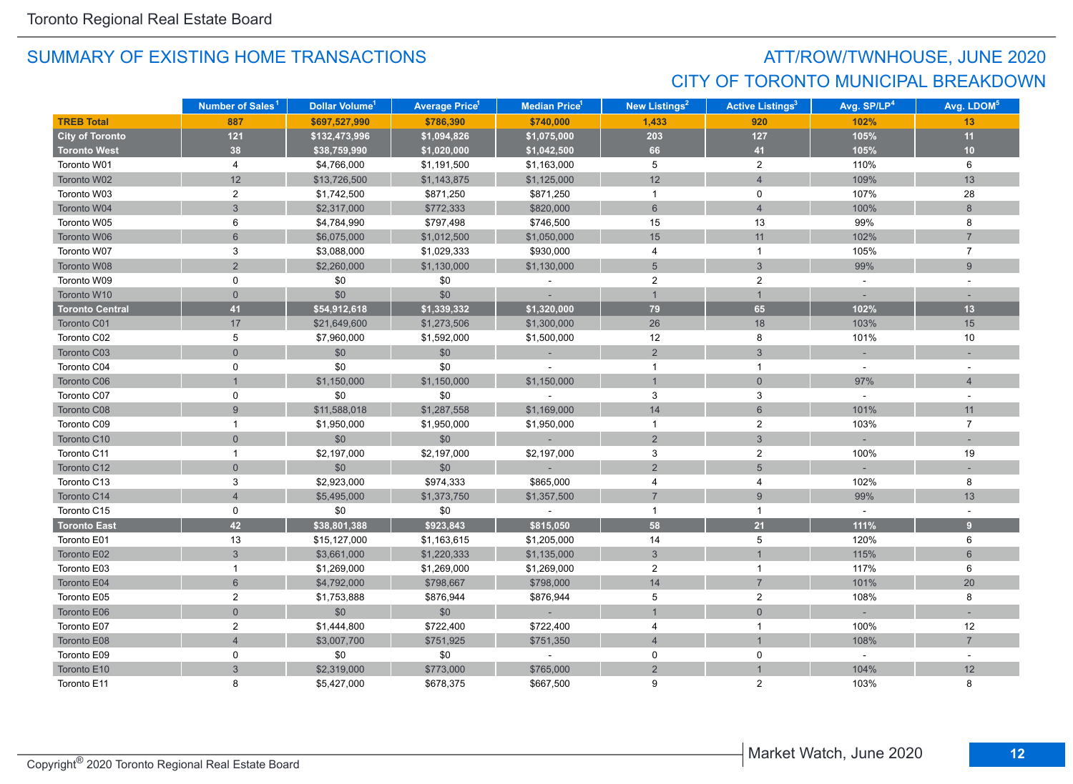## ATT/ROW/TWNHOUSE, JUNE 2020 CITY OF TORONTO MUNICIPAL BREAKDOWN

|                        | Number of Sales <sup>1</sup> | Dollar Volume <sup>1</sup> | <b>Average Price<sup>1</sup></b> | <b>Median Price<sup>1</sup></b> | New Listings <sup>2</sup> | <b>Active Listings<sup>3</sup></b> | Avg. SP/LP <sup>4</sup> | Avg. LDOM <sup>5</sup> |
|------------------------|------------------------------|----------------------------|----------------------------------|---------------------------------|---------------------------|------------------------------------|-------------------------|------------------------|
| <b>TREB Total</b>      | 887                          | \$697,527,990              | \$786,390                        | \$740,000                       | 1,433                     | 920                                | 102%                    | 13                     |
| <b>City of Toronto</b> | $121$                        | \$132,473,996              | \$1,094,826                      | \$1,075,000                     | 203                       | 127                                | 105%                    | 11                     |
| <b>Toronto West</b>    | 38                           | \$38,759,990               | \$1,020,000                      | \$1,042,500                     | 66                        | 41                                 | 105%                    | 10                     |
| Toronto W01            | 4                            | \$4,766,000                | \$1,191,500                      | \$1,163,000                     | 5                         | $\overline{a}$                     | 110%                    | 6                      |
| Toronto W02            | 12                           | \$13,726,500               | \$1,143,875                      | \$1,125,000                     | 12                        | $\overline{4}$                     | 109%                    | 13                     |
| Toronto W03            | $\overline{c}$               | \$1,742,500                | \$871,250                        | \$871,250                       | $\overline{1}$            | 0                                  | 107%                    | 28                     |
| Toronto W04            | $\overline{3}$               | \$2,317,000                | \$772,333                        | \$820,000                       | $6\phantom{1}$            | $\overline{4}$                     | 100%                    | 8                      |
| Toronto W05            | 6                            | \$4,784,990                | \$797,498                        | \$746,500                       | 15                        | 13                                 | 99%                     | 8                      |
| Toronto W06            | 6                            | \$6,075,000                | \$1,012,500                      | \$1,050,000                     | 15                        | 11                                 | 102%                    | $\overline{7}$         |
| Toronto W07            | 3                            | \$3,088,000                | \$1,029,333                      | \$930,000                       | 4                         | $\mathbf{1}$                       | 105%                    | $\overline{7}$         |
| Toronto W08            | $\overline{2}$               | \$2,260,000                | \$1,130,000                      | \$1,130,000                     | $\overline{5}$            | $\mathbf{3}$                       | 99%                     | 9                      |
| Toronto W09            | 0                            | \$0                        | \$0                              |                                 | $\overline{2}$            | $\overline{2}$                     | $\omega$                |                        |
| Toronto W10            | $\overline{0}$               | \$0                        | \$0                              |                                 | $\overline{1}$            | $\mathbf{1}$                       |                         |                        |
| <b>Toronto Central</b> | 41                           | \$54,912,618               | \$1,339,332                      | \$1,320,000                     | 79                        | 65                                 | 102%                    | 13                     |
| Toronto C01            | 17                           | \$21,649,600               | \$1,273,506                      | \$1,300,000                     | 26                        | 18                                 | 103%                    | 15                     |
| Toronto C02            | 5                            | \$7,960,000                | \$1,592,000                      | \$1,500,000                     | 12                        | 8                                  | 101%                    | 10                     |
| Toronto C03            | $\overline{0}$               | \$0                        | \$0                              |                                 | $\overline{2}$            | $\mathbf{3}$                       |                         |                        |
| Toronto C04            | 0                            | \$0                        | \$0                              |                                 | $\mathbf{1}$              | $\mathbf{1}$                       | $\sim$                  |                        |
| Toronto C06            |                              | \$1,150,000                | \$1,150,000                      | \$1,150,000                     | $\overline{1}$            | $\overline{0}$                     | 97%                     | $\overline{4}$         |
| Toronto C07            | $\mathbf 0$                  | \$0                        | \$0                              |                                 | 3                         | 3                                  |                         |                        |
| Toronto C08            | 9                            | \$11,588,018               | \$1,287,558                      | \$1,169,000                     | 14                        | 6                                  | 101%                    | 11                     |
| Toronto C09            | $\mathbf{1}$                 | \$1,950,000                | \$1,950,000                      | \$1,950,000                     | $\mathbf{1}$              | $\overline{2}$                     | 103%                    | $\overline{7}$         |
| Toronto C10            | $\overline{0}$               | \$0                        | \$0                              |                                 | $\overline{2}$            | $\mathbf{3}$                       |                         |                        |
| Toronto C11            | $\mathbf{1}$                 | \$2,197,000                | \$2,197,000                      | \$2,197,000                     | $\mathbf{3}$              | $\overline{2}$                     | 100%                    | 19                     |
| Toronto C12            | $\overline{0}$               | \$0                        | \$0                              |                                 | $\overline{2}$            | 5                                  |                         |                        |
| Toronto C13            | 3                            | \$2,923,000                | \$974,333                        | \$865,000                       | 4                         | 4                                  | 102%                    | 8                      |
| Toronto C14            | $\overline{4}$               | \$5,495,000                | \$1,373,750                      | \$1,357,500                     | $\overline{7}$            | 9                                  | 99%                     | 13                     |
| Toronto C15            | 0                            | \$0                        | \$0                              |                                 | $\mathbf{1}$              | $\mathbf{1}$                       | $\sim$                  |                        |
| <b>Toronto East</b>    | 42                           | \$38,801,388               | \$923,843                        | \$815,050                       | 58                        | 21                                 | 111%                    | 9                      |
| Toronto E01            | 13                           | \$15,127,000               | \$1,163,615                      | \$1,205,000                     | 14                        | 5                                  | 120%                    | 6                      |
| Toronto E02            | $\overline{3}$               | \$3,661,000                | \$1,220,333                      | \$1,135,000                     | $\mathbf{3}$              |                                    | 115%                    | $6\phantom{1}$         |
| Toronto E03            | $\mathbf{1}$                 | \$1,269,000                | \$1,269,000                      | \$1,269,000                     | $\overline{2}$            | $\mathbf{1}$                       | 117%                    | 6                      |
| Toronto E04            | 6                            | \$4,792,000                | \$798,667                        | \$798,000                       | 14                        | $\overline{7}$                     | 101%                    | 20                     |
| Toronto E05            | $\overline{2}$               | \$1,753,888                | \$876,944                        | \$876,944                       | 5                         | $\overline{2}$                     | 108%                    | 8                      |
| Toronto E06            | $\overline{0}$               | \$0                        | \$0                              | $\sim$ 10 $\pm$                 | $\overline{1}$            | $\overline{0}$                     |                         |                        |
| Toronto E07            | $\overline{2}$               | \$1,444,800                | \$722,400                        | \$722,400                       | 4                         | $\mathbf{1}$                       | 100%                    | 12                     |
| Toronto E08            | $\overline{4}$               | \$3,007,700                | \$751,925                        | \$751,350                       | $\overline{4}$            | $\overline{1}$                     | 108%                    | $\overline{7}$         |
| Toronto E09            | $\mathbf 0$                  | \$0                        | \$0                              |                                 | 0                         | 0                                  | $\omega$                | $\sim$                 |
| Toronto E10            | $\overline{3}$               | \$2,319,000                | \$773,000                        | \$765,000                       | $\overline{2}$            |                                    | 104%                    | 12                     |
| Toronto E11            | 8                            | \$5,427,000                | \$678,375                        | \$667,500                       | 9                         | $\mathfrak{p}$                     | 103%                    | 8                      |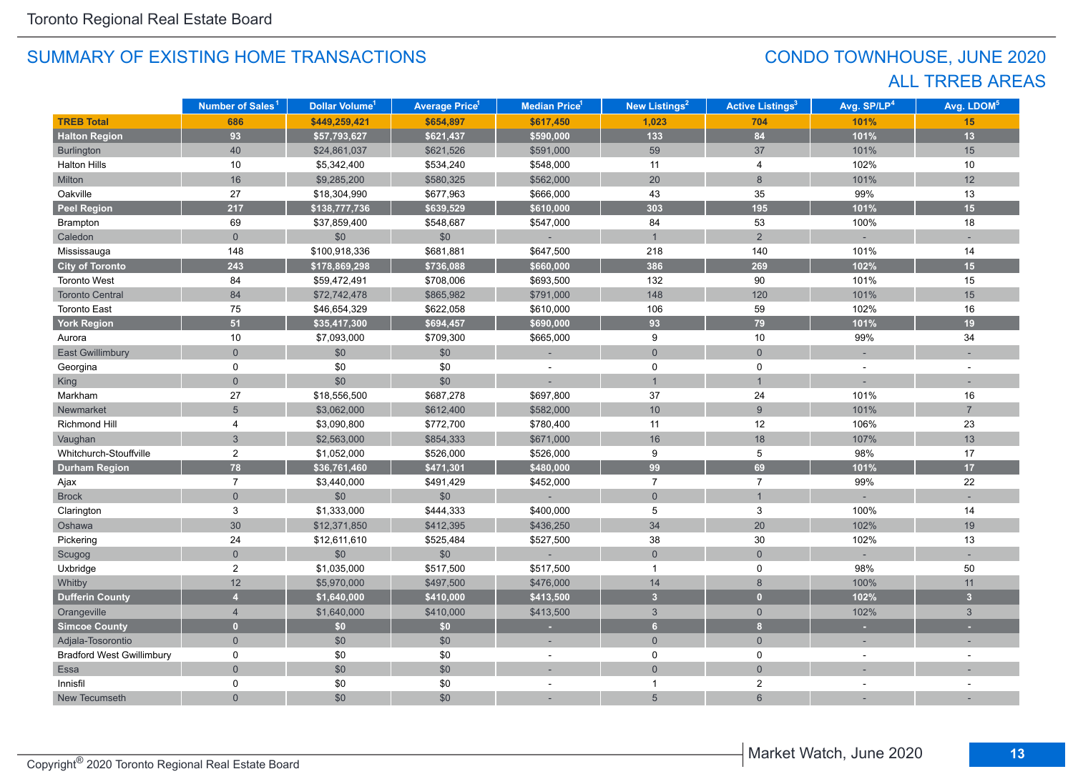## CONDO TOWNHOUSE, JUNE 2020 ALL TRREB AREAS

|                                  | Number of Sales <sup>1</sup> | <b>Dollar Volume<sup>1</sup></b> | <b>Average Price<sup>1</sup></b> | <b>Median Price</b> <sup>1</sup> | New Listings <sup>2</sup> | <b>Active Listings<sup>3</sup></b> | Avg. SP/LP <sup>4</sup> | Avg. LDOM <sup>5</sup> |
|----------------------------------|------------------------------|----------------------------------|----------------------------------|----------------------------------|---------------------------|------------------------------------|-------------------------|------------------------|
| <b>TREB Total</b>                | 686                          | \$449,259,421                    | \$654,897                        | \$617,450                        | 1,023                     | 704                                | 101%                    | 15                     |
| <b>Halton Region</b>             | 93                           | \$57,793,627                     | \$621,437                        | \$590,000                        | 133                       | 84                                 | 101%                    | 13                     |
| <b>Burlington</b>                | 40                           | \$24,861,037                     | \$621,526                        | \$591,000                        | 59                        | 37                                 | 101%                    | 15                     |
| <b>Halton Hills</b>              | 10                           | \$5,342,400                      | \$534,240                        | \$548,000                        | 11                        | 4                                  | 102%                    | 10                     |
| Milton                           | 16                           | \$9,285,200                      | \$580,325                        | \$562,000                        | 20                        | 8                                  | 101%                    | 12                     |
| Oakville                         | 27                           | \$18,304,990                     | \$677,963                        | \$666,000                        | 43                        | 35                                 | 99%                     | 13                     |
| <b>Peel Region</b>               | 217                          | \$138,777,736                    | \$639,529                        | \$610,000                        | 303                       | 195                                | 101%                    | 15                     |
| Brampton                         | 69                           | \$37,859,400                     | \$548,687                        | \$547,000                        | 84                        | 53                                 | 100%                    | 18                     |
| Caledon                          | $\overline{0}$               | $$0$$                            | $$0$$                            |                                  | $\mathbf{1}$              | $\overline{2}$                     |                         |                        |
| Mississauga                      | 148                          | \$100,918,336                    | \$681,881                        | \$647,500                        | 218                       | 140                                | 101%                    | 14                     |
| <b>City of Toronto</b>           | 243                          | \$178,869,298                    | \$736,088                        | \$660,000                        | 386                       | 269                                | 102%                    | 15                     |
| <b>Toronto West</b>              | 84                           | \$59,472,491                     | \$708,006                        | \$693,500                        | 132                       | $90\,$                             | 101%                    | 15                     |
| <b>Toronto Central</b>           | 84                           | \$72,742,478                     | \$865,982                        | \$791,000                        | 148                       | 120                                | 101%                    | 15                     |
| <b>Toronto East</b>              | 75                           | \$46,654,329                     | \$622,058                        | \$610,000                        | 106                       | 59                                 | 102%                    | 16                     |
| <b>York Region</b>               | 51                           | \$35,417,300                     | \$694,457                        | \$690,000                        | 93                        | 79                                 | 101%                    | 19                     |
| Aurora                           | 10                           | \$7,093,000                      | \$709,300                        | \$665,000                        | 9                         | 10                                 | 99%                     | 34                     |
| <b>East Gwillimbury</b>          | $\Omega$                     | \$0                              | \$0                              |                                  | $\mathbf{0}$              | $\overline{0}$                     |                         |                        |
| Georgina                         | 0                            | \$0                              | \$0                              |                                  | 0                         | 0                                  |                         |                        |
| King                             | $\overline{0}$               | \$0                              | \$0                              |                                  | $\overline{1}$            | $\overline{1}$                     |                         |                        |
| Markham                          | 27                           | \$18,556,500                     | \$687,278                        | \$697,800                        | 37                        | 24                                 | 101%                    | 16                     |
| Newmarket                        | 5                            | \$3,062,000                      | \$612,400                        | \$582,000                        | 10 <sup>1</sup>           | 9                                  | 101%                    | $\overline{7}$         |
| <b>Richmond Hill</b>             | 4                            | \$3,090,800                      | \$772,700                        | \$780,400                        | 11                        | 12                                 | 106%                    | 23                     |
| Vaughan                          | $\overline{3}$               | \$2,563,000                      | \$854,333                        | \$671,000                        | 16                        | 18                                 | 107%                    | 13                     |
| Whitchurch-Stouffville           | $\overline{c}$               | \$1,052,000                      | \$526,000                        | \$526,000                        | 9                         | 5                                  | 98%                     | 17                     |
| <b>Durham Region</b>             | 78                           | \$36,761,460                     | \$471,301                        | \$480,000                        | 99                        | 69                                 | 101%                    | 17                     |
| Ajax                             | $\overline{7}$               | \$3,440,000                      | \$491,429                        | \$452,000                        | $\overline{7}$            | $\overline{7}$                     | 99%                     | 22                     |
| <b>Brock</b>                     | $\overline{0}$               | \$0                              | \$0                              |                                  | $\mathsf{O}\xspace$       | $\mathbf{1}$                       |                         |                        |
| Clarington                       | 3                            | \$1,333,000                      | \$444,333                        | \$400,000                        | 5                         | 3                                  | 100%                    | 14                     |
| Oshawa                           | $30\,$                       | \$12,371,850                     | \$412,395                        | \$436,250                        | 34                        | 20                                 | 102%                    | 19                     |
| Pickering                        | 24                           | \$12,611,610                     | \$525,484                        | \$527,500                        | 38                        | 30                                 | 102%                    | 13                     |
| Scugog                           | $\overline{0}$               | \$0                              | \$0                              |                                  | $\overline{0}$            | $\overline{0}$                     |                         |                        |
| Uxbridge                         | 2                            | \$1,035,000                      | \$517,500                        | \$517,500                        | $\mathbf{1}$              | $\mathbf 0$                        | 98%                     | 50                     |
| Whitby                           | 12                           | \$5,970,000                      | \$497,500                        | \$476,000                        | 14                        | $\bf 8$                            | 100%                    | 11                     |
| <b>Dufferin County</b>           | $\overline{4}$               | \$1,640,000                      | \$410,000                        | \$413,500                        | $\overline{3}$            | $\overline{0}$                     | 102%                    | $\overline{3}$         |
| Orangeville                      | $\overline{4}$               | \$1,640,000                      | \$410,000                        | \$413,500                        | $\mathbf{3}$              | $\overline{0}$                     | 102%                    | $\mathbf{3}$           |
| <b>Simcoe County</b>             | $\overline{0}$               | \$0                              | \$0                              |                                  | $6\phantom{a}$            | 8                                  |                         |                        |
| Adjala-Tosorontio                | $\overline{0}$               | \$0                              | \$0                              |                                  | $\mathbf{0}$              | $\overline{0}$                     |                         |                        |
| <b>Bradford West Gwillimbury</b> | $\mathbf 0$                  | \$0                              | \$0                              |                                  | $\pmb{0}$                 | 0                                  |                         |                        |
| Essa                             | $\overline{0}$               | $$0$$                            | \$0                              |                                  | $\overline{0}$            | $\overline{0}$                     |                         |                        |
| Innisfil                         | 0                            | \$0                              | \$0                              |                                  | 1                         | $\overline{2}$                     |                         |                        |
| New Tecumseth                    | $\overline{0}$               | \$0                              | \$0                              |                                  | 5                         | $6\phantom{1}$                     |                         |                        |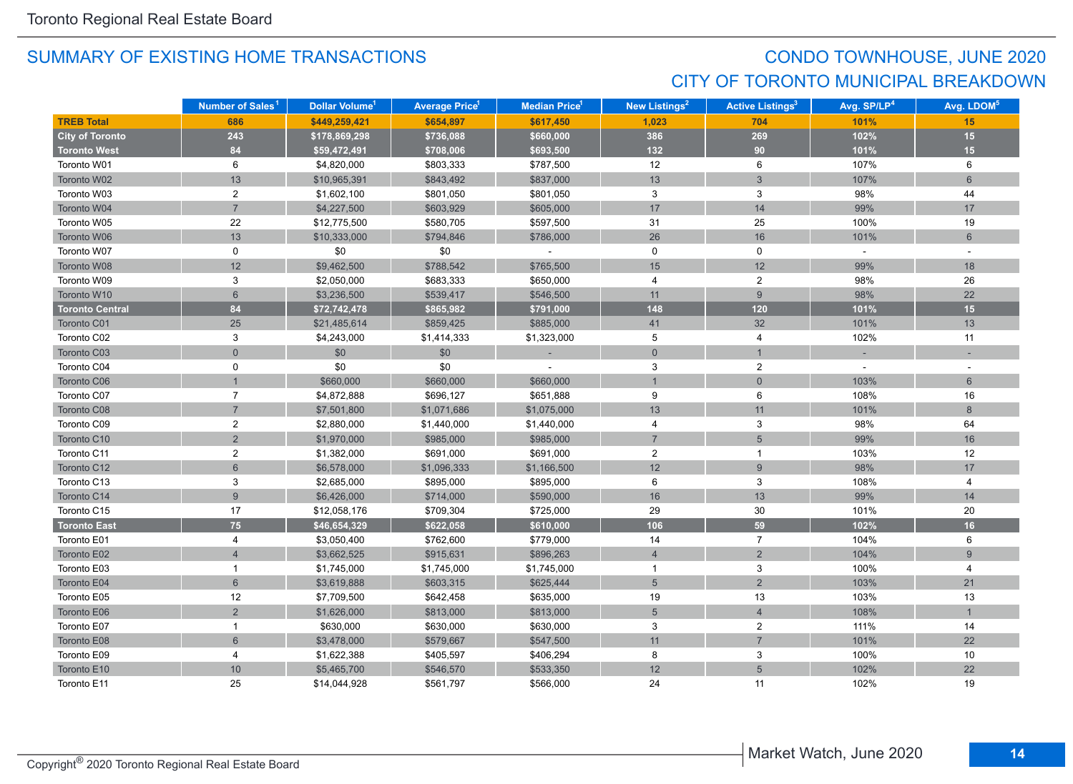## CONDO TOWNHOUSE, JUNE 2020 CITY OF TORONTO MUNICIPAL BREAKDOWN

|                        | Number of Sales <sup>1</sup> | Dollar Volume <sup>1</sup> | <b>Average Price</b> 1 | Median Price <sup>1</sup> | New Listings <sup>2</sup> | <b>Active Listings<sup>3</sup></b> | Avg. SP/LP <sup>4</sup> | Avg. LDOM <sup>5</sup> |
|------------------------|------------------------------|----------------------------|------------------------|---------------------------|---------------------------|------------------------------------|-------------------------|------------------------|
| <b>TREB Total</b>      | 686                          | \$449,259,421              | \$654,897              | \$617,450                 | 1,023                     | 704                                | 101%                    | 15                     |
| <b>City of Toronto</b> | 243                          | \$178,869,298              | \$736,088              | \$660,000                 | 386                       | 269                                | 102%                    | 15                     |
| <b>Toronto West</b>    | 84                           | \$59,472,491               | \$708,006              | \$693,500                 | 132                       | 90                                 | 101%                    | 15                     |
| Toronto W01            | 6                            | \$4,820,000                | \$803,333              | \$787,500                 | 12                        | 6                                  | 107%                    | 6                      |
| Toronto W02            | 13                           | \$10,965,391               | \$843,492              | \$837,000                 | 13                        | $\mathfrak{S}$                     | 107%                    | $6\overline{6}$        |
| Toronto W03            | $\boldsymbol{2}$             | \$1,602,100                | \$801,050              | \$801,050                 | 3                         | 3                                  | 98%                     | 44                     |
| Toronto W04            | $\overline{7}$               | \$4,227,500                | \$603,929              | \$605,000                 | 17                        | 14                                 | 99%                     | 17                     |
| Toronto W05            | 22                           | \$12,775,500               | \$580,705              | \$597,500                 | 31                        | 25                                 | 100%                    | 19                     |
| Toronto W06            | 13                           | \$10,333,000               | \$794,846              | \$786,000                 | 26                        | 16                                 | 101%                    | $6\phantom{1}$         |
| Toronto W07            | $\mathbf 0$                  | \$0                        | \$0                    | $\overline{\phantom{a}}$  | 0                         | 0                                  | $\sim$                  | $\sim$                 |
| Toronto W08            | 12                           | \$9,462,500                | \$788,542              | \$765,500                 | 15                        | 12                                 | 99%                     | 18                     |
| Toronto W09            | 3                            | \$2,050,000                | \$683,333              | \$650,000                 | 4                         | $\overline{2}$                     | 98%                     | 26                     |
| Toronto W10            | $6\phantom{1}$               | \$3,236,500                | \$539,417              | \$546,500                 | 11                        | 9                                  | 98%                     | 22                     |
| <b>Toronto Central</b> | 84                           | \$72,742,478               | \$865,982              | \$791,000                 | 148                       | 120                                | 101%                    | 15                     |
| Toronto C01            | 25                           | \$21,485,614               | \$859,425              | \$885,000                 | 41                        | 32                                 | 101%                    | 13                     |
| Toronto C02            | 3                            | \$4,243,000                | \$1,414,333            | \$1,323,000               | 5                         | 4                                  | 102%                    | 11                     |
| Toronto C03            | $\mathbf 0$                  | \$0                        | \$0                    |                           | $\pmb{0}$                 |                                    |                         |                        |
| Toronto C04            | 0                            | \$0                        | \$0                    |                           | 3                         | $\overline{c}$                     |                         |                        |
| Toronto C06            |                              | \$660,000                  | \$660,000              | \$660,000                 | $\mathbf{1}$              | $\overline{0}$                     | 103%                    | 6                      |
| Toronto C07            | $\overline{7}$               | \$4,872,888                | \$696,127              | \$651,888                 | 9                         | 6                                  | 108%                    | 16                     |
| Toronto C08            | $\overline{7}$               | \$7,501,800                | \$1,071,686            | \$1,075,000               | 13                        | 11                                 | 101%                    | 8                      |
| Toronto C09            | $\boldsymbol{2}$             | \$2,880,000                | \$1,440,000            | \$1,440,000               | 4                         | 3                                  | 98%                     | 64                     |
| Toronto C10            | $\overline{2}$               | \$1,970,000                | \$985,000              | \$985,000                 | $\overline{7}$            | 5                                  | 99%                     | 16                     |
| Toronto C11            | $\overline{2}$               | \$1,382,000                | \$691,000              | \$691,000                 | $\overline{c}$            | $\mathbf{1}$                       | 103%                    | 12                     |
| Toronto C12            | $6\phantom{1}$               | \$6,578,000                | \$1,096,333            | \$1,166,500               | 12                        | 9                                  | 98%                     | 17                     |
| Toronto C13            | 3                            | \$2,685,000                | \$895,000              | \$895,000                 | 6                         | 3                                  | 108%                    | 4                      |
| Toronto C14            | 9                            | \$6,426,000                | \$714,000              | \$590,000                 | 16                        | 13                                 | 99%                     | 14                     |
| Toronto C15            | 17                           | \$12,058,176               | \$709,304              | \$725,000                 | 29                        | 30                                 | 101%                    | 20                     |
| <b>Toronto East</b>    | 75                           | \$46,654,329               | \$622,058              | \$610,000                 | 106                       | 59                                 | 102%                    | 16                     |
| Toronto E01            | 4                            | \$3,050,400                | \$762,600              | \$779,000                 | 14                        | $\overline{7}$                     | 104%                    | 6                      |
| Toronto E02            | $\overline{4}$               | \$3,662,525                | \$915,631              | \$896,263                 | $\overline{4}$            | $\overline{2}$                     | 104%                    | $9\,$                  |
| Toronto E03            | $\mathbf{1}$                 | \$1,745,000                | \$1,745,000            | \$1,745,000               | $\overline{1}$            | 3                                  | 100%                    | 4                      |
| Toronto E04            | 6                            | \$3,619,888                | \$603,315              | \$625,444                 | 5                         | $\overline{2}$                     | 103%                    | 21                     |
| Toronto E05            | 12                           | \$7,709,500                | \$642,458              | \$635,000                 | 19                        | 13                                 | 103%                    | 13                     |
| Toronto E06            | $\overline{2}$               | \$1,626,000                | \$813,000              | \$813,000                 | 5                         | $\overline{4}$                     | 108%                    | $\overline{1}$         |
| Toronto E07            | $\mathbf{1}$                 | \$630,000                  | \$630,000              | \$630,000                 | $\mathbf{3}$              | $\boldsymbol{2}$                   | 111%                    | 14                     |
| Toronto E08            | $\,6\,$                      | \$3,478,000                | \$579,667              | \$547,500                 | 11                        | $\overline{7}$                     | 101%                    | 22                     |
| Toronto E09            | 4                            | \$1,622,388                | \$405,597              | \$406,294                 | 8                         | $\ensuremath{\mathsf{3}}$          | 100%                    | 10                     |
| Toronto E10            | 10 <sup>1</sup>              | \$5,465,700                | \$546,570              | \$533,350                 | 12                        | 5                                  | 102%                    | 22                     |
| Toronto E11            | 25                           | \$14,044,928               | \$561,797              | \$566,000                 | 24                        | 11                                 | 102%                    | 19                     |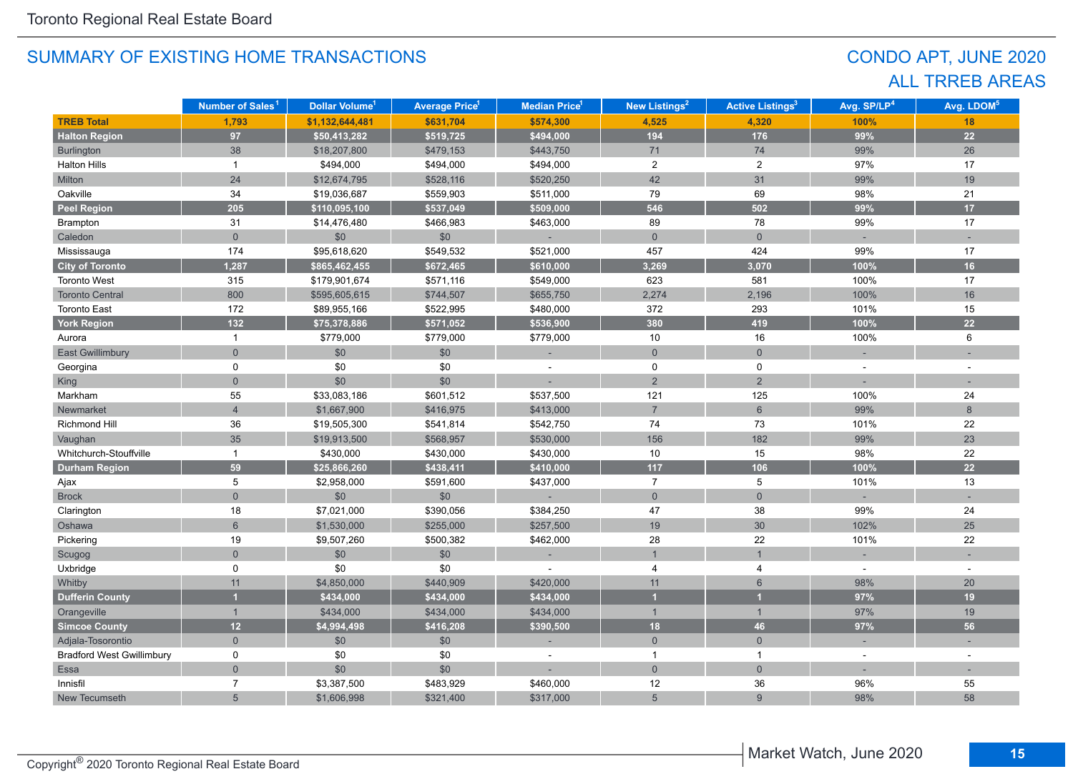## CONDO APT, JUNE 2020 ALL TRREB AREAS

|                                  | Number of Sales <sup>1</sup> | Dollar Volume <sup>1</sup> | <b>Average Price<sup>1</sup></b> | <b>Median Price<sup>1</sup></b> | New Listings <sup>2</sup> | <b>Active Listings<sup>3</sup></b> | Avg. SP/LP <sup>4</sup> | Avg. LDOM <sup>5</sup> |
|----------------------------------|------------------------------|----------------------------|----------------------------------|---------------------------------|---------------------------|------------------------------------|-------------------------|------------------------|
| <b>TREB Total</b>                | 1,793                        | \$1,132,644,481            | \$631,704                        | \$574,300                       | 4,525                     | 4,320                              | 100%                    | 18                     |
| <b>Halton Region</b>             | 97                           | \$50,413,282               | \$519,725                        | \$494,000                       | 194                       | 176                                | 99%                     | 22                     |
| Burlington                       | 38                           | \$18,207,800               | \$479,153                        | \$443,750                       | 71                        | 74                                 | 99%                     | 26                     |
| <b>Halton Hills</b>              | $\mathbf{1}$                 | \$494,000                  | \$494,000                        | \$494,000                       | $\overline{2}$            | $\overline{c}$                     | 97%                     | 17                     |
| Milton                           | 24                           | \$12,674,795               | \$528,116                        | \$520,250                       | 42                        | 31                                 | 99%                     | 19                     |
| Oakville                         | 34                           | \$19,036,687               | \$559,903                        | \$511,000                       | 79                        | 69                                 | 98%                     | 21                     |
| <b>Peel Region</b>               | 205                          | \$110,095,100              | \$537,049                        | \$509,000                       | 546                       | 502                                | 99%                     | 17                     |
| Brampton                         | 31                           | \$14,476,480               | \$466,983                        | \$463,000                       | 89                        | 78                                 | 99%                     | 17                     |
| Caledon                          | $\overline{0}$               | \$0                        | \$0                              |                                 | $\overline{0}$            | $\overline{0}$                     |                         |                        |
| Mississauga                      | 174                          | \$95,618,620               | \$549,532                        | \$521,000                       | 457                       | 424                                | 99%                     | 17                     |
| <b>City of Toronto</b>           | 1,287                        | \$865,462,455              | \$672,465                        | \$610,000                       | 3,269                     | 3,070                              | 100%                    | 16                     |
| Toronto West                     | 315                          | \$179,901,674              | \$571,116                        | \$549,000                       | 623                       | 581                                | 100%                    | 17                     |
| <b>Toronto Central</b>           | 800                          | \$595,605,615              | \$744,507                        | \$655,750                       | 2,274                     | 2,196                              | 100%                    | 16                     |
| <b>Toronto East</b>              | 172                          | \$89,955,166               | \$522,995                        | \$480,000                       | 372                       | 293                                | 101%                    | 15                     |
| <b>York Region</b>               | 132                          | \$75,378,886               | \$571,052                        | \$536,900                       | 380                       | 419                                | 100%                    | 22                     |
| Aurora                           | $\mathbf{1}$                 | \$779,000                  | \$779,000                        | \$779,000                       | 10                        | 16                                 | 100%                    | 6                      |
| East Gwillimbury                 | $\overline{0}$               | \$0                        | $$0$$                            |                                 | $\overline{0}$            | $\overline{0}$                     |                         |                        |
| Georgina                         | 0                            | \$0                        | \$0                              |                                 | $\mathbf 0$               | $\mathbf 0$                        | $\overline{a}$          |                        |
| King                             | $\overline{0}$               | \$0                        | \$0                              |                                 | $\overline{2}$            | $\overline{2}$                     |                         |                        |
| Markham                          | 55                           | \$33,083,186               | \$601,512                        | \$537,500                       | 121                       | 125                                | 100%                    | 24                     |
| Newmarket                        | $\overline{4}$               | \$1,667,900                | \$416,975                        | \$413,000                       | $\overline{7}$            | $\,$ 6 $\,$                        | 99%                     | 8                      |
| Richmond Hill                    | 36                           | \$19,505,300               | \$541,814                        | \$542,750                       | 74                        | 73                                 | 101%                    | 22                     |
| Vaughan                          | 35                           | \$19,913,500               | \$568,957                        | \$530,000                       | 156                       | 182                                | 99%                     | 23                     |
| Whitchurch-Stouffville           | $\mathbf{1}$                 | \$430,000                  | \$430,000                        | \$430,000                       | 10                        | 15                                 | 98%                     | 22                     |
| <b>Durham Region</b>             | 59                           | \$25,866,260               | \$438,411                        | \$410,000                       | $117$                     | 106                                | 100%                    | 22                     |
| Ajax                             | 5                            | \$2,958,000                | \$591,600                        | \$437,000                       | $\overline{7}$            | 5                                  | 101%                    | 13                     |
| <b>Brock</b>                     | $\overline{0}$               | \$0                        | $$0$$                            |                                 | $\overline{0}$            | $\mathbf 0$                        |                         |                        |
| Clarington                       | 18                           | \$7,021,000                | \$390,056                        | \$384,250                       | 47                        | 38                                 | 99%                     | 24                     |
| Oshawa                           | $6\phantom{a}$               | \$1,530,000                | \$255,000                        | \$257,500                       | 19                        | 30                                 | 102%                    | 25                     |
| Pickering                        | 19                           | \$9,507,260                | \$500,382                        | \$462,000                       | 28                        | 22                                 | 101%                    | 22                     |
| Scugog                           | $\overline{0}$               | \$0                        | \$0                              |                                 | $\mathbf{1}$              |                                    |                         |                        |
| Uxbridge                         | 0                            | \$0                        | \$0                              |                                 | 4                         | 4                                  | $\sim$                  | ٠                      |
| Whitby                           | 11                           | \$4,850,000                | \$440,909                        | \$420,000                       | 11                        | $6\phantom{a}$                     | 98%                     | 20                     |
| <b>Dufferin County</b>           |                              | \$434,000                  | \$434,000                        | \$434,000                       | и                         |                                    | 97%                     | 19                     |
| Orangeville                      | $\mathbf{1}$                 | \$434,000                  | \$434,000                        | \$434,000                       | $\mathbf{1}$              | $\mathbf{1}$                       | 97%                     | 19                     |
| <b>Simcoe County</b>             | 12                           | \$4,994,498                | \$416,208                        | \$390,500                       | 18                        | 46                                 | 97%                     | 56                     |
| Adjala-Tosorontio                | $\overline{0}$               | \$0                        | \$0                              |                                 | $\overline{0}$            | $\overline{0}$                     | $\sim$                  |                        |
| <b>Bradford West Gwillimbury</b> | 0                            | \$0                        | \$0                              |                                 | $\mathbf{1}$              | $\mathbf{1}$                       | $\overline{a}$          |                        |
| Essa                             | $\overline{0}$               | \$0                        | \$0                              |                                 | $\overline{0}$            | $\overline{0}$                     |                         |                        |
| Innisfil                         | $\overline{7}$               | \$3,387,500                | \$483,929                        | \$460,000                       | 12                        | 36                                 | 96%                     | 55                     |
| New Tecumseth                    | 5                            | \$1,606,998                | \$321,400                        | \$317,000                       | 5                         | $\overline{9}$                     | 98%                     | 58                     |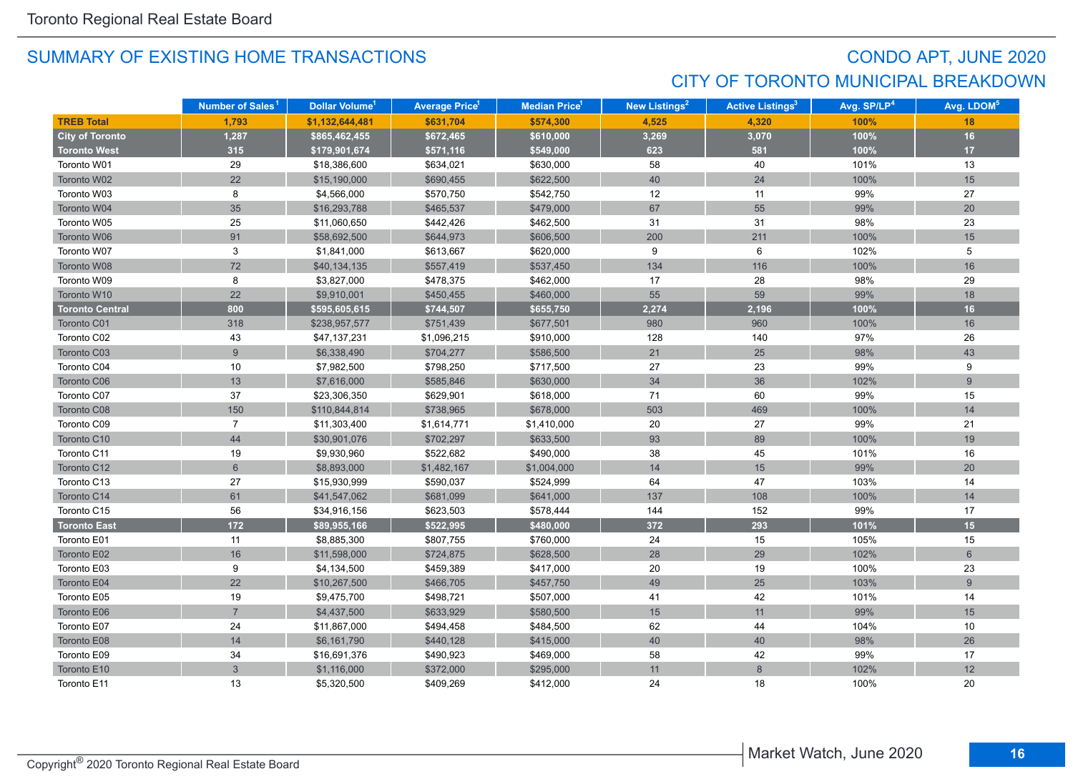## CONDO APT, JUNE 2020 CITY OF TORONTO MUNICIPAL BREAKDOWN

|                        | Number of Sales <sup>1</sup> | Dollar Volume <sup>1</sup> | <b>Average Price</b> 1 | Median Price <sup>1</sup> | New Listings <sup>2</sup> | <b>Active Listings<sup>3</sup></b> | Avg. SP/LP <sup>4</sup> | Avg. LDOM <sup>5</sup> |
|------------------------|------------------------------|----------------------------|------------------------|---------------------------|---------------------------|------------------------------------|-------------------------|------------------------|
| <b>TREB Total</b>      | 1,793                        | \$1,132,644,481            | \$631,704              | \$574,300                 | 4,525                     | 4,320                              | 100%                    | 18                     |
| <b>City of Toronto</b> | 1,287                        | \$865,462,455              | \$672,465              | \$610,000                 | 3,269                     | 3,070                              | 100%                    | 16                     |
| <b>Toronto West</b>    | 315                          | \$179,901,674              | \$571,116              | \$549,000                 | 623                       | 581                                | 100%                    | 17                     |
| Toronto W01            | 29                           | \$18,386,600               | \$634,021              | \$630,000                 | 58                        | 40                                 | 101%                    | 13                     |
| Toronto W02            | 22                           | \$15,190,000               | \$690,455              | \$622,500                 | 40                        | 24                                 | 100%                    | 15                     |
| Toronto W03            | 8                            | \$4,566,000                | \$570,750              | \$542,750                 | 12                        | 11                                 | 99%                     | 27                     |
| Toronto W04            | 35                           | \$16,293,788               | \$465,537              | \$479,000                 | 67                        | 55                                 | 99%                     | 20                     |
| Toronto W05            | 25                           | \$11,060,650               | \$442,426              | \$462,500                 | 31                        | 31                                 | 98%                     | 23                     |
| Toronto W06            | 91                           | \$58,692,500               | \$644,973              | \$606,500                 | 200                       | 211                                | 100%                    | 15                     |
| Toronto W07            | 3                            | \$1,841,000                | \$613,667              | \$620,000                 | 9                         | 6                                  | 102%                    | 5                      |
| Toronto W08            | 72                           | \$40,134,135               | \$557,419              | \$537,450                 | 134                       | 116                                | 100%                    | 16                     |
| Toronto W09            | 8                            | \$3,827,000                | \$478,375              | \$462,000                 | 17                        | 28                                 | 98%                     | 29                     |
| Toronto W10            | 22                           | \$9,910,001                | \$450,455              | \$460,000                 | 55                        | 59                                 | 99%                     | 18                     |
| <b>Toronto Central</b> | 800                          | \$595,605,615              | \$744,507              | \$655,750                 | 2,274                     | 2,196                              | 100%                    | 16                     |
| Toronto C01            | 318                          | \$238,957,577              | \$751,439              | \$677,501                 | 980                       | 960                                | 100%                    | 16                     |
| Toronto C02            | 43                           | \$47,137,231               | \$1,096,215            | \$910,000                 | 128                       | 140                                | 97%                     | 26                     |
| Toronto C03            | $\overline{9}$               | \$6,338,490                | \$704,277              | \$586,500                 | 21                        | 25                                 | 98%                     | 43                     |
| Toronto C04            | 10                           | \$7,982,500                | \$798,250              | \$717,500                 | 27                        | 23                                 | 99%                     | 9                      |
| Toronto C06            | 13                           | \$7,616,000                | \$585,846              | \$630,000                 | 34                        | 36                                 | 102%                    | 9                      |
| Toronto C07            | 37                           | \$23,306,350               | \$629,901              | \$618,000                 | 71                        | 60                                 | 99%                     | 15                     |
| Toronto C08            | 150                          | \$110,844,814              | \$738,965              | \$678,000                 | 503                       | 469                                | 100%                    | 14                     |
| Toronto C09            | $\overline{7}$               | \$11,303,400               | \$1,614,771            | \$1,410,000               | 20                        | 27                                 | 99%                     | 21                     |
| Toronto C10            | 44                           | \$30,901,076               | \$702,297              | \$633,500                 | 93                        | 89                                 | 100%                    | 19                     |
| Toronto C11            | 19                           | \$9,930,960                | \$522,682              | \$490,000                 | 38                        | 45                                 | 101%                    | 16                     |
| Toronto C12            | $6\phantom{a}$               | \$8,893,000                | \$1,482,167            | \$1,004,000               | 14                        | 15                                 | 99%                     | 20                     |
| Toronto C13            | 27                           | \$15,930,999               | \$590,037              | \$524,999                 | 64                        | 47                                 | 103%                    | 14                     |
| Toronto C14            | 61                           | \$41,547,062               | \$681,099              | \$641,000                 | 137                       | 108                                | 100%                    | 14                     |
| Toronto C15            | 56                           | \$34,916,156               | \$623,503              | \$578,444                 | 144                       | 152                                | 99%                     | 17                     |
| <b>Toronto East</b>    | $172$                        | \$89,955,166               | \$522,995              | \$480,000                 | 372                       | 293                                | 101%                    | 15                     |
| Toronto E01            | 11                           | \$8,885,300                | \$807,755              | \$760,000                 | 24                        | 15                                 | 105%                    | 15                     |
| Toronto E02            | 16                           | \$11,598,000               | \$724,875              | \$628,500                 | 28                        | 29                                 | 102%                    | $6\phantom{1}$         |
| Toronto E03            | 9                            | \$4,134,500                | \$459,389              | \$417,000                 | 20                        | 19                                 | 100%                    | 23                     |
| Toronto E04            | 22                           | \$10,267,500               | \$466,705              | \$457,750                 | 49                        | 25                                 | 103%                    | 9                      |
| Toronto E05            | 19                           | \$9,475,700                | \$498,721              | \$507,000                 | 41                        | 42                                 | 101%                    | 14                     |
| Toronto E06            | $\overline{7}$               | \$4,437,500                | \$633,929              | \$580,500                 | 15                        | 11                                 | 99%                     | 15                     |
| Toronto E07            | 24                           | \$11,867,000               | \$494,458              | \$484,500                 | 62                        | 44                                 | 104%                    | 10                     |
| Toronto E08            | 14                           | \$6,161,790                | \$440,128              | \$415,000                 | 40                        | 40                                 | 98%                     | 26                     |
| Toronto E09            | 34                           | \$16,691,376               | \$490,923              | \$469,000                 | 58                        | 42                                 | 99%                     | 17                     |
| Toronto E10            | $\mathfrak{S}$               | \$1,116,000                | \$372,000              | \$295,000                 | 11                        | 8                                  | 102%                    | 12                     |
| Toronto E11            | 13                           | \$5,320,500                | \$409,269              | \$412,000                 | 24                        | 18                                 | 100%                    | 20                     |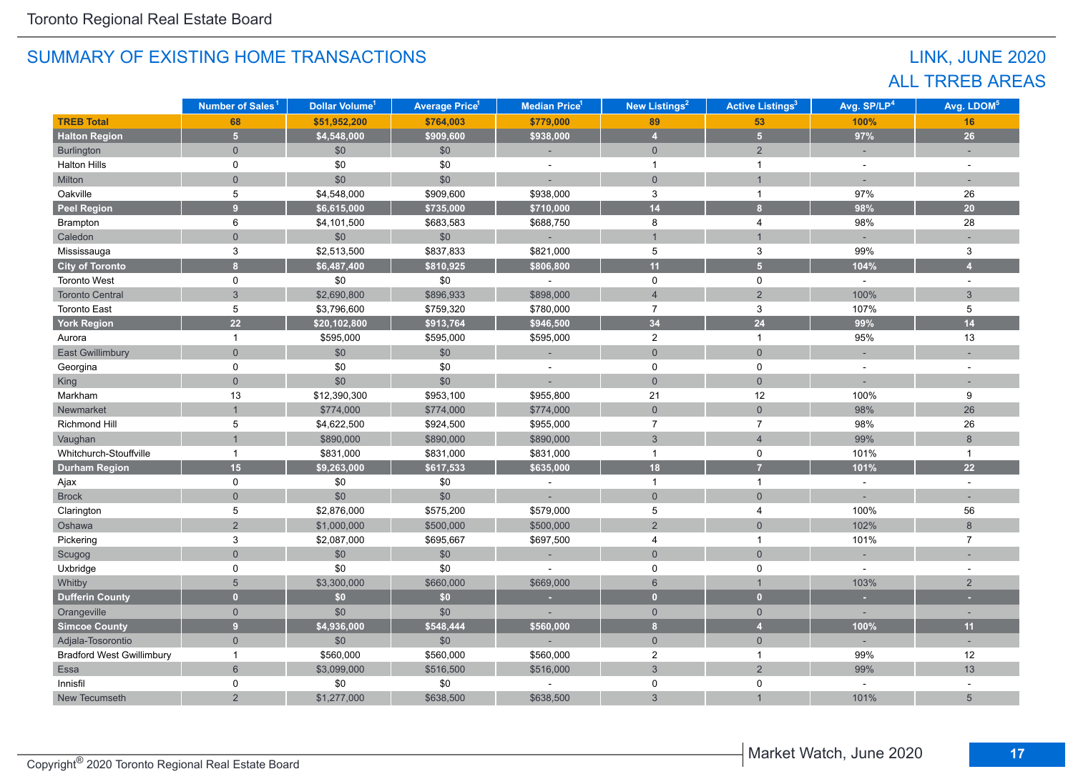## LINK, JUNE 2020 ALL TRREB AREAS

|                                  | Number of Sales <sup>1</sup> | Dollar Volume <sup>1</sup> | <b>Average Price<sup>1</sup></b> | Median Price <sup>1</sup> | New Listings <sup>2</sup> | <b>Active Listings<sup>3</sup></b> | Avg. SP/LP <sup>4</sup> | Avg. LDOM <sup>5</sup> |
|----------------------------------|------------------------------|----------------------------|----------------------------------|---------------------------|---------------------------|------------------------------------|-------------------------|------------------------|
| <b>TREB Total</b>                | 68                           | \$51,952,200               | \$764,003                        | \$779,000                 | 89                        | 53                                 | 100%                    | 16                     |
| <b>Halton Region</b>             | 5 <sup>1</sup>               | \$4,548,000                | \$909,600                        | \$938,000                 | $\overline{4}$            | 5 <sup>1</sup>                     | 97%                     | 26                     |
| Burlington                       | $\overline{0}$               | \$0                        | \$0                              |                           | $\mathbf{0}$              | 2                                  |                         |                        |
| <b>Halton Hills</b>              | $\mathbf 0$                  | \$0                        | \$0                              | ÷,                        | $\overline{1}$            | $\mathbf{1}$                       | $\sim$                  |                        |
| Milton                           | $\overline{0}$               | \$0                        | \$0                              |                           | $\mathbf{0}$              | $\overline{1}$                     |                         |                        |
| Oakville                         | 5                            | \$4,548,000                | \$909,600                        | \$938,000                 | $\mathbf{3}$              | $\mathbf{1}$                       | 97%                     | 26                     |
| <b>Peel Region</b>               | $\overline{9}$               | \$6,615,000                | \$735,000                        | \$710,000                 | 14                        | 8 <sup>1</sup>                     | 98%                     | 20                     |
| Brampton                         | 6                            | \$4,101,500                | \$683,583                        | \$688,750                 | 8                         | 4                                  | 98%                     | 28                     |
| Caledon                          | $\overline{0}$               | \$0                        | \$0                              | $\overline{\phantom{a}}$  | $\overline{1}$            | $\mathbf{1}$                       |                         |                        |
| Mississauga                      | 3                            | \$2,513,500                | \$837,833                        | \$821,000                 | 5                         | 3                                  | 99%                     | 3                      |
| <b>City of Toronto</b>           | 8                            | \$6,487,400                | \$810,925                        | \$806,800                 | 11                        | $\overline{5}$                     | 104%                    | $\overline{4}$         |
| <b>Toronto West</b>              | $\mathbf 0$                  | \$0                        | \$0                              |                           | $\mathbf 0$               | $\mathbf 0$                        | $\omega$                | $\sim$                 |
| <b>Toronto Central</b>           | $\overline{3}$               | \$2,690,800                | \$896,933                        | \$898,000                 | $\overline{4}$            | $\overline{2}$                     | 100%                    | $\mathbf{3}$           |
| <b>Toronto East</b>              | 5                            | \$3,796,600                | \$759,320                        | \$780,000                 | $\overline{7}$            | 3                                  | 107%                    | 5                      |
| <b>York Region</b>               | 22                           | \$20,102,800               | \$913,764                        | \$946,500                 | 34                        | 24                                 | 99%                     | 14                     |
| Aurora                           | $\mathbf{1}$                 | \$595,000                  | \$595,000                        | \$595,000                 | $\overline{2}$            | $\mathbf{1}$                       | 95%                     | 13                     |
| <b>East Gwillimbury</b>          | $\Omega$                     | \$0                        | $$0$$                            |                           | $\overline{0}$            | $\overline{0}$                     |                         |                        |
| Georgina                         | $\mathbf 0$                  | \$0                        | \$0                              | ÷,                        | $\mathbf 0$               | $\mathbf 0$                        |                         |                        |
| King                             | $\overline{0}$               | \$0                        | \$0                              |                           | $\overline{0}$            | $\overline{0}$                     |                         |                        |
| Markham                          | 13                           | \$12,390,300               | \$953,100                        | \$955,800                 | 21                        | 12                                 | 100%                    | 9                      |
| Newmarket                        | $\mathbf{1}$                 | \$774,000                  | \$774,000                        | \$774,000                 | $\mathbf{0}$              | $\mathbf{0}$                       | 98%                     | 26                     |
| Richmond Hill                    | 5                            | \$4,622,500                | \$924,500                        | \$955,000                 | $\overline{7}$            | $\boldsymbol{7}$                   | 98%                     | 26                     |
| Vaughan                          | $\overline{1}$               | \$890,000                  | \$890,000                        | \$890,000                 | $\mathbf{3}$              | $\overline{4}$                     | 99%                     | 8                      |
| Whitchurch-Stouffville           | $\mathbf{1}$                 | \$831,000                  | \$831,000                        | \$831,000                 | $\overline{1}$            | 0                                  | 101%                    | $\mathbf{1}$           |
| <b>Durham Region</b>             | 15                           | \$9,263,000                | \$617,533                        | \$635,000                 | 18                        | $\overline{7}$                     | 101%                    | 22                     |
| Ajax                             | 0                            | \$0                        | \$0                              | $\blacksquare$            | $\overline{1}$            | $\mathbf{1}$                       | $\sim$                  | $\sim$                 |
| <b>Brock</b>                     | $\mathbf{0}$                 | \$0                        | \$0                              |                           | $\mathbf{0}$              | $\mathbf{0}$                       |                         |                        |
| Clarington                       | 5                            | \$2,876,000                | \$575,200                        | \$579,000                 | 5                         | $\overline{4}$                     | 100%                    | 56                     |
| Oshawa                           | $\overline{2}$               | \$1,000,000                | \$500,000                        | \$500,000                 | $\overline{2}$            | $\overline{0}$                     | 102%                    | $\,8\,$                |
| Pickering                        | 3                            | \$2,087,000                | \$695,667                        | \$697,500                 | 4                         | $\mathbf{1}$                       | 101%                    | $\overline{7}$         |
| Scugog                           | $\overline{0}$               | \$0                        | \$0                              |                           | $\mathbf{0}$              | $\overline{0}$                     |                         |                        |
| Uxbridge                         | $\mathbf 0$                  | \$0                        | \$0                              |                           | 0                         | 0                                  |                         |                        |
| Whitby                           | 5                            | \$3,300,000                | \$660,000                        | \$669,000                 | $6\overline{6}$           | $\mathbf 1$                        | 103%                    | 2                      |
| <b>Dufferin County</b>           | $\overline{0}$               | \$0                        | \$0                              | ×                         | $\mathbf{0}$              | $\overline{0}$                     | ×                       | ٠                      |
| Orangeville                      | $\overline{0}$               | \$0                        | \$0                              |                           | $\overline{0}$            | $\overline{0}$                     |                         |                        |
| <b>Simcoe County</b>             | 9 <sup>°</sup>               | \$4,936,000                | \$548,444                        | \$560,000                 | 8                         | $\overline{4}$                     | 100%                    | 11                     |
| Adjala-Tosorontio                | $\overline{0}$               | \$0                        | \$0                              | ÷.                        | $\overline{0}$            | $\mathbf{0}$                       | $\sim$                  | ÷.                     |
| <b>Bradford West Gwillimbury</b> | $\mathbf{1}$                 | \$560,000                  | \$560,000                        | \$560,000                 | $\overline{2}$            | $\mathbf{1}$                       | 99%                     | 12                     |
| Essa                             | $6\overline{6}$              | \$3,099,000                | \$516,500                        | \$516,000                 | $\mathfrak{S}$            | 2                                  | 99%                     | 13                     |
| Innisfil                         | $\mathbf 0$                  | \$0                        | \$0                              |                           | 0                         | 0                                  |                         |                        |
| New Tecumseth                    | $\overline{2}$               | \$1,277,000                | \$638,500                        | \$638,500                 | $\mathfrak{S}$            |                                    | 101%                    | $5\overline{)}$        |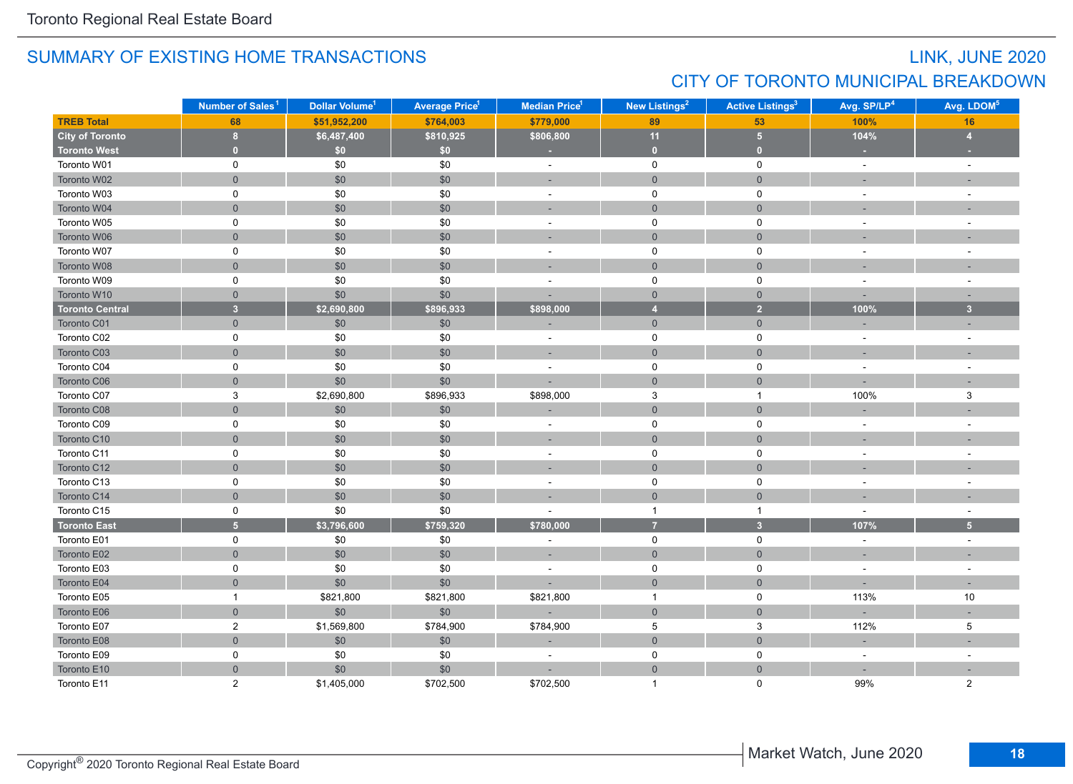## LINK, JUNE 2020 CITY OF TORONTO MUNICIPAL BREAKDOWN

|                        | Number of Sales <sup>1</sup> | Dollar Volume <sup>1</sup> | <b>Average Price<sup>1</sup></b> | <b>Median Price<sup>1</sup></b> | <b>New Listings<sup>2</sup></b> | <b>Active Listings<sup>3</sup></b> | Avg. SP/LP <sup>4</sup> | Avg. LDOM <sup>5</sup>   |
|------------------------|------------------------------|----------------------------|----------------------------------|---------------------------------|---------------------------------|------------------------------------|-------------------------|--------------------------|
| <b>TREB Total</b>      | 68                           | \$51,952,200               | \$764,003                        | \$779,000                       | 89                              | 53                                 | 100%                    | 16                       |
| <b>City of Toronto</b> | 8                            | \$6,487,400                | \$810,925                        | \$806,800                       | 11                              | 5 <sub>5</sub>                     | 104%                    | $\overline{4}$           |
| <b>Toronto West</b>    | $\overline{0}$               | \$0                        | \$0                              | ×.                              | $\bullet$                       | $\mathbf{0}$                       |                         |                          |
| Toronto W01            | $\pmb{0}$                    | \$0                        | \$0                              | $\sim$                          | $\pmb{0}$                       | 0                                  | $\sim$                  | $\overline{\phantom{a}}$ |
| Toronto W02            | $\mathsf{O}\xspace$          | \$0                        | \$0                              | ÷.                              | $\mathsf{O}\xspace$             | $\mathsf{O}\xspace$                |                         |                          |
| Toronto W03            | $\mathbf 0$                  | \$0                        | $\$0$                            | $\sim$                          | $\mathbf 0$                     | $\mathbf 0$                        | $\sim$                  | $\sim$                   |
| Toronto W04            | $\mathbf 0$                  | \$0                        | $$0$$                            | ÷.                              | $\mathsf{O}\xspace$             | $\overline{0}$                     |                         |                          |
| Toronto W05            | $\mathbf 0$                  | \$0                        | \$0                              | ÷,                              | $\mathbf 0$                     | 0                                  |                         |                          |
| Toronto W06            | $\overline{0}$               | \$0                        | \$0                              | ÷.                              | $\overline{0}$                  | $\overline{0}$                     |                         |                          |
| Toronto W07            | $\mathbf 0$                  | \$0                        | \$0                              |                                 | 0                               | $\mathbf 0$                        |                         |                          |
| Toronto W08            | $\overline{0}$               | \$0                        | \$0                              |                                 | $\overline{0}$                  | $\mathbf{0}$                       |                         |                          |
| Toronto W09            | $\mathbf 0$                  | \$0                        | \$0                              | ÷,                              | $\mathbf 0$                     | 0                                  |                         |                          |
| Toronto W10            | $\mathbf 0$                  | \$0                        | \$0                              |                                 | $\overline{0}$                  | $\mathbf{0}$                       |                         | $\sim$                   |
| <b>Toronto Central</b> | $\overline{3}$               | \$2,690,800                | \$896,933                        | \$898,000                       | $\overline{4}$                  | $\overline{2}$                     | 100%                    | $\overline{3}$           |
| Toronto C01            | $\mathsf{O}\xspace$          | \$0                        | \$0                              |                                 | $\overline{0}$                  | $\overline{0}$                     |                         |                          |
| Toronto C02            | $\mathbf 0$                  | \$0                        | \$0                              | ÷,                              | $\mathbf 0$                     | 0                                  | $\sim$                  | $\sim$                   |
| Toronto C03            | $\mathbf{0}$                 | \$0                        | \$0                              | $\sim$                          | $\overline{0}$                  | $\mathbf 0$                        |                         |                          |
| Toronto C04            | 0                            | \$0                        | \$0                              | $\overline{\phantom{a}}$        | 0                               | 0                                  |                         | $\sim$                   |
| Toronto C06            | $\overline{0}$               | \$0                        | \$0                              |                                 | $\overline{0}$                  | $\overline{0}$                     |                         |                          |
| Toronto C07            | $\ensuremath{\mathsf{3}}$    | \$2,690,800                | \$896,933                        | \$898,000                       | $\mathbf{3}$                    | $\mathbf{1}$                       | 100%                    | $\mathsf 3$              |
| Toronto C08            | $\mathsf{O}\xspace$          | \$0                        | \$0                              |                                 | $\mathbf 0$                     | $\mathbf 0$                        |                         |                          |
| Toronto C09            | $\mathbf 0$                  | \$0                        | $\$0$                            | $\sim$                          | $\mathbf 0$                     | $\mathsf 0$                        | $\sim$                  | $\sim$                   |
| Toronto C10            | $\mathsf{O}\xspace$          | \$0                        | \$0                              |                                 | $\mathsf{O}\xspace$             | $\mathbf{0}$                       |                         |                          |
| Toronto C11            | $\pmb{0}$                    | \$0                        | \$0                              | ÷,                              | $\mathsf 0$                     | 0                                  |                         | $\overline{a}$           |
| Toronto C12            | $\mathbf 0$                  | \$0                        | \$0                              | $\sim$                          | $\overline{0}$                  | $\mathbf 0$                        |                         |                          |
| Toronto C13            | $\mathbf 0$                  | \$0                        | \$0                              | ÷,                              | $\mathbf 0$                     | 0                                  |                         |                          |
| Toronto C14            | $\mathbf{0}$                 | \$0                        | \$0                              |                                 | $\overline{0}$                  | $\mathbf 0$                        |                         |                          |
| Toronto C15            | $\pmb{0}$                    | \$0                        | \$0                              |                                 | $\mathbf{1}$                    | $\mathbf{1}$                       | $\sim$                  | $\overline{\phantom{a}}$ |
| <b>Toronto East</b>    | $\overline{5}$               | \$3,796,600                | \$759,320                        | \$780,000                       | $\overline{7}$                  | $\overline{\mathbf{3}}$            | 107%                    | 5 <sub>5</sub>           |
| Toronto E01            | $\pmb{0}$                    | \$0                        | \$0                              | ÷                               | $\mathbf 0$                     | $\mathsf{O}$                       | $\sim$                  | $\sim$                   |
| Toronto E02            | $\mathbf 0$                  | \$0                        | \$0                              | ÷,                              | $\mathsf{O}\xspace$             | $\overline{0}$                     |                         |                          |
| Toronto E03            | $\mathbf 0$                  | \$0                        | \$0                              | ÷,                              | $\mathbf 0$                     | 0                                  |                         |                          |
| Toronto E04            | $\mathbf 0$                  | \$0                        | \$0                              |                                 | $\overline{0}$                  | $\mathbf 0$                        |                         | ц.                       |
| Toronto E05            | $\mathbf{1}$                 | \$821,800                  | \$821,800                        | \$821,800                       | $\overline{1}$                  | 0                                  | 113%                    | 10                       |
| Toronto E06            | $\mathsf{O}\xspace$          | \$0                        | \$0                              |                                 | $\mathsf{O}\xspace$             | $\mathsf{O}\xspace$                |                         |                          |
| Toronto E07            | $\mathbf{2}$                 | \$1,569,800                | \$784,900                        | \$784,900                       | $\,$ 5 $\,$                     | $\ensuremath{\mathsf{3}}$          | 112%                    | 5                        |
| Toronto E08            | $\mathsf{O}\xspace$          | \$0                        | \$0                              |                                 | $\mathsf{O}\xspace$             | $\mathsf{O}\xspace$                | ÷.                      |                          |
| Toronto E09            | $\mathbf 0$                  | \$0                        | $\$0$                            | $\sim$                          | 0                               | 0                                  | $\sim$                  | $\sim$                   |
| Toronto E10            | $\mathbf{0}$                 | \$0                        | \$0                              |                                 | $\overline{0}$                  | $\mathbf{0}$                       |                         |                          |
| Toronto E11            | $\overline{2}$               | \$1,405,000                | \$702,500                        | \$702,500                       | $\mathbf{1}$                    | $\Omega$                           | 99%                     | $\overline{2}$           |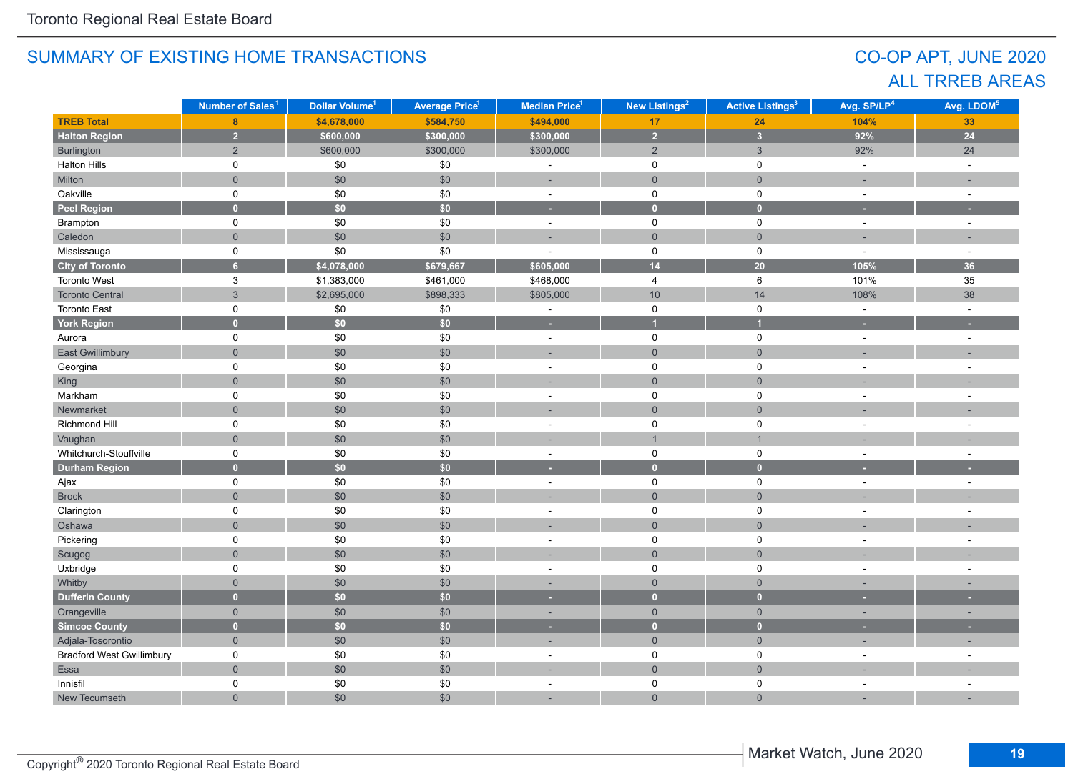## CO-OP APT, JUNE 2020 ALL TRREB AREAS

|                                  | Number of Sales <sup>1</sup> | Dollar Volume <sup>1</sup> | <b>Average Price<sup>1</sup></b> | <b>Median Price<sup>1</sup></b> | New Listings <sup>2</sup> | <b>Active Listings<sup>3</sup></b> | Avg. SP/LP <sup>4</sup> | Avg. LDOM <sup>5</sup>   |
|----------------------------------|------------------------------|----------------------------|----------------------------------|---------------------------------|---------------------------|------------------------------------|-------------------------|--------------------------|
| <b>TREB Total</b>                | 8                            | \$4,678,000                | \$584,750                        | \$494,000                       | 17                        | 24                                 | 104%                    | 33                       |
| <b>Halton Region</b>             | $\overline{2}$               | \$600,000                  | \$300,000                        | \$300,000                       | $\overline{2}$            | $\overline{\mathbf{3}}$            | 92%                     | 24                       |
| Burlington                       | $\overline{2}$               | \$600,000                  | \$300,000                        | \$300,000                       | $\overline{2}$            | 3                                  | 92%                     | 24                       |
| <b>Halton Hills</b>              | 0                            | $\$0$                      | $\$0$                            |                                 | 0                         | 0                                  | $\sim$                  | $\overline{\phantom{a}}$ |
| Milton                           | $\overline{0}$               | $$0$$                      | \$0                              |                                 | $\mathbf 0$               | $\mathsf{O}\xspace$                |                         |                          |
| Oakville                         | 0                            | \$0                        | \$0                              | $\blacksquare$                  | $\mathsf 0$               | $\mathsf 0$                        | $\sim$                  | $\overline{\phantom{a}}$ |
| <b>Peel Region</b>               | $\overline{0}$               | \$0\$                      | \$0                              | ٠                               | $\bullet$                 | $\mathbf{0}$                       |                         |                          |
| Brampton                         | 0                            | $\$0$                      | \$0                              | $\sim$                          | $\mathsf{O}$              | $\mathsf 0$                        | $\sim$                  | $\sim$                   |
| Caledon                          | $\overline{0}$               | $$0$$                      | \$0                              | $\overline{a}$                  | $\mathbf{0}$              | $\mathbf 0$                        |                         |                          |
| Mississauga                      | 0                            | \$0                        | \$0                              | $\sim$                          | $\mathbf 0$               | $\pmb{0}$                          | $\sim$                  | $\overline{\phantom{a}}$ |
| <b>City of Toronto</b>           | $\overline{6}$               | \$4,078,000                | \$679,667                        | \$605,000                       | 14                        | 20                                 | 105%                    | 36                       |
| Toronto West                     | 3                            | \$1,383,000                | \$461,000                        | \$468,000                       | $\overline{4}$            | 6                                  | 101%                    | 35                       |
| <b>Toronto Central</b>           | $\mathbf{3}$                 | \$2,695,000                | \$898,333                        | \$805,000                       | 10                        | 14                                 | 108%                    | 38                       |
| <b>Toronto East</b>              | $\mathsf{O}$                 | $\$0$                      | $\$0$                            | $\sim$                          | $\mathsf{O}$              | $\mathsf 0$                        | $\sim$                  | $\sim$                   |
| York Region                      | $\mathbf{0}$                 | \$0\$                      | \$0                              | ٠                               | $\overline{1}$            | $\overline{1}$                     |                         |                          |
| Aurora                           | 0                            | $\$0$                      | \$0                              | $\bar{\phantom{a}}$             | 0                         | 0                                  | $\omega$                | ÷,                       |
| <b>East Gwillimbury</b>          | $\overline{0}$               | \$0                        | \$0                              | ٠                               | $\mathbf 0$               | $\mathbf 0$                        |                         |                          |
| Georgina                         | 0                            | $\$0$                      | \$0                              | $\bar{a}$                       | $\mathsf{O}\xspace$       | $\pmb{0}$                          | $\sim$                  | $\bar{a}$                |
| King                             | $\mathbf 0$                  | \$0                        | \$0                              | ÷,                              | $\mathsf{O}\xspace$       | $\mathbf 0$                        |                         |                          |
| Markham                          | 0                            | \$0                        | \$0                              | ä,                              | $\mathsf 0$               | $\mathsf 0$                        |                         |                          |
| Newmarket                        | $\overline{0}$               | $$0$$                      | \$0                              |                                 | $\mathbf 0$               | $\mathbf 0$                        |                         |                          |
| Richmond Hill                    | 0                            | \$0                        | \$0                              | ä,                              | 0                         | 0                                  | ÷.                      | $\sim$                   |
| Vaughan                          | $\Omega$                     | \$0                        | \$0                              | ÷.                              | $\overline{1}$            | $\overline{1}$                     |                         |                          |
| Whitchurch-Stouffville           | 0                            | \$0                        | \$0                              | ä,                              | 0                         | 0                                  |                         |                          |
| <b>Durham Region</b>             | $\mathbf{0}$                 | $\overline{50}$            | $\overline{50}$                  | ٠                               | $\mathbf{0}$              | $\overline{0}$                     |                         |                          |
| Ajax                             | 0                            | \$0                        | \$0                              | $\bar{a}$                       | $\mathsf{O}$              | $\mathsf 0$                        |                         |                          |
| <b>Brock</b>                     | $\overline{0}$               | $$0$$                      | \$0                              |                                 | $\mathbf{0}$              | $\mathbf 0$                        |                         |                          |
| Clarington                       | 0                            | $\$0$                      | \$0                              | $\sim$                          | 0                         | 0                                  |                         |                          |
| Oshawa                           | $\overline{0}$               | $$0$$                      | \$0                              |                                 | $\mathsf{O}\xspace$       | $\mathsf{O}\xspace$                |                         |                          |
| Pickering                        | 0                            | $\$0$                      | \$0                              | $\bar{a}$                       | $\mathsf 0$               | $\mathsf 0$                        | $\sim$                  | $\sim$                   |
| Scugog                           | $\overline{0}$               | \$0                        | \$0                              | ×.                              | $\mathbf 0$               | $\mathsf{O}\xspace$                |                         |                          |
| Uxbridge                         | 0                            | \$0                        | \$0                              | $\sim$                          | 0                         | $\mathsf 0$                        |                         | ÷                        |
| Whitby                           | $\mathbf 0$                  | \$0                        | \$0                              | $\overline{\phantom{a}}$        | $\mathbf{0}$              | $\mathbf{0}$                       |                         |                          |
| <b>Dufferin County</b>           | $\overline{0}$               | $\overline{50}$            | $\overline{50}$                  | ×                               | $\overline{0}$            | $\overline{0}$                     | ×                       | $\sim$                   |
| Orangeville                      | $\overline{0}$               | \$0                        | \$0                              | ٠                               | $\overline{0}$            | $\overline{0}$                     | ÷,                      | ٠                        |
| <b>Simcoe County</b>             | $\mathbf{0}$                 | $\overline{50}$            | \$0\$                            | ×.                              | $\overline{0}$            | $\bullet$                          | ٠                       | ٠                        |
| Adjala-Tosorontio                | $\overline{0}$               | $$0$$                      | \$0                              | ÷                               | $\mathsf{O}\xspace$       | $\mathsf{O}\xspace$                | ÷,                      | ÷,                       |
| <b>Bradford West Gwillimbury</b> | 0                            | \$0                        | \$0                              | $\blacksquare$                  | 0                         | 0                                  | $\sim$                  | $\sim$                   |
| Essa                             | $\mathsf{O}\xspace$          | $\$0$                      | \$0                              |                                 | $\mathsf{O}\xspace$       | $\mathsf{O}\xspace$                |                         |                          |
| Innisfil                         | 0                            | \$0                        | $\$0$                            | L,                              | $\mathsf 0$               | $\mathsf 0$                        |                         |                          |
| New Tecumseth                    | $\overline{0}$               | \$0                        | \$0                              | ÷                               | $\mathbf 0$               | $\mathbf 0$                        |                         |                          |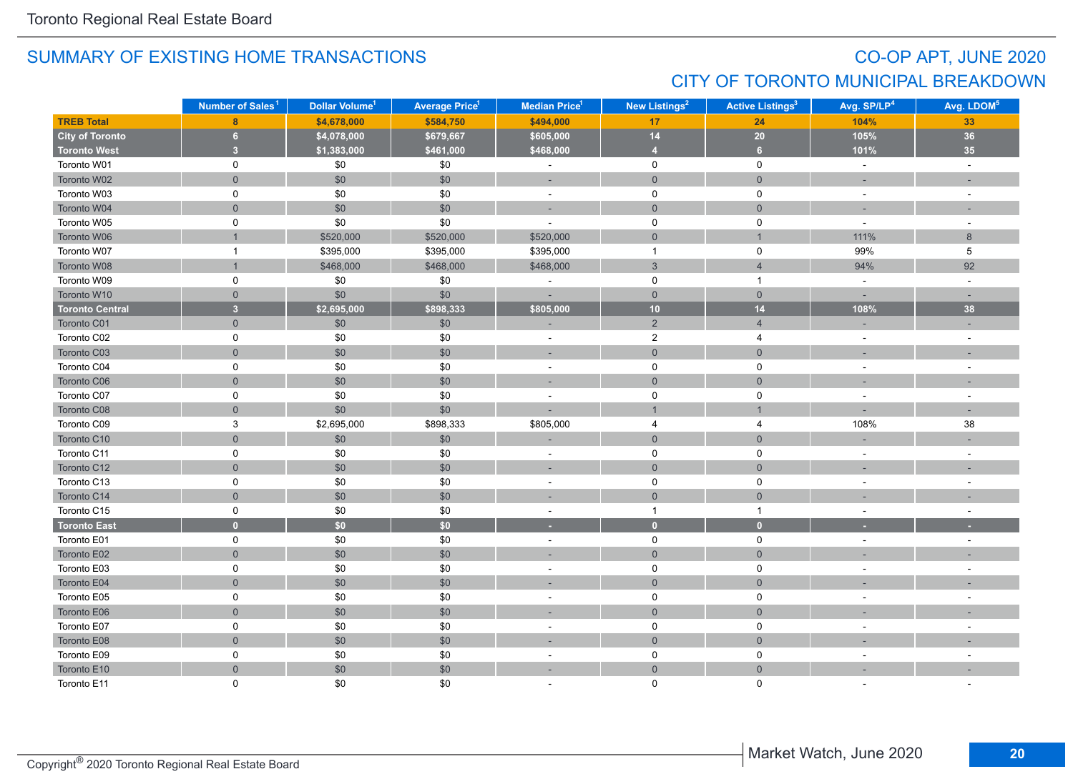## CO-OP APT, JUNE 2020 CITY OF TORONTO MUNICIPAL BREAKDOWN

|                        | Number of Sales <sup>1</sup> | Dollar Volume <sup>1</sup> | <b>Average Price<sup>1</sup></b> | Median Price <sup>1</sup> | New Listings <sup>2</sup> | <b>Active Listings<sup>3</sup></b> | Avg. SP/LP <sup>4</sup> | Avg. LDOM <sup>5</sup>      |
|------------------------|------------------------------|----------------------------|----------------------------------|---------------------------|---------------------------|------------------------------------|-------------------------|-----------------------------|
| <b>TREB Total</b>      | 8                            | \$4,678,000                | \$584,750                        | \$494,000                 | 17                        | 24                                 | 104%                    | 33                          |
| City of Toronto        | 6                            | \$4,078,000                | \$679,667                        | \$605,000                 | 14                        | 20                                 | 105%                    | 36                          |
| <b>Toronto West</b>    | $\overline{\mathbf{3}}$      | \$1,383,000                | \$461,000                        | \$468,000                 | $\overline{4}$            | 6 <sup>1</sup>                     | 101%                    | 35                          |
| Toronto W01            | 0                            | \$0                        | \$0                              | $\blacksquare$            | $\mathbf 0$               | $\mathbf 0$                        | $\omega$                | $\mathcal{L}_{\mathcal{A}}$ |
| Toronto W02            | $\mathbf 0$                  | \$0                        | \$0                              | $\overline{a}$            | $\overline{0}$            | $\mathbf 0$                        |                         |                             |
| Toronto W03            | 0                            | \$0                        | \$0                              | $\omega$                  | $\mathbf 0$               | $\mathbf 0$                        | $\sim$                  | $\sim$                      |
| Toronto W04            | $\mathbf 0$                  | \$0                        | $$0$$                            | ÷                         | $\mathsf{O}\xspace$       | $\mathbf{0}$                       | $\sim$                  |                             |
| Toronto W05            | $\pmb{0}$                    | \$0                        | \$0                              | ÷,                        | 0                         | $\mathsf 0$                        | $\sim$                  | $\overline{\phantom{a}}$    |
| Toronto W06            |                              | \$520,000                  | \$520,000                        | \$520,000                 | $\mathbf 0$               | $\overline{1}$                     | 111%                    | 8                           |
| Toronto W07            | $\mathbf{1}$                 | \$395,000                  | \$395,000                        | \$395,000                 | $\overline{1}$            | $\mathsf 0$                        | 99%                     | $\,$ 5 $\,$                 |
| Toronto W08            |                              | \$468,000                  | \$468,000                        | \$468,000                 | $\mathbf{3}$              | $\overline{4}$                     | 94%                     | 92                          |
| Toronto W09            | $\mathsf 0$                  | \$0                        | \$0                              |                           | 0                         | $\mathbf{1}$                       | $\sim$                  | $\sim$                      |
| Toronto W10            | $\mathbf 0$                  | \$0                        | \$0                              |                           | $\mathbf 0$               | $\mathsf{O}\xspace$                |                         |                             |
| <b>Toronto Central</b> | $\overline{3}$               | \$2,695,000                | \$898,333                        | \$805,000                 | 10 <sub>1</sub>           | 14                                 | 108%                    | 38                          |
| Toronto C01            | $\mathbf{0}$                 | \$0                        | \$0                              |                           | $\overline{2}$            | $\overline{4}$                     |                         |                             |
| Toronto C02            | 0                            | \$0                        | \$0                              | $\sim$                    | $\overline{2}$            | 4                                  | $\sim$                  | $\sim$                      |
| Toronto C03            | $\mathbf 0$                  | \$0                        | $$0$$                            | $\sim$                    | $\overline{0}$            | $\mathbf{0}$                       |                         |                             |
| Toronto C04            | 0                            | \$0                        | \$0                              | $\sim$                    | 0                         | 0                                  |                         | $\overline{\phantom{a}}$    |
| Toronto C06            | $\overline{0}$               | \$0                        | \$0                              | н.                        | $\overline{0}$            | $\overline{0}$                     |                         |                             |
| Toronto C07            | $\pmb{0}$                    | \$0                        | \$0                              | ÷,                        | $\pmb{0}$                 | $\pmb{0}$                          |                         |                             |
| Toronto C08            | $\mathsf{O}\xspace$          | \$0                        | \$0                              |                           | $\overline{1}$            | $\overline{1}$                     |                         |                             |
| Toronto C09            | $\ensuremath{\mathsf{3}}$    | \$2,695,000                | \$898,333                        | \$805,000                 | $\overline{4}$            | 4                                  | 108%                    | 38                          |
| Toronto C10            | $\mathbf 0$                  | \$0                        | $\$0$                            |                           | $\mathbf 0$               | $\mathsf{O}\xspace$                |                         |                             |
| Toronto C11            | $\pmb{0}$                    | \$0                        | \$0                              | $\sim$                    | 0                         | $\pmb{0}$                          |                         | $\sim$                      |
| Toronto C12            | $\mathbf 0$                  | \$0                        | $$0$$                            | $\sim$                    | $\mathbf 0$               | $\mathbf 0$                        |                         |                             |
| Toronto C13            | 0                            | \$0                        | \$0                              | $\sim$                    | 0                         | $\mathsf 0$                        |                         |                             |
| Toronto C14            | $\overline{0}$               | \$0                        | \$0                              |                           | $\overline{0}$            | $\mathbf 0$                        |                         |                             |
| Toronto C15            | 0                            | \$0                        | \$0                              | $\sim$                    | $\overline{1}$            | $\mathbf{1}$                       | $\sim$                  | $\sim$                      |
| <b>Toronto East</b>    | $\mathbf{0}$                 | \$0                        | \$0                              | ٠                         | $\bullet$                 | $\mathbf{0}$                       |                         |                             |
| Toronto E01            | $\mathbf 0$                  | \$0                        | \$0                              | $\sim$                    | 0                         | $\mathbf 0$                        | $\sim$                  | ÷.                          |
| Toronto E02            | $\mathbf 0$                  | \$0                        | \$0                              | ×,                        | $\overline{0}$            | $\mathbf{0}$                       |                         |                             |
| Toronto E03            | $\mathsf 0$                  | \$0                        | \$0                              |                           | $\mathsf 0$               | $\mathsf 0$                        |                         |                             |
| Toronto E04            | $\overline{0}$               | \$0                        | \$0                              |                           | $\mathbf 0$               | $\mathbf 0$                        |                         |                             |
| Toronto E05            | 0                            | \$0                        | \$0                              | $\overline{\phantom{a}}$  | 0                         | $\mathsf 0$                        |                         |                             |
| Toronto E06            | $\mathsf{O}\xspace$          | \$0                        | \$0                              |                           | $\mathsf{O}\xspace$       | $\mathsf{O}\xspace$                |                         |                             |
| Toronto E07            | $\mathsf 0$                  | \$0                        | \$0                              | $\sim$                    | $\mathsf 0$               | $\pmb{0}$                          |                         |                             |
| Toronto E08            | $\mathbf 0$                  | \$0                        | \$0                              | ٠                         | $\mathsf{O}\xspace$       | $\mathsf{O}\xspace$                |                         |                             |
| Toronto E09            | 0                            | \$0                        | \$0                              | $\overline{a}$            | 0                         | 0                                  | $\sim$                  |                             |
| Toronto E10            | $\overline{0}$               | \$0                        | \$0                              | ÷                         | $\mathsf{O}\xspace$       | $\overline{0}$                     |                         |                             |
| Toronto E11            | 0                            | \$0                        | \$0                              |                           | $\Omega$                  | $\Omega$                           |                         |                             |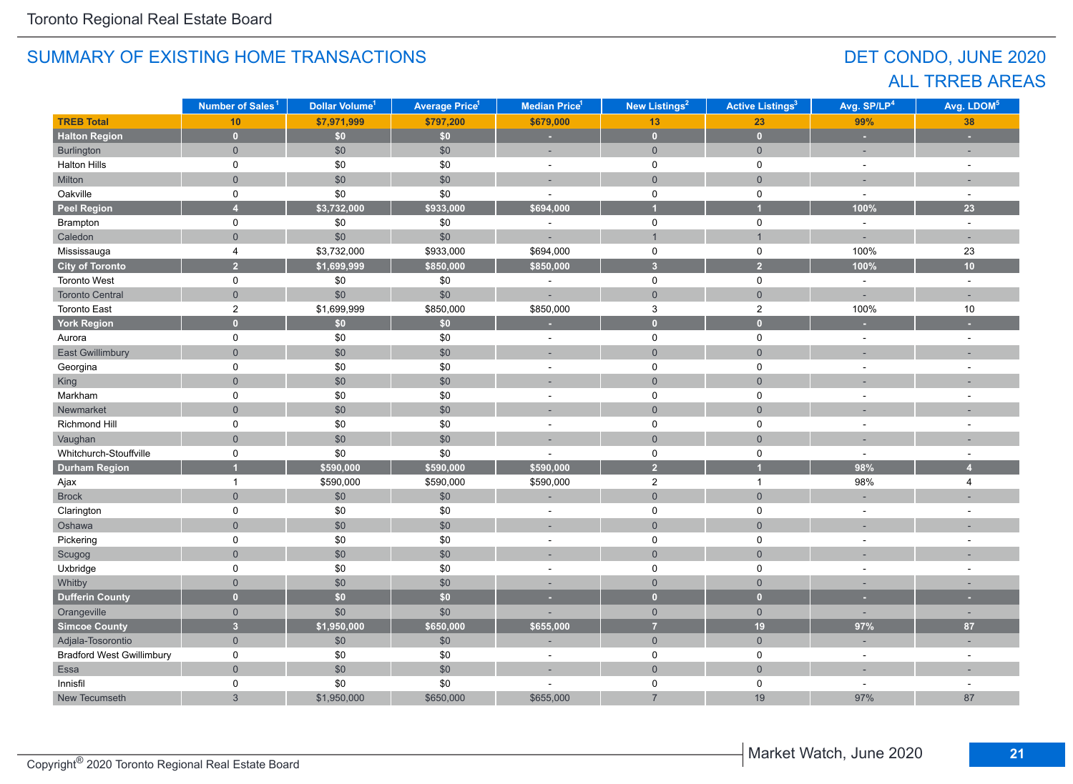## DET CONDO, JUNE 2020 ALL TRREB AREAS

|                                  | Number of Sales <sup>1</sup> | Dollar Volume <sup>1</sup> | <b>Average Price<sup>1</sup></b> | <b>Median Price</b> <sup>1</sup> | <b>New Listings<sup>2</sup></b> | <b>Active Listings<sup>3</sup></b> | Avg. SP/LP <sup>4</sup> | Avg. LDOM <sup>5</sup> |
|----------------------------------|------------------------------|----------------------------|----------------------------------|----------------------------------|---------------------------------|------------------------------------|-------------------------|------------------------|
| <b>TREB Total</b>                | 10                           | \$7,971,999                | \$797,200                        | \$679,000                        | 13                              | 23                                 | 99%                     | 38                     |
| <b>Halton Region</b>             | $\mathbf{0}$                 | \$0\$                      | \$0\$                            | ×                                | $\pmb{0}$                       | $\mathbf{0}$                       | ×                       | ٠                      |
| Burlington                       | $\overline{0}$               | \$0                        | \$0                              | ÷,                               | $\overline{0}$                  | $\mathbf 0$                        |                         |                        |
| <b>Halton Hills</b>              | 0                            | \$0                        | \$0                              | $\blacksquare$                   | $\mathsf{O}$                    | $\mathsf 0$                        | $\sim$                  | $\bar{a}$              |
| Milton                           | $\overline{0}$               | $$0$$                      | \$0                              | $\overline{a}$                   | $\mathbf{0}$                    | $\mathbf 0$                        |                         |                        |
| Oakville                         | 0                            | \$0                        | \$0                              | ä,                               | $\mathsf 0$                     | $\mathsf 0$                        | $\overline{a}$          | $\sim$                 |
| <b>Peel Region</b>               | $\overline{4}$               | \$3,732,000                | \$933,000                        | \$694,000                        | $\overline{\mathbf{1}}$         | $\overline{1}$                     | 100%                    | 23                     |
| Brampton                         | 0                            | \$0                        | $\$0$                            | $\sim$                           | $\mathsf{O}$                    | $\mathsf 0$                        | $\sim$                  | $\sim$                 |
| Caledon                          | $\overline{0}$               | $$0$$                      | \$0                              |                                  | $\mathbf{1}$                    | $\mathbf{1}$                       | ÷                       | ×.                     |
| Mississauga                      | $\overline{4}$               | \$3,732,000                | \$933,000                        | \$694,000                        | $\mathsf{O}$                    | $\mathsf 0$                        | 100%                    | 23                     |
| <b>City of Toronto</b>           | $\overline{2}$               | \$1,699,999                | \$850,000                        | \$850,000                        | $\overline{\mathbf{3}}$         | $\overline{2}$                     | 100%                    | 10                     |
| Toronto West                     | 0                            | $\$0$                      | \$0                              | ÷                                | 0                               | 0                                  | $\omega$                | $\omega$               |
| <b>Toronto Central</b>           | $\overline{0}$               | \$0                        | \$0                              | ÷,                               | $\mathbf 0$                     | $\mathbf 0$                        | ÷,                      |                        |
| <b>Toronto East</b>              | $\overline{c}$               | \$1,699,999                | \$850,000                        | \$850,000                        | $\mathbf{3}$                    | $\overline{c}$                     | 100%                    | $10$                   |
| <b>York Region</b>               | $\mathbf{0}$                 | \$0\$                      | \$0                              |                                  | $\mathbf{0}$                    | $\mathbf{0}$                       |                         |                        |
| Aurora                           | $\mathsf{O}$                 | $\$0$                      | \$0                              | $\blacksquare$                   | 0                               | 0                                  | $\mathbf{r}$            | $\sim$                 |
| East Gwillimbury                 | $\mathbf 0$                  | \$0                        | \$0                              | ٠                                | $\mathbf 0$                     | $\mathbf 0$                        |                         |                        |
| Georgina                         | 0                            | \$0                        | \$0                              | $\sim$                           | $\mathbf 0$                     | 0                                  |                         | $\overline{a}$         |
| King                             | $\mathbf 0$                  | $$0$$                      | \$0                              | ÷.                               | $\mathsf{O}$                    | $\mathbf{0}$                       |                         |                        |
| Markham                          | 0                            | \$0                        | \$0                              | ä,                               | $\mathsf 0$                     | $\mathsf 0$                        |                         |                        |
| Newmarket                        | $\overline{0}$               | $$0$$                      | \$0                              | ÷,                               | $\mathbf 0$                     | $\mathbf 0$                        |                         |                        |
| Richmond Hill                    | 0                            | \$0                        | \$0                              | ÷.                               | 0                               | 0                                  |                         |                        |
| Vaughan                          | $\Omega$                     | \$0                        | \$0                              | ÷.                               | $\overline{0}$                  | $\overline{0}$                     |                         |                        |
| Whitchurch-Stouffville           | 0                            | \$0                        | \$0                              |                                  | 0                               | $\mathbf 0$                        | $\sim$                  |                        |
| <b>Durham Region</b>             |                              | \$590,000                  | \$590,000                        | \$590,000                        | 2 <sup>1</sup>                  | 1                                  | 98%                     | $\overline{4}$         |
| Ajax                             | $\mathbf{1}$                 | \$590,000                  | \$590,000                        | \$590,000                        | $\overline{\mathbf{c}}$         | $\mathbf{1}$                       | 98%                     | 4                      |
| <b>Brock</b>                     | $\overline{0}$               | \$0                        | \$0                              |                                  | $\mathsf{O}\xspace$             | $\overline{0}$                     |                         |                        |
| Clarington                       | 0                            | $\$0$                      | \$0                              | $\overline{\phantom{a}}$         | $\mathsf 0$                     | 0                                  |                         |                        |
| Oshawa                           | $\mathsf{O}\xspace$          | $$0$$                      | \$0                              |                                  | $\mathsf{O}\xspace$             | $\mathsf{O}\xspace$                |                         |                        |
| Pickering                        | 0                            | \$0                        | \$0                              | $\overline{\phantom{a}}$         | $\mathsf 0$                     | $\mathsf 0$                        | $\sim$                  | $\sim$                 |
| Scugog                           | $\overline{0}$               | $$0$$                      | \$0                              | ÷,                               | $\mathbf{0}$                    | $\mathbf 0$                        |                         |                        |
| Uxbridge                         | 0                            | \$0                        | \$0                              | $\sim$                           | 0                               | 0                                  |                         |                        |
| Whitby                           | $\overline{0}$               | \$0                        | \$0                              |                                  | $\overline{0}$                  | $\overline{0}$                     |                         |                        |
| <b>Dufferin County</b>           | $\overline{0}$               | \$0\$                      | \$0                              | ٠                                | $\overline{0}$                  | $\mathbf{0}$                       | ٠                       | ٠                      |
| Orangeville                      | $\overline{0}$               | \$0                        | \$0                              |                                  | $\overline{0}$                  | $\overline{0}$                     | ÷.                      | ÷.                     |
| <b>Simcoe County</b>             | $\overline{3}$               | \$1,950,000                | \$650,000                        | \$655,000                        | $\overline{7}$                  | 19                                 | 97%                     | 87                     |
| Adjala-Tosorontio                | $\overline{0}$               | \$0                        | \$0                              |                                  | $\overline{0}$                  | $\mathbf{0}$                       |                         |                        |
| <b>Bradford West Gwillimbury</b> | 0                            | $\$0$                      | \$0                              | $\overline{\phantom{a}}$         | 0                               | 0                                  | $\sim$                  | $\sim$                 |
| Essa                             | $\mathsf{O}\xspace$          | $$0$$                      | \$0                              | ۰                                | $\mathsf{O}\xspace$             | $\mathsf{O}\xspace$                |                         |                        |
| Innisfil                         | 0                            | \$0                        | \$0                              |                                  | 0                               | 0                                  | $\sim$                  | $\sim$                 |
| New Tecumseth                    | $\mathbf{3}$                 | \$1,950,000                | \$650,000                        | \$655,000                        | $\overline{7}$                  | 19                                 | 97%                     | 87                     |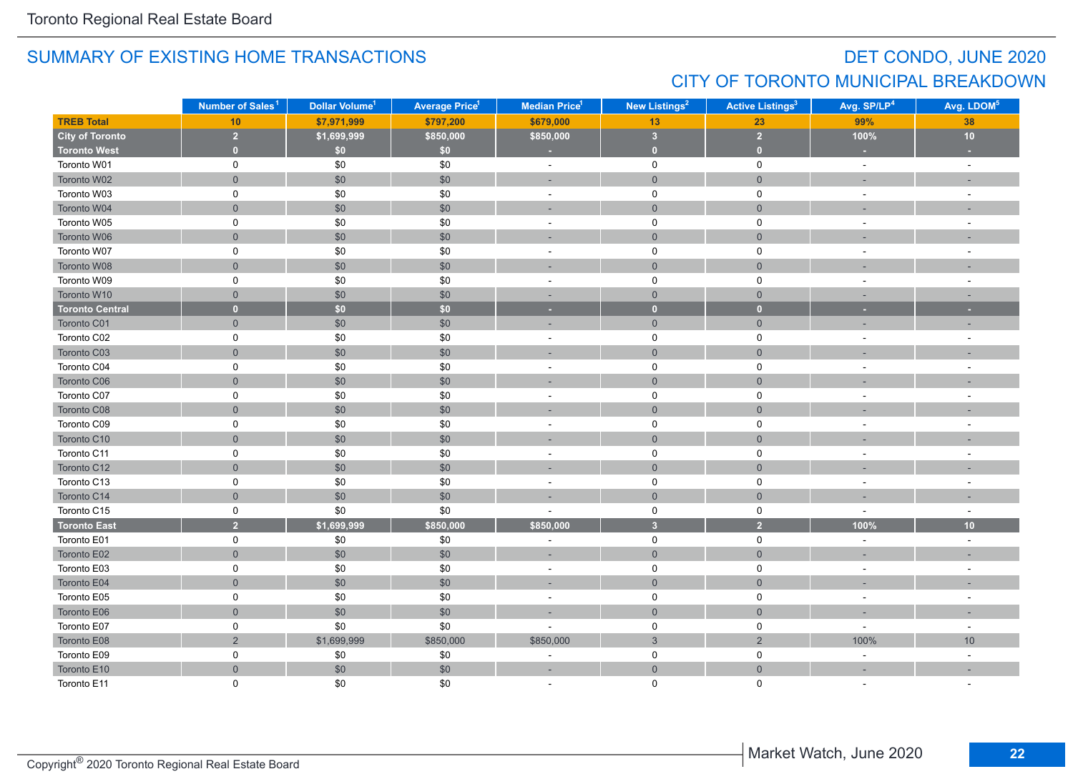## DET CONDO, JUNE 2020 CITY OF TORONTO MUNICIPAL BREAKDOWN

|                        | Number of Sales <sup>1</sup> | Dollar Volume <sup>1</sup> | <b>Average Price<sup>1</sup></b> | <b>New Listings<sup>2</sup></b><br><b>Median Price<sup>1</sup></b> |                         | <b>Active Listings<sup>3</sup></b> | Avg. SP/LP <sup>4</sup> | Avg. LDOM <sup>5</sup>   |
|------------------------|------------------------------|----------------------------|----------------------------------|--------------------------------------------------------------------|-------------------------|------------------------------------|-------------------------|--------------------------|
| <b>TREB Total</b>      | 10                           | \$7,971,999                | \$797,200                        | \$679,000                                                          | 13                      | 23                                 | 99%                     | 38                       |
| <b>City of Toronto</b> | $\overline{2}$               | \$1,699,999                | \$850,000                        | \$850,000                                                          | $\overline{\mathbf{3}}$ | $\overline{2}$                     | 100%                    | 10                       |
| <b>Toronto West</b>    | $\mathbf 0$                  | \$0                        | \$0                              | ×                                                                  | $\bullet$               | $\bullet$                          |                         |                          |
| Toronto W01            | 0                            | \$0                        | \$0                              | $\sim$                                                             | $\mathbf 0$             | $\mathbf 0$                        | $\sim$                  | $\sim$                   |
| Toronto W02            | $\mathsf{O}\xspace$          | \$0                        | \$0                              |                                                                    | $\mathsf{O}\xspace$     | $\mathsf{O}\xspace$                |                         |                          |
| Toronto W03            | $\mathsf 0$                  | \$0                        | \$0                              | $\overline{\phantom{a}}$                                           | $\mathsf 0$             | $\mathsf 0$                        |                         | $\overline{\phantom{a}}$ |
| Toronto W04            | $\mathsf{O}\xspace$          | \$0                        | \$0                              |                                                                    | $\mathsf{O}\xspace$     | $\mathbf 0$                        |                         |                          |
| Toronto W05            | $\mathsf 0$                  | \$0                        | \$0                              | $\sim$                                                             | 0                       | $\mathsf 0$                        |                         | ÷.                       |
| Toronto W06            | $\mathbf 0$                  | \$0                        | \$0                              |                                                                    | $\mathsf{O}\xspace$     | $\mathsf{O}\xspace$                |                         |                          |
| Toronto W07            | $\mathbf 0$                  | \$0                        | \$0                              | ÷,                                                                 | $\mathbf 0$             | $\mathbf 0$                        |                         |                          |
| Toronto W08            | $\overline{0}$               | \$0                        | \$0                              | ÷                                                                  | $\mathbf 0$             | $\mathbf{0}$                       |                         |                          |
| Toronto W09            | 0                            | \$0                        | \$0                              | $\sim$                                                             | 0                       | 0                                  |                         | ÷,                       |
| Toronto W10            | $\mathbf{0}$                 | \$0                        | \$0                              | $\overline{\phantom{a}}$                                           | $\mathbf{0}$            | $\mathbf{0}$                       |                         |                          |
| <b>Toronto Central</b> | $\mathbf{0}$                 | \$0                        | \$0                              | ×                                                                  | $\mathbf{0}$            | $\mathbf{0}$                       | ×                       | ٠                        |
| Toronto C01            | $\mathbf 0$                  | \$0                        | \$0                              | ×.                                                                 | $\mathsf{O}\xspace$     | $\mathsf{O}\xspace$                |                         |                          |
| Toronto C02            | 0                            | \$0                        | \$0                              | $\sim$                                                             | 0                       | 0                                  | $\sim$                  | ÷,                       |
| Toronto C03            | $\mathbf 0$                  | \$0                        | $\$0$                            | ٠                                                                  | $\mathsf{O}\xspace$     | $\mathsf{O}\xspace$                |                         |                          |
| Toronto C04            | $\mathsf 0$                  | \$0                        | \$0                              | ÷,                                                                 | 0                       | $\mathsf 0$                        |                         | $\overline{\phantom{a}}$ |
| Toronto C06            | $\mathbf 0$                  | \$0                        | \$0                              | i.                                                                 | $\mathbf 0$             | $\mathbf 0$                        |                         |                          |
| Toronto C07            | 0                            | \$0                        | \$0                              | $\sim$                                                             | 0                       | $\mathbf 0$                        |                         |                          |
| Toronto C08            | $\overline{0}$               | \$0                        | \$0                              |                                                                    | $\mathbf 0$             | $\mathbf 0$                        |                         |                          |
| Toronto C09            | 0                            | \$0                        | \$0                              | $\sim$                                                             | $\mathbf 0$             | 0                                  | $\sim$                  | $\overline{a}$           |
| Toronto C10            | $\mathbf 0$                  | \$0                        | $$0$$                            |                                                                    | $\overline{0}$          | $\mathbf 0$                        |                         |                          |
| Toronto C11            | 0                            | \$0                        | \$0                              | $\sim$                                                             | 0                       | 0                                  |                         | $\sim$                   |
| Toronto C12            | $\mathsf{O}\xspace$          | \$0                        | \$0                              | ٠                                                                  | $\mathbf 0$             | $\mathbf 0$                        |                         |                          |
| Toronto C13            | 0                            | \$0                        | \$0                              | $\sim$                                                             | 0                       | $\mathsf 0$                        |                         |                          |
| Toronto C14            | $\mathsf{O}\xspace$          | \$0                        | \$0                              |                                                                    | $\mathbf 0$             | $\mathsf{O}\xspace$                |                         |                          |
| Toronto C15            | 0                            | \$0                        | \$0                              |                                                                    | 0                       | $\mathsf 0$                        | $\sim$                  | $\sim$                   |
| <b>Toronto East</b>    | $\overline{2}$               | \$1,699,999                | \$850,000                        | \$850,000                                                          | $\overline{\mathbf{3}}$ | $\overline{2}$                     | 100%                    | 10                       |
| Toronto E01            | $\mathbf 0$                  | $\$0$                      | \$0                              | ÷,                                                                 | $\mathbf 0$             | 0                                  | $\sim$                  | $\sim$                   |
| Toronto E02            | $\mathbf{0}$                 | \$0                        | \$0                              | ×,                                                                 | $\overline{0}$          | $\mathbf 0$                        |                         |                          |
| Toronto E03            | $\mathbf 0$                  | \$0                        | \$0                              | ÷,                                                                 | 0                       | $\mathsf 0$                        |                         |                          |
| Toronto E04            | $\overline{0}$               | \$0                        | \$0                              | ۰                                                                  | $\mathbf 0$             | $\mathbf{0}$                       |                         |                          |
| Toronto E05            | 0                            | \$0                        | \$0                              | $\sim$                                                             | 0                       | 0                                  |                         |                          |
| Toronto E06            | $\mathsf{O}\xspace$          | \$0                        | \$0                              |                                                                    | $\mathbf{0}$            | $\mathbf 0$                        |                         |                          |
| Toronto E07            | $\mathsf 0$                  | \$0                        | \$0                              |                                                                    | $\mathsf 0$             | $\pmb{0}$                          |                         | ÷.                       |
| Toronto E08            | $\sqrt{2}$                   | \$1,699,999                | \$850,000                        | \$850,000                                                          | $\sqrt{3}$              | $\sqrt{2}$                         | 100%                    | 10                       |
| Toronto E09            | 0                            | \$0                        | \$0                              | ÷,                                                                 | 0                       | 0                                  | $\omega$                | $\bar{\phantom{a}}$      |
| Toronto E10            | $\mathbf 0$                  | \$0                        | \$0                              | ٠                                                                  | $\mathbf 0$             | $\mathbf 0$                        |                         |                          |
| Toronto E11            | $\Omega$                     | \$0                        | \$0                              |                                                                    | $\Omega$                | $\Omega$                           |                         |                          |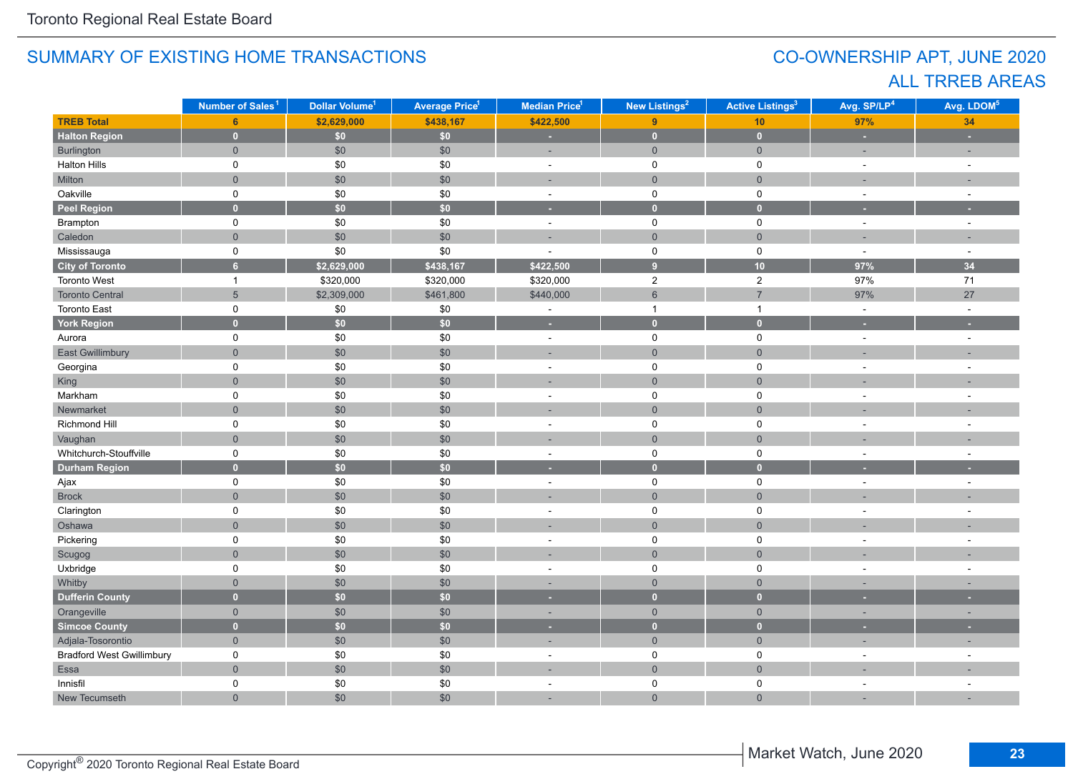## CO-OWNERSHIP APT, JUNE 2020 ALL TRREB AREAS

|                                  | Number of Sales <sup>1</sup> | Dollar Volume <sup>1</sup> | <b>Average Price<sup>1</sup></b> | Median Price <sup>1</sup> | New Listings <sup>2</sup> | <b>Active Listings<sup>3</sup></b> | Avg. SP/LP <sup>4</sup> | Avg. LDOM <sup>5</sup> |
|----------------------------------|------------------------------|----------------------------|----------------------------------|---------------------------|---------------------------|------------------------------------|-------------------------|------------------------|
| <b>TREB Total</b>                | 6                            | \$2,629,000                | \$438,167                        | \$422,500                 | 9                         | 10                                 | 97%                     | 34                     |
| <b>Halton Region</b>             | $\mathbf{0}$                 | \$0\$                      | \$0\$                            | ×.                        | $\mathbf{0}$              | $\mathbf{0}$                       | $\sim$                  | ٠                      |
| Burlington                       | $\overline{0}$               | \$0                        | \$0                              | ÷,                        | $\mathbf{0}$              | $\mathbf 0$                        | $\sim$                  | ٠                      |
| <b>Halton Hills</b>              | 0                            | \$0                        | \$0                              | $\sim$                    | $\mathbf 0$               | $\mathbf 0$                        | $\sim$                  | $\sim$                 |
| Milton                           | $\overline{0}$               | \$0                        | \$0                              | ÷,                        | $\mathsf{O}\xspace$       | $\mathsf{O}\xspace$                |                         |                        |
| Oakville                         | $\mathsf{O}$                 | $\$0$                      | \$0                              | $\overline{\phantom{a}}$  | $\mathsf 0$               | $\mathbf 0$                        | $\sim$                  | $\sim$                 |
| <b>Peel Region</b>               | $\overline{0}$               | \$0\$                      | \$0                              | u                         | $\bullet$                 | $\mathbf{0}$                       |                         |                        |
| Brampton                         | 0                            | \$0                        | \$0                              | $\omega$                  | $\mathsf{O}$              | $\mathbf 0$                        | $\omega$                | $\sim$                 |
| Caledon                          | $\mathsf{O}\xspace$          | $$0$$                      | \$0                              | ÷                         | $\mathsf{O}\xspace$       | $\mathsf{O}\xspace$                |                         |                        |
| Mississauga                      | 0                            | \$0                        | \$0                              | ÷,                        | $\mathsf 0$               | $\mathbf 0$                        | $\sim$                  | $\sim$                 |
| <b>City of Toronto</b>           | $6\overline{6}$              | \$2,629,000                | \$438,167                        | \$422,500                 | $\overline{9}$            | 10                                 | 97%                     | 34                     |
| Toronto West                     | $\overline{1}$               | \$320,000                  | \$320,000                        | \$320,000                 | $\overline{c}$            | $\mathbf 2$                        | 97%                     | $71$                   |
| <b>Toronto Central</b>           | $5\overline{)}$              | \$2,309,000                | \$461,800                        | \$440,000                 | $6\,$                     | $\overline{7}$                     | 97%                     | 27                     |
| <b>Toronto East</b>              | 0                            | \$0                        | \$0                              | ÷,                        | $\mathbf{1}$              | $\mathbf{1}$                       | $\omega$                | $\sim$                 |
| <b>York Region</b>               | $\overline{0}$               | \$0                        | \$0                              | ×                         | $\bullet$                 | $\overline{0}$                     | ×.                      | ٠                      |
| Aurora                           | 0                            | \$0                        | \$0                              | $\sim$                    | $\mathbf 0$               | $\mathbf 0$                        |                         | $\sim$                 |
| <b>East Gwillimbury</b>          | $\overline{0}$               | $$0$$                      | \$0                              |                           | $\overline{0}$            | $\overline{0}$                     |                         |                        |
| Georgina                         | 0                            | $\$0$                      | \$0                              | $\sim$                    | 0                         | 0                                  |                         | ÷,                     |
| King                             | $\overline{0}$               | \$0                        | \$0                              | ÷                         | $\overline{0}$            | $\overline{0}$                     |                         |                        |
| Markham                          | 0                            | \$0                        | \$0                              | $\blacksquare$            | $\mathsf{O}$              | $\mathbf 0$                        |                         |                        |
| Newmarket                        | $\overline{0}$               | \$0                        | \$0                              |                           | $\mathbf 0$               | $\mathbf{0}$                       |                         |                        |
| Richmond Hill                    | $\mathsf{O}$                 | \$0                        | \$0                              | $\blacksquare$            | $\mathsf 0$               | $\mathbf 0$                        |                         | $\sim$                 |
| Vaughan                          | $\overline{0}$               | $$0$$                      | \$0                              |                           | $\mathbf 0$               | $\mathbf{0}$                       |                         |                        |
| Whitchurch-Stouffville           | 0                            | \$0                        | \$0                              | $\sim$                    | $\mathbf 0$               | $\mathbf 0$                        | $\overline{a}$          | $\sim$                 |
| <b>Durham Region</b>             | $\mathbf{0}$                 | $\overline{50}$            | $\overline{50}$                  | ٠                         | $\bullet$                 | $\bullet$                          |                         |                        |
| Ajax                             | 0                            | \$0                        | \$0                              | $\blacksquare$            | $\mathsf 0$               | $\mathbf 0$                        | $\sim$                  | $\sim$                 |
| <b>Brock</b>                     | $\overline{0}$               | \$0                        | \$0                              |                           | $\mathsf{O}\xspace$       | $\overline{0}$                     |                         |                        |
| Clarington                       | $\mathsf{O}$                 | \$0                        | \$0                              | $\sim$                    | $\mathbf 0$               | $\mathbf 0$                        |                         | $\ddot{\phantom{1}}$   |
| Oshawa                           | $\overline{0}$               | \$0                        | \$0                              |                           | $\overline{0}$            | $\overline{0}$                     |                         |                        |
| Pickering                        | 0                            | $\$0$                      | \$0                              | $\blacksquare$            | $\mathbf 0$               | 0                                  | $\sim$                  | $\sim$                 |
| Scugog                           | $\overline{0}$               | \$0                        | \$0                              | ÷.                        | $\mathsf{O}\xspace$       | $\overline{0}$                     |                         |                        |
| Uxbridge                         | 0                            | $\$0$                      | \$0                              | $\bar{a}$                 | $\mathbf 0$               | 0                                  |                         | $\sim$                 |
| Whitby                           | $\mathbf 0$                  | \$0                        | \$0                              | ٠                         | $\mathsf{O}\xspace$       | $\mathsf{O}\xspace$                |                         |                        |
| <b>Dufferin County</b>           | $\overline{0}$               | \$0                        | $\overline{\bullet}$             | ٠                         | $\mathbf{0}$              | $\overline{0}$                     |                         |                        |
| Orangeville                      | $\overline{0}$               | \$0                        | \$0                              | ٠                         | $\overline{0}$            | $\overline{0}$                     | $\sim$                  | ٠                      |
| <b>Simcoe County</b>             | $\overline{0}$               | \$0                        | \$0                              | ٠                         | $\bullet$                 | $\overline{0}$                     |                         |                        |
| Adjala-Tosorontio                | $\overline{0}$               | $\$0$                      | \$0                              | ÷.                        | $\mathbf{0}$              | $\mathbf 0$                        | п.                      | ÷                      |
| <b>Bradford West Gwillimbury</b> | 0                            | \$0                        | \$0                              | $\sim$                    | $\mathbf 0$               | $\mathbf 0$                        |                         |                        |
| Essa                             | $\overline{0}$               | $$0$$                      | \$0                              | ÷,                        | $\mathsf{O}\xspace$       | $\mathbf{0}$                       |                         |                        |
| Innisfil                         | 0                            | \$0                        | \$0                              | $\sim$                    | $\mathbf 0$               | 0                                  | $\sim$                  | $\sim$                 |
| New Tecumseth                    | $\overline{0}$               | \$0                        | \$0                              | ÷,                        | $\overline{0}$            | $\overline{0}$                     |                         |                        |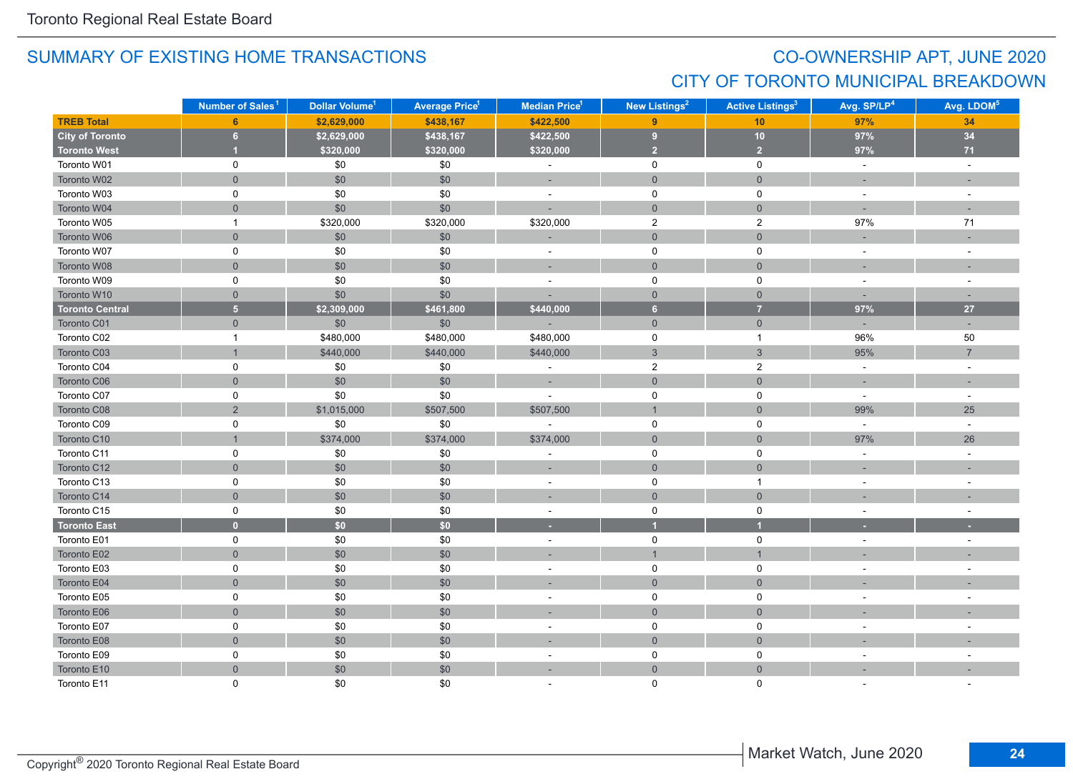## CO-OWNERSHIP APT, JUNE 2020 CITY OF TORONTO MUNICIPAL BREAKDOWN

|                        | Number of Sales <sup>1</sup> | Dollar Volume <sup>1</sup> | <b>Average Price<sup>1</sup></b> | <b>Median Price<sup>1</sup></b> | New Listings <sup>2</sup> | <b>Active Listings<sup>3</sup></b> | Avg. SP/LP <sup>4</sup>  | Avg. LDOM <sup>5</sup> |
|------------------------|------------------------------|----------------------------|----------------------------------|---------------------------------|---------------------------|------------------------------------|--------------------------|------------------------|
| <b>TREB Total</b>      | 6                            | \$2,629,000                | \$438,167                        | \$422,500                       | 9                         | 10 <sub>1</sub>                    | 97%                      | 34                     |
| <b>City of Toronto</b> | $\bf 6$                      | \$2,629,000                | \$438,167                        | \$422,500                       | $\pmb{9}$                 | 10                                 | 97%                      | 34                     |
| <b>Toronto West</b>    |                              | \$320,000                  | \$320,000                        | \$320,000                       | $\overline{2}$            | $\overline{2}$                     | 97%                      | $71$                   |
| Toronto W01            | 0                            | $\$0$                      | \$0                              | $\Box$                          | $\mathsf{O}$              | $\mathbf 0$                        | $\omega$                 | $\omega$               |
| Toronto W02            | $\overline{0}$               | $\$0$                      | \$0                              | $\sim$                          | $\mathsf{O}$              | $\mathsf{O}\xspace$                | $\sim$                   | $\sim$                 |
| Toronto W03            | 0                            | \$0                        | \$0                              | $\bar{a}$                       | $\mathsf{O}$              | 0                                  | $\blacksquare$           | $\sim$                 |
| Toronto W04            | $\mathbf 0$                  | \$0                        | \$0                              |                                 | $\overline{0}$            | $\overline{0}$                     | ÷.                       |                        |
| Toronto W05            | $\mathbf{1}$                 | \$320,000                  | \$320,000                        | \$320,000                       | $\overline{2}$            | $\overline{2}$                     | 97%                      | $71$                   |
| Toronto W06            | $\mathsf{O}\xspace$          | \$0                        | \$0                              |                                 | $\mathsf{O}\xspace$       | $\mathbf 0$                        |                          |                        |
| Toronto W07            | $\mathsf 0$                  | $\$0$                      | \$0                              | $\overline{\phantom{a}}$        | $\mathsf 0$               | 0                                  | $\blacksquare$           | $\sim$                 |
| Toronto W08            | $\mathbf{0}$                 | $\$0$                      | \$0                              | ×,                              | $\mathbf 0$               | $\mathbf 0$                        |                          |                        |
| Toronto W09            | $\mathsf 0$                  | \$0                        | \$0                              | $\sim$                          | $\mathsf 0$               | $\mathsf{O}$                       | $\sim$                   | $\sim$                 |
| Toronto W10            | $\mathbf{0}$                 | \$0                        | \$0                              | ÷,                              | $\overline{0}$            | $\overline{0}$                     | $\sim$                   | $\sim$                 |
| <b>Toronto Central</b> | $\overline{\mathbf{5}}$      | \$2,309,000                | \$461,800                        | \$440,000                       | $6\phantom{.}$            | $\overline{7}$                     | 97%                      | 27                     |
| Toronto C01            | $\overline{0}$               | $$0$$                      | \$0                              |                                 | $\mathsf{O}$              | $\mathsf{O}\xspace$                | $\sim$                   | ÷.                     |
| Toronto C02            | $\mathbf{1}$                 | \$480,000                  | \$480,000                        | \$480,000                       | $\mathsf 0$               | $\overline{1}$                     | 96%                      | 50                     |
| Toronto C03            | $\mathbf{1}$                 | \$440,000                  | \$440,000                        | \$440,000                       | $\mathsf 3$               | $\mathbf{3}$                       | 95%                      | $\overline{7}$         |
| Toronto C04            | 0                            | \$0                        | \$0                              | $\sim$                          | $\overline{2}$            | $\overline{2}$                     | $\sim$                   | $\sim$                 |
| Toronto C06            | $\mathbf 0$                  | \$0                        | \$0                              | $\sim$                          | $\mathbf 0$               | $\mathbf 0$                        | $\sim$                   | $\sim$                 |
| Toronto C07            | 0                            | \$0                        | \$0                              | $\sim$                          | $\mathsf 0$               | $\mathbf 0$                        | $\omega$                 | $\sim$                 |
| Toronto C08            | $\sqrt{2}$                   | \$1,015,000                | \$507,500                        | \$507,500                       | $\mathbf{1}$              | $\mathbf 0$                        | 99%                      | 25                     |
| Toronto C09            | 0                            | \$0                        | $\$0$                            | $\sim$                          | $\mathsf 0$               | $\mathbf 0$                        | $\omega$                 | $\sim$                 |
| Toronto C10            | $\overline{1}$               | \$374,000                  | \$374,000                        | \$374,000                       | $\mathsf{O}$              | $\mathbf{0}$                       | 97%                      | 26                     |
| Toronto C11            | 0                            | \$0                        | \$0                              | $\sim$                          | $\mathbf 0$               | $\mathbf 0$                        | $\sim$                   | $\sim$                 |
| Toronto C12            | $\mathsf{O}\xspace$          | \$0                        | \$0                              | ÷,                              | $\overline{0}$            | $\mathbf 0$                        | ٠                        |                        |
| Toronto C13            | $\mathsf 0$                  | \$0                        | \$0                              | ÷,                              | $\mathbf 0$               | $\mathbf{1}$                       | $\overline{\phantom{a}}$ | $\sim$                 |
| Toronto C14            | $\mathbf 0$                  | $$0$$                      | \$0                              | ÷,                              | $\mathsf{O}\xspace$       | $\mathbf 0$                        |                          |                        |
| Toronto C15            | 0                            | $\$0$                      | $\$0$                            | $\sim$                          | $\mathbf 0$               | $\mathbf 0$                        | $\blacksquare$           | $\sim$                 |
| <b>Toronto East</b>    | $\mathbf{0}$                 | \$0                        | \$0                              | ٠                               | $\overline{1}$            | и                                  |                          |                        |
| Toronto E01            | 0                            | \$0                        | \$0                              | $\overline{\phantom{a}}$        | $\mathbf 0$               | $\mathbf 0$                        | $\overline{\phantom{a}}$ | $\sim$                 |
| Toronto E02            | $\mathbf 0$                  | \$0                        | \$0                              | ٠                               | $\overline{1}$            | $\overline{1}$                     |                          |                        |
| Toronto E03            | $\mathsf 0$                  | \$0                        | \$0                              | $\bar{a}$                       | $\mathsf 0$               | $\mathsf{O}$                       | $\sim$                   |                        |
| Toronto E04            | $\mathbf 0$                  | \$0                        | \$0                              | ٠                               | $\mathbf 0$               | $\mathbf 0$                        |                          |                        |
| Toronto E05            | 0                            | \$0                        | $\$0$                            | $\sim$                          | 0                         | 0                                  | $\sim$                   |                        |
| Toronto E06            | $\mathbf 0$                  | \$0                        | \$0                              |                                 | $\mathbf{0}$              | $\overline{0}$                     |                          |                        |
| Toronto E07            | 0                            | $$0$$                      | \$0                              | $\overline{\phantom{a}}$        | $\mathsf{O}$              | $\mathbf 0$                        | $\sim$                   |                        |
| Toronto E08            | $\mathsf{O}\xspace$          | \$0                        | \$0                              | ×.                              | $\mathsf{O}$              | $\mathsf{O}\xspace$                |                          |                        |
| Toronto E09            | 0                            | $$0$$                      | \$0                              | $\bar{a}$                       | $\mathbf 0$               | 0                                  | $\sim$                   |                        |
| Toronto E10            | $\mathbf 0$                  | \$0                        | \$0                              | ×,                              | $\mathsf{O}\xspace$       | $\mathbf 0$                        |                          |                        |
| Toronto E11            | $\Omega$                     | \$0                        | \$0                              |                                 | $\Omega$                  | $\Omega$                           |                          |                        |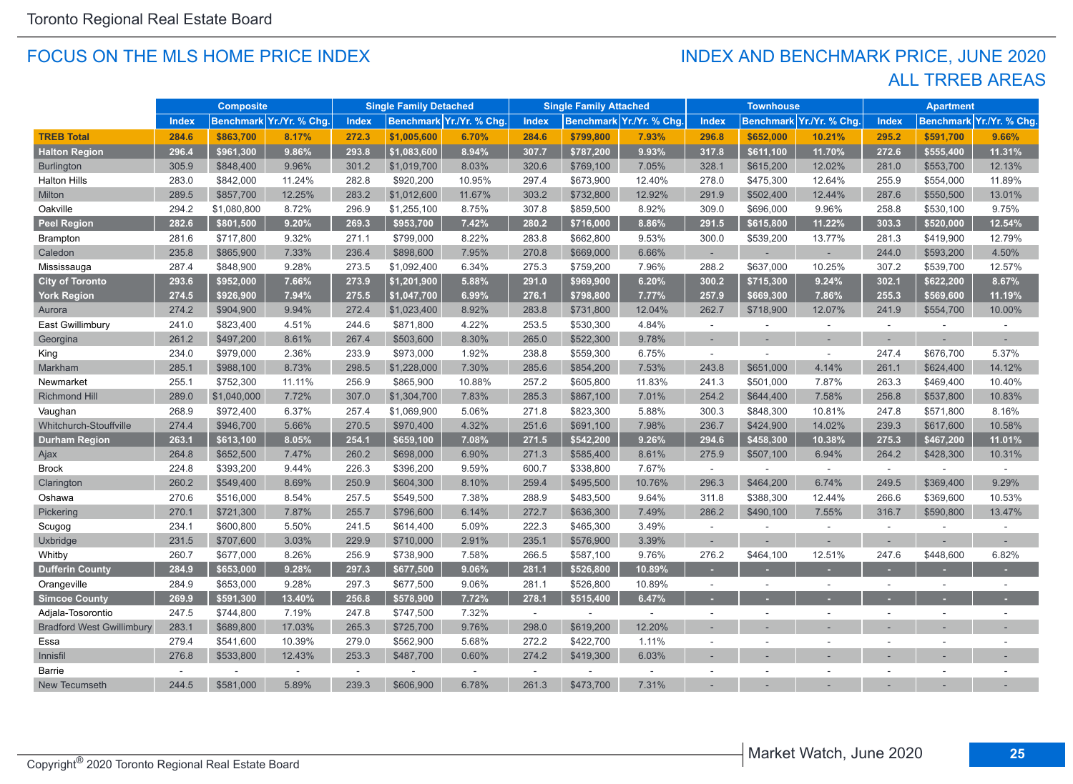#### FOCUS ON THE MLS HOME PRICE INDEX

### ALL TRREB AREAS INDEX AND BENCHMARK PRICE, JUNE 2020

|                                  |              | <b>Composite</b> |                          |       | <b>Single Family Detached</b> |                         |        | <b>Single Family Attached</b> |                          |                          | <b>Townhouse</b> |                          |                | <b>Apartment</b>         |                         |
|----------------------------------|--------------|------------------|--------------------------|-------|-------------------------------|-------------------------|--------|-------------------------------|--------------------------|--------------------------|------------------|--------------------------|----------------|--------------------------|-------------------------|
|                                  | <b>Index</b> |                  | Benchmark Yr./Yr. % Chg. | Index |                               | Benchmark Yr./Yr. % Chg | Index  |                               | Benchmark Yr./Yr. % Chg. | <b>Index</b>             |                  | Benchmark Yr./Yr. % Chg. | <b>Index</b>   |                          | Benchmark Yr./Yr. % Chg |
| <b>TREB Total</b>                | 284.6        | \$863,700        | 8.17%                    | 272.3 | \$1,005,600                   | 6.70%                   | 284.6  | \$799,800                     | 7.93%                    | 296.8                    | \$652,000        | 10.21%                   | 295.2          | \$591,700                | 9.66%                   |
| <b>Halton Region</b>             | 296.4        | \$961,300        | 9.86%                    | 293.8 | \$1,083,600                   | 8.94%                   | 307.7  | \$787,200                     | 9.93%                    | 317.8                    | \$611,100        | 11.70%                   | 272.6          | \$555,400                | 11.31%                  |
| <b>Burlington</b>                | 305.9        | \$848,400        | 9.96%                    | 301.2 | \$1,019,700                   | 8.03%                   | 320.6  | \$769,100                     | 7.05%                    | 328.1                    | \$615,200        | 12.02%                   | 281.0          | \$553,700                | 12.13%                  |
| <b>Halton Hills</b>              | 283.0        | \$842,000        | 11.24%                   | 282.8 | \$920,200                     | 10.95%                  | 297.4  | \$673,900                     | 12.40%                   | 278.0                    | \$475,300        | 12.64%                   | 255.9          | \$554,000                | 11.89%                  |
| Milton                           | 289.5        | \$857,700        | 12.25%                   | 283.2 | \$1,012,600                   | 11.67%                  | 303.2  | \$732,800                     | 12.92%                   | 291.9                    | \$502,400        | 12.44%                   | 287.6          | \$550,500                | 13.01%                  |
| Oakville                         | 294.2        | \$1,080,800      | 8.72%                    | 296.9 | \$1,255,100                   | 8.75%                   | 307.8  | \$859,500                     | 8.92%                    | 309.0                    | \$696,000        | 9.96%                    | 258.8          | \$530,100                | 9.75%                   |
| Peel Region                      | 282.6        | \$801,500        | 9.20%                    | 269.3 | \$953,700                     | 7.42%                   | 280.2  | \$716,000                     | 8.86%                    | 291.5                    | \$615,800        | 11.22%                   | 303.3          | \$520,000                | 12.54%                  |
| Brampton                         | 281.6        | \$717,800        | 9.32%                    | 271.1 | \$799,000                     | 8.22%                   | 283.8  | \$662,800                     | 9.53%                    | 300.0                    | \$539,200        | 13.77%                   | 281.3          | \$419,900                | 12.79%                  |
| Caledon                          | 235.8        | \$865,900        | 7.33%                    | 236.4 | \$898,600                     | 7.95%                   | 270.8  | \$669,000                     | 6.66%                    | ٠                        |                  | ÷.                       | 244.0          | \$593,200                | 4.50%                   |
| Mississauga                      | 287.4        | \$848,900        | 9.28%                    | 273.5 | \$1,092,400                   | 6.34%                   | 275.3  | \$759,200                     | 7.96%                    | 288.2                    | \$637,000        | 10.25%                   | 307.2          | \$539,700                | 12.57%                  |
| <b>City of Toronto</b>           | 293.6        | \$952,000        | 7.66%                    | 273.9 | \$1,201,900                   | 5.88%                   | 291.0  | \$969,900                     | 6.20%                    | 300.2                    | \$715,300        | 9.24%                    | 302.1          | \$622,200                | 8.67%                   |
| York Region                      | 274.5        | \$926,900        | 7.94%                    | 275.5 | \$1,047,700                   | 6.99%                   | 276.1  | \$798,800                     | 7.77%                    | 257.9                    | \$669,300        | 7.86%                    | 255.3          | \$569,600                | 11.19%                  |
| Aurora                           | 274.2        | \$904,900        | 9.94%                    | 272.4 | \$1,023,400                   | 8.92%                   | 283.8  | \$731,800                     | 12.04%                   | 262.7                    | \$718,900        | 12.07%                   | 241.9          | \$554,700                | 10.00%                  |
| East Gwillimbury                 | 241.0        | \$823,400        | 4.51%                    | 244.6 | \$871,800                     | 4.22%                   | 253.5  | \$530,300                     | 4.84%                    | $\sim$                   |                  | $\sim$                   | $\sim$         |                          |                         |
| Georgina                         | 261.2        | \$497,200        | 8.61%                    | 267.4 | \$503,600                     | 8.30%                   | 265.0  | \$522,300                     | 9.78%                    | $\sim$                   |                  |                          |                |                          |                         |
| King                             | 234.0        | \$979,000        | 2.36%                    | 233.9 | \$973,000                     | 1.92%                   | 238.8  | \$559,300                     | 6.75%                    | ÷                        |                  | $\sim$                   | 247.4          | \$676,700                | 5.37%                   |
| Markham                          | 285.1        | \$988,100        | 8.73%                    | 298.5 | \$1,228,000                   | 7.30%                   | 285.6  | \$854,200                     | 7.53%                    | 243.8                    | \$651,000        | 4.14%                    | 261.1          | \$624,400                | 14.12%                  |
| Newmarket                        | 255.1        | \$752,300        | 11.11%                   | 256.9 | \$865,900                     | 10.88%                  | 257.2  | \$605,800                     | 11.83%                   | 241.3                    | \$501,000        | 7.87%                    | 263.3          | \$469,400                | 10.40%                  |
| <b>Richmond Hill</b>             | 289.0        | \$1,040,000      | 7.72%                    | 307.0 | \$1,304,700                   | 7.83%                   | 285.3  | \$867,100                     | 7.01%                    | 254.2                    | \$644.400        | 7.58%                    | 256.8          | \$537,800                | 10.83%                  |
| Vaughan                          | 268.9        | \$972,400        | 6.37%                    | 257.4 | \$1,069,900                   | 5.06%                   | 271.8  | \$823,300                     | 5.88%                    | 300.3                    | \$848,300        | 10.81%                   | 247.8          | \$571,800                | 8.16%                   |
| Whitchurch-Stouffville           | 274.4        | \$946,700        | 5.66%                    | 270.5 | \$970,400                     | 4.32%                   | 251.6  | \$691,100                     | 7.98%                    | 236.7                    | \$424,900        | 14.02%                   | 239.3          | \$617,600                | 10.58%                  |
| <b>Durham Region</b>             | 263.1        | \$613,100        | 8.05%                    | 254.1 | \$659,100                     | 7.08%                   | 271.5  | \$542,200                     | 9.26%                    | 294.6                    | \$458,300        | 10.38%                   | 275.3          | \$467,200                | 11.01%                  |
| Ajax                             | 264.8        | \$652,500        | 7.47%                    | 260.2 | \$698,000                     | 6.90%                   | 271.3  | \$585,400                     | 8.61%                    | 275.9                    | \$507,100        | 6.94%                    | 264.2          | \$428,300                | 10.31%                  |
| <b>Brock</b>                     | 224.8        | \$393,200        | 9.44%                    | 226.3 | \$396,200                     | 9.59%                   | 600.7  | \$338,800                     | 7.67%                    | $\sim$                   |                  | $\sim$                   | $\sim$         |                          | $\sim$                  |
| Clarington                       | 260.2        | \$549,400        | 8.69%                    | 250.9 | \$604,300                     | 8.10%                   | 259.4  | \$495,500                     | 10.76%                   | 296.3                    | \$464,200        | 6.74%                    | 249.5          | \$369,400                | 9.29%                   |
| Oshawa                           | 270.6        | \$516,000        | 8.54%                    | 257.5 | \$549,500                     | 7.38%                   | 288.9  | \$483,500                     | 9.64%                    | 311.8                    | \$388,300        | 12.44%                   | 266.6          | \$369,600                | 10.53%                  |
| Pickering                        | 270.1        | \$721,300        | 7.87%                    | 255.7 | \$796,600                     | 6.14%                   | 272.7  | \$636,300                     | 7.49%                    | 286.2                    | \$490,100        | 7.55%                    | 316.7          | \$590,800                | 13.47%                  |
| Scugog                           | 234.1        | \$600,800        | 5.50%                    | 241.5 | \$614,400                     | 5.09%                   | 222.3  | \$465,300                     | 3.49%                    | $\sim$                   |                  | ÷.                       | $\overline{a}$ |                          |                         |
| Uxbridge                         | 231.5        | \$707,600        | 3.03%                    | 229.9 | \$710,000                     | 2.91%                   | 235.1  | \$576,900                     | 3.39%                    | ÷                        |                  |                          |                |                          |                         |
| Whitby                           | 260.7        | \$677,000        | 8.26%                    | 256.9 | \$738,900                     | 7.58%                   | 266.5  | \$587,100                     | 9.76%                    | 276.2                    | \$464,100        | 12.51%                   | 247.6          | \$448,600                | 6.82%                   |
| <b>Dufferin County</b>           | 284.9        | \$653,000        | 9.28%                    | 297.3 | \$677,500                     | 9.06%                   | 281.1  | \$526,800                     | 10.89%                   |                          |                  |                          |                |                          |                         |
| Orangeville                      | 284.9        | \$653,000        | 9.28%                    | 297.3 | \$677,500                     | 9.06%                   | 281.1  | \$526,800                     | 10.89%                   | $\sim$                   | $\sim$           | $\sim$                   | $\sim$         | $\overline{\phantom{a}}$ |                         |
| <b>Simcoe County</b>             | 269.9        | \$591,300        | 13.40%                   | 256.8 | \$578,900                     | 7.72%                   | 278.1  | \$515,400                     | 6.47%                    | ×.                       |                  |                          |                |                          |                         |
| Adjala-Tosorontio                | 247.5        | \$744,800        | 7.19%                    | 247.8 | \$747,500                     | 7.32%                   | $\sim$ | ÷.                            | $\sim$                   | $\overline{\phantom{a}}$ |                  |                          | ÷.             |                          |                         |
| <b>Bradford West Gwillimbury</b> | 283.1        | \$689,800        | 17.03%                   | 265.3 | \$725,700                     | 9.76%                   | 298.0  | \$619,200                     | 12.20%                   |                          |                  |                          |                |                          |                         |
| Essa                             | 279.4        | \$541,600        | 10.39%                   | 279.0 | \$562,900                     | 5.68%                   | 272.2  | \$422,700                     | 1.11%                    | $\sim$                   | $\overline{a}$   |                          | $\sim$         | $\sim$                   |                         |
| Innisfil                         | 276.8        | \$533,800        | 12.43%                   | 253.3 | \$487,700                     | 0.60%                   | 274.2  | \$419,300                     | 6.03%                    |                          |                  |                          |                |                          |                         |
| Barrie                           | $\sim$       |                  | $\sim$                   | ÷.    |                               | $\sim$                  | $\sim$ | ÷                             | $\sim$                   | ÷.                       |                  |                          |                |                          |                         |
| New Tecumseth                    | 244.5        | \$581,000        | 5.89%                    | 239.3 | \$606,900                     | 6.78%                   | 261.3  | \$473,700                     | 7.31%                    |                          |                  |                          |                |                          |                         |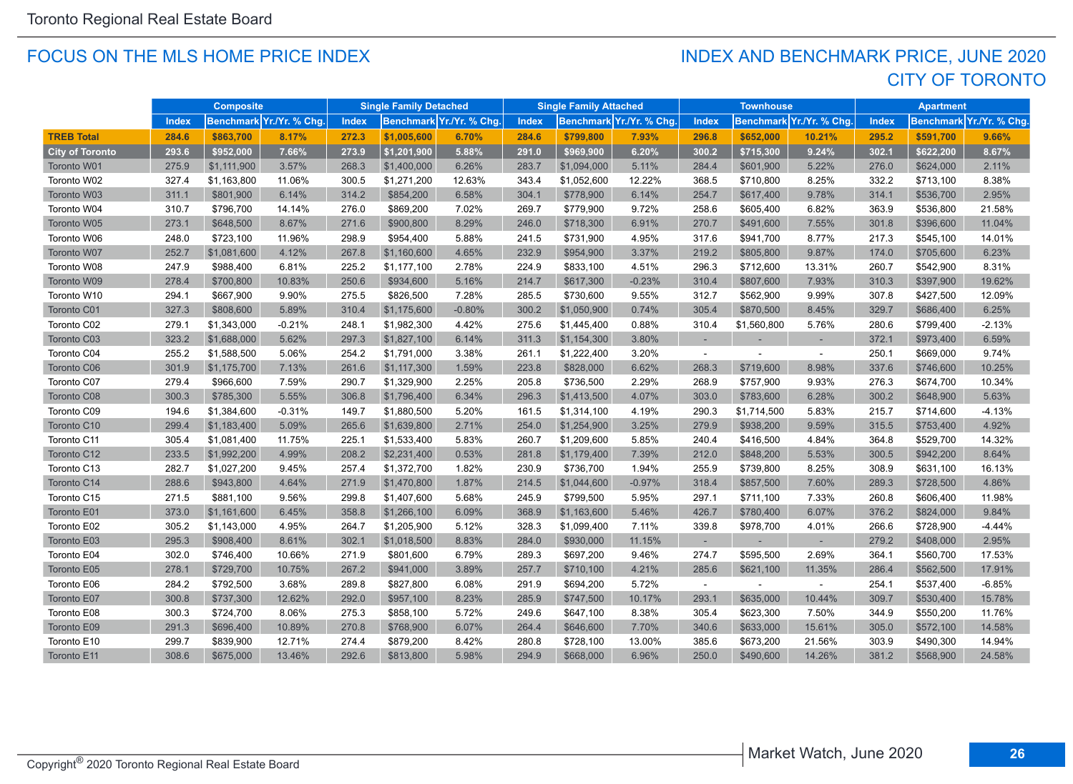#### FOCUS ON THE MLS HOME PRICE INDEX

## CITY OF TORONTO INDEX AND BENCHMARK PRICE, JUNE 2020

|                        | <b>Composite</b> |             | <b>Single Family Detached</b> |              | <b>Single Family Attached</b> |                          | <b>Townhouse</b> |             | <b>Apartment</b>         |              |             |                          |              |           |                          |
|------------------------|------------------|-------------|-------------------------------|--------------|-------------------------------|--------------------------|------------------|-------------|--------------------------|--------------|-------------|--------------------------|--------------|-----------|--------------------------|
|                        | Index            |             | Benchmark Yr./Yr. % Chg       | <b>Index</b> |                               | Benchmark Yr./Yr. % Chg. | Index            |             | Benchmark Yr./Yr. % Chg. | <b>Index</b> |             | Benchmark Yr./Yr. % Chg. | <b>Index</b> |           | Benchmark Yr./Yr. % Chg. |
| <b>TREB Total</b>      | 284.6            | \$863,700   | 8.17%                         | 272.3        | \$1,005,600                   | 6.70%                    | 284.6            | \$799,800   | 7.93%                    | 296.8        | \$652,000   | 10.21%                   | 295.2        | \$591.700 | 9.66%                    |
| <b>City of Toronto</b> | 293.6            | \$952,000   | 7.66%                         | 273.9        | \$1,201,900                   | 5.88%                    | 291.0            | \$969,900   | 6.20%                    | 300.2        | \$715,300   | 9.24%                    | 302.1        | \$622,200 | 8.67%                    |
| Toronto W01            | 275.9            | \$1,111,900 | 3.57%                         | 268.3        | \$1,400,000                   | 6.26%                    | 283.7            | \$1,094,000 | 5.11%                    | 284.4        | \$601,900   | 5.22%                    | 276.0        | \$624,000 | 2.11%                    |
| Toronto W02            | 327.4            | \$1,163,800 | 11.06%                        | 300.5        | \$1,271,200                   | 12.63%                   | 343.4            | \$1,052,600 | 12.22%                   | 368.5        | \$710,800   | 8.25%                    | 332.2        | \$713,100 | 8.38%                    |
| Toronto W03            | 311.1            | \$801,900   | 6.14%                         | 314.2        | \$854,200                     | 6.58%                    | 304.1            | \$778,900   | 6.14%                    | 254.7        | \$617,400   | 9.78%                    | 314.1        | \$536,700 | 2.95%                    |
| Toronto W04            | 310.7            | \$796,700   | 14.14%                        | 276.0        | \$869,200                     | 7.02%                    | 269.7            | \$779,900   | 9.72%                    | 258.6        | \$605,400   | 6.82%                    | 363.9        | \$536,800 | 21.58%                   |
| Toronto W05            | 273.1            | \$648,500   | 8.67%                         | 271.6        | \$900,800                     | 8.29%                    | 246.0            | \$718,300   | 6.91%                    | 270.7        | \$491,600   | 7.55%                    | 301.8        | \$396,600 | 11.04%                   |
| Toronto W06            | 248.0            | \$723,100   | 11.96%                        | 298.9        | \$954,400                     | 5.88%                    | 241.5            | \$731,900   | 4.95%                    | 317.6        | \$941,700   | 8.77%                    | 217.3        | \$545,100 | 14.01%                   |
| Toronto W07            | 252.7            | \$1,081,600 | 4.12%                         | 267.8        | \$1,160,600                   | 4.65%                    | 232.9            | \$954,900   | 3.37%                    | 219.2        | \$805,800   | 9.87%                    | 174.0        | \$705,600 | 6.23%                    |
| Toronto W08            | 247.9            | \$988,400   | 6.81%                         | 225.2        | \$1,177,100                   | 2.78%                    | 224.9            | \$833,100   | 4.51%                    | 296.3        | \$712,600   | 13.31%                   | 260.7        | \$542,900 | 8.31%                    |
| Toronto W09            | 278.4            | \$700,800   | 10.83%                        | 250.6        | \$934,600                     | 5.16%                    | 214.7            | \$617,300   | $-0.23%$                 | 310.4        | \$807,600   | 7.93%                    | 310.3        | \$397,900 | 19.62%                   |
| Toronto W10            | 294.1            | \$667,900   | 9.90%                         | 275.5        | \$826,500                     | 7.28%                    | 285.5            | \$730,600   | 9.55%                    | 312.7        | \$562,900   | 9.99%                    | 307.8        | \$427,500 | 12.09%                   |
| Toronto C01            | 327.3            | \$808,600   | 5.89%                         | 310.4        | \$1,175,600                   | $-0.80%$                 | 300.2            | \$1,050,900 | 0.74%                    | 305.4        | \$870,500   | 8.45%                    | 329.7        | \$686,400 | 6.25%                    |
| Toronto C02            | 279.1            | \$1,343,000 | $-0.21%$                      | 248.1        | \$1,982,300                   | 4.42%                    | 275.6            | \$1,445,400 | 0.88%                    | 310.4        | \$1,560,800 | 5.76%                    | 280.6        | \$799,400 | $-2.13%$                 |
| Toronto C03            | 323.2            | \$1,688,000 | 5.62%                         | 297.3        | \$1,827,100                   | 6.14%                    | 311.3            | \$1,154,300 | 3.80%                    |              |             |                          | 372.1        | \$973,400 | 6.59%                    |
| Toronto C04            | 255.2            | \$1,588,500 | 5.06%                         | 254.2        | \$1,791,000                   | 3.38%                    | 261.1            | \$1,222,400 | 3.20%                    | $\sim$       |             | $\sim$                   | 250.1        | \$669,000 | 9.74%                    |
| Toronto C06            | 301.9            | \$1,175,700 | 7.13%                         | 261.6        | \$1,117,300                   | 1.59%                    | 223.8            | \$828,000   | 6.62%                    | 268.3        | \$719,600   | 8.98%                    | 337.6        | \$746,600 | 10.25%                   |
| Toronto C07            | 279.4            | \$966,600   | 7.59%                         | 290.7        | \$1,329,900                   | 2.25%                    | 205.8            | \$736,500   | 2.29%                    | 268.9        | \$757,900   | 9.93%                    | 276.3        | \$674,700 | 10.34%                   |
| Toronto C08            | 300.3            | \$785,300   | 5.55%                         | 306.8        | \$1,796,400                   | 6.34%                    | 296.3            | \$1,413,500 | 4.07%                    | 303.0        | \$783,600   | 6.28%                    | 300.2        | \$648,900 | 5.63%                    |
| Toronto C09            | 194.6            | \$1,384,600 | $-0.31%$                      | 149.7        | \$1,880,500                   | 5.20%                    | 161.5            | \$1,314,100 | 4.19%                    | 290.3        | \$1,714,500 | 5.83%                    | 215.7        | \$714,600 | $-4.13%$                 |
| Toronto C10            | 299.4            | \$1,183,400 | 5.09%                         | 265.6        | \$1,639,800                   | 2.71%                    | 254.0            | \$1,254,900 | 3.25%                    | 279.9        | \$938,200   | 9.59%                    | 315.5        | \$753,400 | 4.92%                    |
| Toronto C11            | 305.4            | \$1,081,400 | 11.75%                        | 225.1        | \$1,533,400                   | 5.83%                    | 260.7            | \$1,209,600 | 5.85%                    | 240.4        | \$416,500   | 4.84%                    | 364.8        | \$529,700 | 14.32%                   |
| Toronto C12            | 233.5            | \$1,992,200 | 4.99%                         | 208.2        | \$2,231,400                   | 0.53%                    | 281.8            | \$1,179,400 | 7.39%                    | 212.0        | \$848,200   | 5.53%                    | 300.5        | \$942,200 | 8.64%                    |
| Toronto C13            | 282.7            | \$1,027,200 | 9.45%                         | 257.4        | \$1,372,700                   | 1.82%                    | 230.9            | \$736,700   | 1.94%                    | 255.9        | \$739,800   | 8.25%                    | 308.9        | \$631,100 | 16.13%                   |
| Toronto C14            | 288.6            | \$943,800   | 4.64%                         | 271.9        | \$1,470,800                   | 1.87%                    | 214.5            | \$1,044,600 | $-0.97%$                 | 318.4        | \$857,500   | 7.60%                    | 289.3        | \$728,500 | 4.86%                    |
| Toronto C15            | 271.5            | \$881,100   | 9.56%                         | 299.8        | \$1,407,600                   | 5.68%                    | 245.9            | \$799,500   | 5.95%                    | 297.1        | \$711,100   | 7.33%                    | 260.8        | \$606,400 | 11.98%                   |
| Toronto E01            | 373.0            | \$1,161,600 | 6.45%                         | 358.8        | \$1,266,100                   | 6.09%                    | 368.9            | \$1,163,600 | 5.46%                    | 426.7        | \$780,400   | 6.07%                    | 376.2        | \$824,000 | 9.84%                    |
| Toronto E02            | 305.2            | \$1,143,000 | 4.95%                         | 264.7        | \$1,205,900                   | 5.12%                    | 328.3            | \$1,099,400 | 7.11%                    | 339.8        | \$978,700   | 4.01%                    | 266.6        | \$728,900 | -4.44%                   |
| Toronto E03            | 295.3            | \$908,400   | 8.61%                         | 302.1        | \$1,018,500                   | 8.83%                    | 284.0            | \$930,000   | 11.15%                   |              |             | $\sim$                   | 279.2        | \$408,000 | 2.95%                    |
| Toronto E04            | 302.0            | \$746,400   | 10.66%                        | 271.9        | \$801,600                     | 6.79%                    | 289.3            | \$697,200   | 9.46%                    | 274.7        | \$595,500   | 2.69%                    | 364.1        | \$560,700 | 17.53%                   |
| Toronto E05            | 278.1            | \$729,700   | 10.75%                        | 267.2        | \$941,000                     | 3.89%                    | 257.7            | \$710,100   | 4.21%                    | 285.6        | \$621,100   | 11.35%                   | 286.4        | \$562,500 | 17.91%                   |
| Toronto E06            | 284.2            | \$792,500   | 3.68%                         | 289.8        | \$827,800                     | 6.08%                    | 291.9            | \$694,200   | 5.72%                    |              |             |                          | 254.1        | \$537,400 | $-6.85%$                 |
| Toronto E07            | 300.8            | \$737,300   | 12.62%                        | 292.0        | \$957,100                     | 8.23%                    | 285.9            | \$747,500   | 10.17%                   | 293.1        | \$635,000   | 10.44%                   | 309.7        | \$530,400 | 15.78%                   |
| Toronto E08            | 300.3            | \$724,700   | 8.06%                         | 275.3        | \$858,100                     | 5.72%                    | 249.6            | \$647,100   | 8.38%                    | 305.4        | \$623,300   | 7.50%                    | 344.9        | \$550,200 | 11.76%                   |
| Toronto E09            | 291.3            | \$696,400   | 10.89%                        | 270.8        | \$768,900                     | 6.07%                    | 264.4            | \$646,600   | 7.70%                    | 340.6        | \$633,000   | 15.61%                   | 305.0        | \$572,100 | 14.58%                   |
| Toronto E10            | 299.7            | \$839,900   | 12.71%                        | 274.4        | \$879,200                     | 8.42%                    | 280.8            | \$728,100   | 13.00%                   | 385.6        | \$673,200   | 21.56%                   | 303.9        | \$490,300 | 14.94%                   |
| Toronto E11            | 308.6            | \$675,000   | 13.46%                        | 292.6        | \$813,800                     | 5.98%                    | 294.9            | \$668,000   | 6.96%                    | 250.0        | \$490,600   | 14.26%                   | 381.2        | \$568,900 | 24.58%                   |